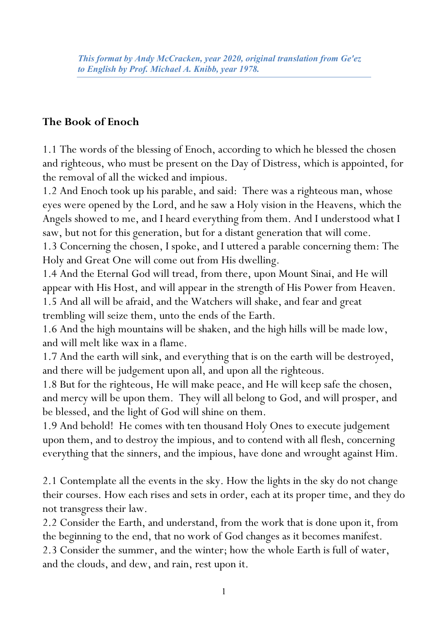## **The Book of Enoch**

1.1 The words of the blessing of Enoch, according to which he blessed the chosen and righteous, who must be present on the Day of Distress, which is appointed, for the removal of all the wicked and impious.

1.2 And Enoch took up his parable, and said: There was a righteous man, whose eyes were opened by the Lord, and he saw a Holy vision in the Heavens, which the Angels showed to me, and I heard everything from them. And I understood what I saw, but not for this generation, but for a distant generation that will come.

1.3 Concerning the chosen, I spoke, and I uttered a parable concerning them: The Holy and Great One will come out from His dwelling.

1.4 And the Eternal God will tread, from there, upon Mount Sinai, and He will appear with His Host, and will appear in the strength of His Power from Heaven. 1.5 And all will be afraid, and the Watchers will shake, and fear and great trembling will seize them, unto the ends of the Earth.

1.6 And the high mountains will be shaken, and the high hills will be made low, and will melt like wax in a flame.

1.7 And the earth will sink, and everything that is on the earth will be destroyed, and there will be judgement upon all, and upon all the righteous.

1.8 But for the righteous, He will make peace, and He will keep safe the chosen, and mercy will be upon them. They will all belong to God, and will prosper, and be blessed, and the light of God will shine on them.

1.9 And behold! He comes with ten thousand Holy Ones to execute judgement upon them, and to destroy the impious, and to contend with all flesh, concerning everything that the sinners, and the impious, have done and wrought against Him.

2.1 Contemplate all the events in the sky. How the lights in the sky do not change their courses. How each rises and sets in order, each at its proper time, and they do not transgress their law.

2.2 Consider the Earth, and understand, from the work that is done upon it, from the beginning to the end, that no work of God changes as it becomes manifest. 2.3 Consider the summer, and the winter; how the whole Earth is full of water, and the clouds, and dew, and rain, rest upon it.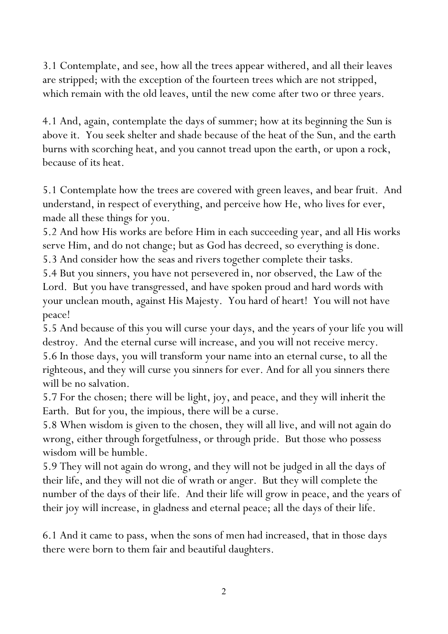3.1 Contemplate, and see, how all the trees appear withered, and all their leaves are stripped; with the exception of the fourteen trees which are not stripped, which remain with the old leaves, until the new come after two or three years.

4.1 And, again, contemplate the days of summer; how at its beginning the Sun is above it. You seek shelter and shade because of the heat of the Sun, and the earth burns with scorching heat, and you cannot tread upon the earth, or upon a rock, because of its heat.

5.1 Contemplate how the trees are covered with green leaves, and bear fruit. And understand, in respect of everything, and perceive how He, who lives for ever, made all these things for you.

5.2 And how His works are before Him in each succeeding year, and all His works serve Him, and do not change; but as God has decreed, so everything is done. 5.3 And consider how the seas and rivers together complete their tasks.

5.4 But you sinners, you have not persevered in, nor observed, the Law of the Lord. But you have transgressed, and have spoken proud and hard words with your unclean mouth, against His Majesty. You hard of heart! You will not have peace!

5.5 And because of this you will curse your days, and the years of your life you will destroy. And the eternal curse will increase, and you will not receive mercy. 5.6 In those days, you will transform your name into an eternal curse, to all the righteous, and they will curse you sinners for ever. And for all you sinners there will be no salvation.

5.7 For the chosen; there will be light, joy, and peace, and they will inherit the Earth. But for you, the impious, there will be a curse.

5.8 When wisdom is given to the chosen, they will all live, and will not again do wrong, either through forgetfulness, or through pride. But those who possess wisdom will be humble.

5.9 They will not again do wrong, and they will not be judged in all the days of their life, and they will not die of wrath or anger. But they will complete the number of the days of their life. And their life will grow in peace, and the years of their joy will increase, in gladness and eternal peace; all the days of their life.

6.1 And it came to pass, when the sons of men had increased, that in those days there were born to them fair and beautiful daughters.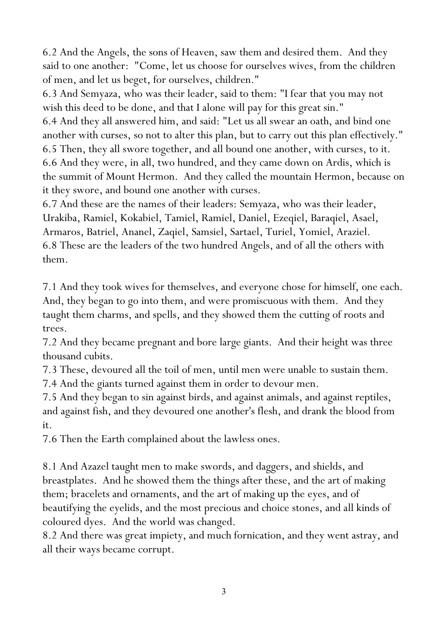6.2 And the Angels, the sons of Heaven, saw them and desired them. And they said to one another: "Come, let us choose for ourselves wives, from the children of men, and let us beget, for ourselves, children."

6.3 And Semyaza, who was their leader, said to them: "I fear that you may not wish this deed to be done, and that I alone will pay for this great sin."

6.4 And they all answered him, and said: "Let us all swear an oath, and bind one another with curses, so not to alter this plan, but to carry out this plan effectively." 6.5 Then, they all swore together, and all bound one another, with curses, to it. 6.6 And they were, in all, two hundred, and they came down on Ardis, which is the summit of Mount Hermon. And they called the mountain Hermon, because on it they swore, and bound one another with curses.

6.7 And these are the names of their leaders: Semyaza, who was their leader, Urakiba, Ramiel, Kokabiel, Tamiel, Ramiel, Daniel, Ezeqiel, Baraqiel, Asael, Armaros, Batriel, Ananel, Zaqiel, Samsiel, Sartael, Turiel, Yomiel, Araziel. 6.8 These are the leaders of the two hundred Angels, and of all the others with them.

7.1 And they took wives for themselves, and everyone chose for himself, one each. And, they began to go into them, and were promiscuous with them. And they taught them charms, and spells, and they showed them the cutting of roots and trees.

7.2 And they became pregnant and bore large giants. And their height was three thousand cubits.

7.3 These, devoured all the toil of men, until men were unable to sustain them.

7.4 And the giants turned against them in order to devour men.

7.5 And they began to sin against birds, and against animals, and against reptiles, and against fish, and they devoured one another's flesh, and drank the blood from it.

7.6 Then the Earth complained about the lawless ones.

8.1 And Azazel taught men to make swords, and daggers, and shields, and breastplates. And he showed them the things after these, and the art of making them; bracelets and ornaments, and the art of making up the eyes, and of beautifying the eyelids, and the most precious and choice stones, and all kinds of coloured dyes. And the world was changed.

8.2 And there was great impiety, and much fornication, and they went astray, and all their ways became corrupt.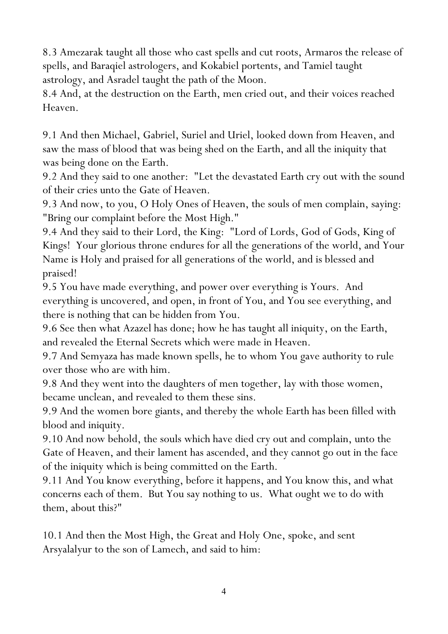8.3 Amezarak taught all those who cast spells and cut roots, Armaros the release of spells, and Baraqiel astrologers, and Kokabiel portents, and Tamiel taught astrology, and Asradel taught the path of the Moon.

8.4 And, at the destruction on the Earth, men cried out, and their voices reached Heaven.

9.1 And then Michael, Gabriel, Suriel and Uriel, looked down from Heaven, and saw the mass of blood that was being shed on the Earth, and all the iniquity that was being done on the Earth.

9.2 And they said to one another: "Let the devastated Earth cry out with the sound of their cries unto the Gate of Heaven.

9.3 And now, to you, O Holy Ones of Heaven, the souls of men complain, saying: "Bring our complaint before the Most High."

9.4 And they said to their Lord, the King: "Lord of Lords, God of Gods, King of Kings! Your glorious throne endures for all the generations of the world, and Your Name is Holy and praised for all generations of the world, and is blessed and praised!

9.5 You have made everything, and power over everything is Yours. And everything is uncovered, and open, in front of You, and You see everything, and there is nothing that can be hidden from You.

9.6 See then what Azazel has done; how he has taught all iniquity, on the Earth, and revealed the Eternal Secrets which were made in Heaven.

9.7 And Semyaza has made known spells, he to whom You gave authority to rule over those who are with him.

9.8 And they went into the daughters of men together, lay with those women, became unclean, and revealed to them these sins.

9.9 And the women bore giants, and thereby the whole Earth has been filled with blood and iniquity.

9.10 And now behold, the souls which have died cry out and complain, unto the Gate of Heaven, and their lament has ascended, and they cannot go out in the face of the iniquity which is being committed on the Earth.

9.11 And You know everything, before it happens, and You know this, and what concerns each of them. But You say nothing to us. What ought we to do with them, about this?"

10.1 And then the Most High, the Great and Holy One, spoke, and sent Arsyalalyur to the son of Lamech, and said to him: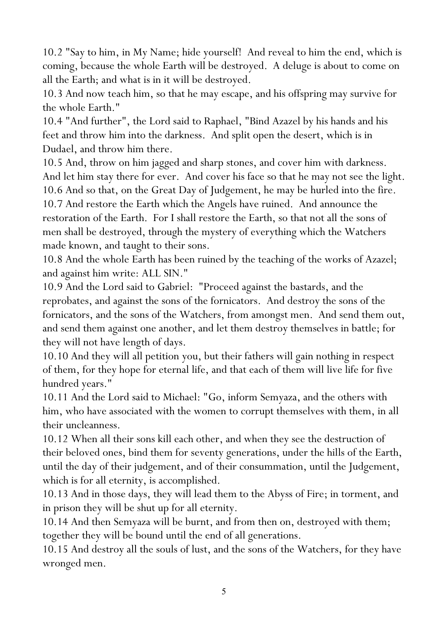10.2 "Say to him, in My Name; hide yourself! And reveal to him the end, which is coming, because the whole Earth will be destroyed. A deluge is about to come on all the Earth; and what is in it will be destroyed.

10.3 And now teach him, so that he may escape, and his offspring may survive for the whole Earth."

10.4 "And further", the Lord said to Raphael, "Bind Azazel by his hands and his feet and throw him into the darkness. And split open the desert, which is in Dudael, and throw him there.

10.5 And, throw on him jagged and sharp stones, and cover him with darkness. And let him stay there for ever. And cover his face so that he may not see the light. 10.6 And so that, on the Great Day of Judgement, he may be hurled into the fire. 10.7 And restore the Earth which the Angels have ruined. And announce the restoration of the Earth. For I shall restore the Earth, so that not all the sons of men shall be destroyed, through the mystery of everything which the Watchers made known, and taught to their sons.

10.8 And the whole Earth has been ruined by the teaching of the works of Azazel; and against him write: ALL SIN."

10.9 And the Lord said to Gabriel: "Proceed against the bastards, and the reprobates, and against the sons of the fornicators. And destroy the sons of the fornicators, and the sons of the Watchers, from amongst men. And send them out, and send them against one another, and let them destroy themselves in battle; for they will not have length of days.

10.10 And they will all petition you, but their fathers will gain nothing in respect of them, for they hope for eternal life, and that each of them will live life for five hundred years."

10.11 And the Lord said to Michael: "Go, inform Semyaza, and the others with him, who have associated with the women to corrupt themselves with them, in all their uncleanness.

10.12 When all their sons kill each other, and when they see the destruction of their beloved ones, bind them for seventy generations, under the hills of the Earth, until the day of their judgement, and of their consummation, until the Judgement, which is for all eternity, is accomplished.

10.13 And in those days, they will lead them to the Abyss of Fire; in torment, and in prison they will be shut up for all eternity.

10.14 And then Semyaza will be burnt, and from then on, destroyed with them; together they will be bound until the end of all generations.

10.15 And destroy all the souls of lust, and the sons of the Watchers, for they have wronged men.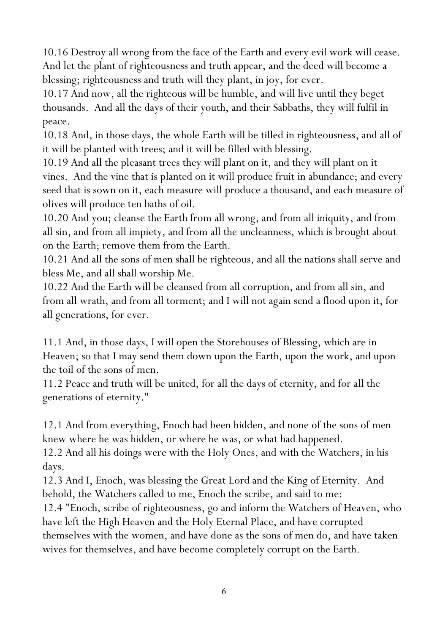10.16 Destroy all wrong from the face of the Earth and every evil work will cease. And let the plant of righteousness and truth appear, and the deed will become a blessing; righteousness and truth will they plant, in joy, for ever.

10.17 And now, all the righteous will be humble, and will live until they beget thousands. And all the days of their youth, and their Sabbaths, they will fulfil in peace.

10.18 And, in those days, the whole Earth will be tilled in righteousness, and all of it will be planted with trees; and it will be filled with blessing.

10.19 And all the pleasant trees they will plant on it, and they will plant on it vines. And the vine that is planted on it will produce fruit in abundance; and every seed that is sown on it, each measure will produce a thousand, and each measure of olives will produce ten baths of oil.

10.20 And you; cleanse the Earth from all wrong, and from all iniquity, and from all sin, and from all impiety, and from all the uncleanness, which is brought about on the Earth; remove them from the Earth.

10.21 And all the sons of men shall be righteous, and all the nations shall serve and bless Me, and all shall worship Me.

10.22 And the Earth will be cleansed from all corruption, and from all sin, and from all wrath, and from all torment; and I will not again send a flood upon it, for all generations, for ever.

11.1 And, in those days, I will open the Storehouses of Blessing, which are in Heaven; so that I may send them down upon the Earth, upon the work, and upon the toil of the sons of men.

11.2 Peace and truth will be united, for all the days of eternity, and for all the generations of eternity."

12.1 And from everything, Enoch had been hidden, and none of the sons of men knew where he was hidden, or where he was, or what had happened.

12.2 And all his doings were with the Holy Ones, and with the Watchers, in his days.

12.3 And I, Enoch, was blessing the Great Lord and the King of Eternity. And behold, the Watchers called to me, Enoch the scribe, and said to me:

12.4 "Enoch, scribe of righteousness, go and inform the Watchers of Heaven, who have left the High Heaven and the Holy Eternal Place, and have corrupted themselves with the women, and have done as the sons of men do, and have taken wives for themselves, and have become completely corrupt on the Earth.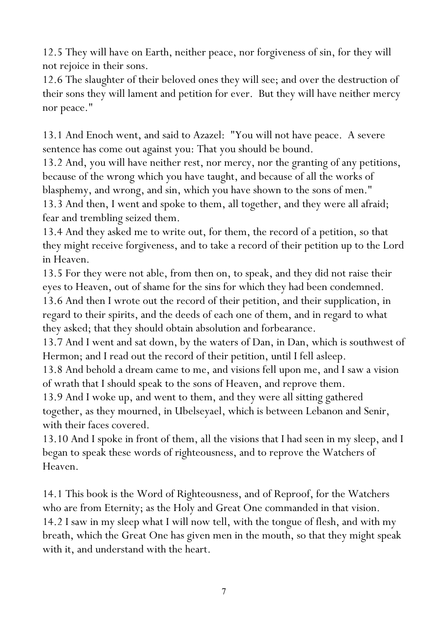12.5 They will have on Earth, neither peace, nor forgiveness of sin, for they will not rejoice in their sons.

12.6 The slaughter of their beloved ones they will see; and over the destruction of their sons they will lament and petition for ever. But they will have neither mercy nor peace."

13.1 And Enoch went, and said to Azazel: "You will not have peace. A severe sentence has come out against you: That you should be bound.

13.2 And, you will have neither rest, nor mercy, nor the granting of any petitions, because of the wrong which you have taught, and because of all the works of blasphemy, and wrong, and sin, which you have shown to the sons of men." 13.3 And then, I went and spoke to them, all together, and they were all afraid; fear and trembling seized them.

13.4 And they asked me to write out, for them, the record of a petition, so that they might receive forgiveness, and to take a record of their petition up to the Lord in Heaven.

13.5 For they were not able, from then on, to speak, and they did not raise their eyes to Heaven, out of shame for the sins for which they had been condemned. 13.6 And then I wrote out the record of their petition, and their supplication, in regard to their spirits, and the deeds of each one of them, and in regard to what they asked; that they should obtain absolution and forbearance.

13.7 And I went and sat down, by the waters of Dan, in Dan, which is southwest of Hermon; and I read out the record of their petition, until I fell asleep.

13.8 And behold a dream came to me, and visions fell upon me, and I saw a vision of wrath that I should speak to the sons of Heaven, and reprove them.

13.9 And I woke up, and went to them, and they were all sitting gathered together, as they mourned, in Ubelseyael, which is between Lebanon and Senir, with their faces covered.

13.10 And I spoke in front of them, all the visions that I had seen in my sleep, and I began to speak these words of righteousness, and to reprove the Watchers of Heaven.

14.1 This book is the Word of Righteousness, and of Reproof, for the Watchers who are from Eternity; as the Holy and Great One commanded in that vision. 14.2 I saw in my sleep what I will now tell, with the tongue of flesh, and with my breath, which the Great One has given men in the mouth, so that they might speak with it, and understand with the heart.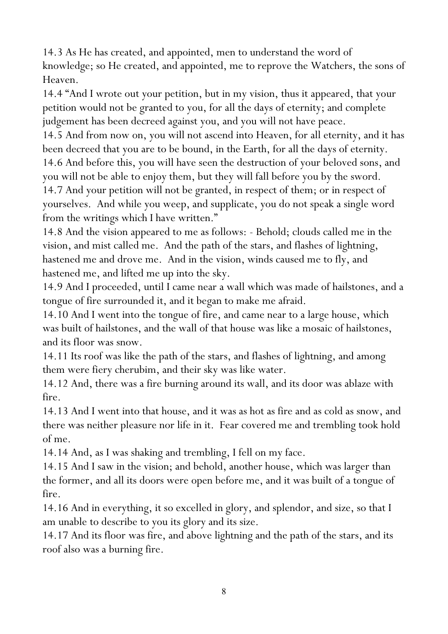14.3 As He has created, and appointed, men to understand the word of knowledge; so He created, and appointed, me to reprove the Watchers, the sons of Heaven.

14.4 "And I wrote out your petition, but in my vision, thus it appeared, that your petition would not be granted to you, for all the days of eternity; and complete judgement has been decreed against you, and you will not have peace.

14.5 And from now on, you will not ascend into Heaven, for all eternity, and it has been decreed that you are to be bound, in the Earth, for all the days of eternity. 14.6 And before this, you will have seen the destruction of your beloved sons, and you will not be able to enjoy them, but they will fall before you by the sword. 14.7 And your petition will not be granted, in respect of them; or in respect of yourselves. And while you weep, and supplicate, you do not speak a single word from the writings which I have written."

14.8 And the vision appeared to me as follows: - Behold; clouds called me in the vision, and mist called me. And the path of the stars, and flashes of lightning, hastened me and drove me. And in the vision, winds caused me to fly, and hastened me, and lifted me up into the sky.

14.9 And I proceeded, until I came near a wall which was made of hailstones, and a tongue of fire surrounded it, and it began to make me afraid.

14.10 And I went into the tongue of fire, and came near to a large house, which was built of hailstones, and the wall of that house was like a mosaic of hailstones, and its floor was snow.

14.11 Its roof was like the path of the stars, and flashes of lightning, and among them were fiery cherubim, and their sky was like water.

14.12 And, there was a fire burning around its wall, and its door was ablaze with fire.

14.13 And I went into that house, and it was as hot as fire and as cold as snow, and there was neither pleasure nor life in it. Fear covered me and trembling took hold of me.

14.14 And, as I was shaking and trembling, I fell on my face.

14.15 And I saw in the vision; and behold, another house, which was larger than the former, and all its doors were open before me, and it was built of a tongue of fire.

14.16 And in everything, it so excelled in glory, and splendor, and size, so that I am unable to describe to you its glory and its size.

14.17 And its floor was fire, and above lightning and the path of the stars, and its roof also was a burning fire.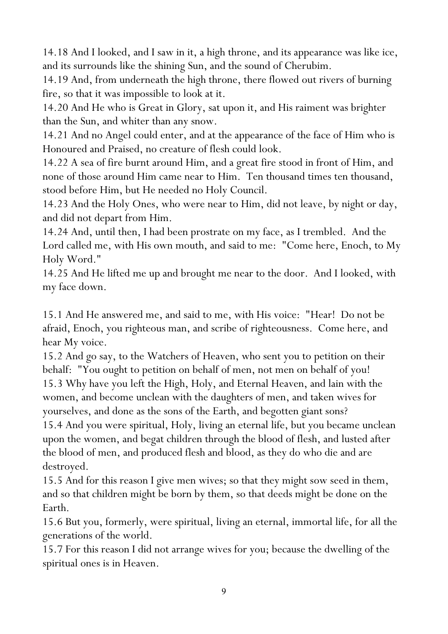14.18 And I looked, and I saw in it, a high throne, and its appearance was like ice, and its surrounds like the shining Sun, and the sound of Cherubim.

14.19 And, from underneath the high throne, there flowed out rivers of burning fire, so that it was impossible to look at it.

14.20 And He who is Great in Glory, sat upon it, and His raiment was brighter than the Sun, and whiter than any snow.

14.21 And no Angel could enter, and at the appearance of the face of Him who is Honoured and Praised, no creature of flesh could look.

14.22 A sea of fire burnt around Him, and a great fire stood in front of Him, and none of those around Him came near to Him. Ten thousand times ten thousand, stood before Him, but He needed no Holy Council.

14.23 And the Holy Ones, who were near to Him, did not leave, by night or day, and did not depart from Him.

14.24 And, until then, I had been prostrate on my face, as I trembled. And the Lord called me, with His own mouth, and said to me: "Come here, Enoch, to My Holy Word."

14.25 And He lifted me up and brought me near to the door. And I looked, with my face down.

15.1 And He answered me, and said to me, with His voice: "Hear! Do not be afraid, Enoch, you righteous man, and scribe of righteousness. Come here, and hear My voice.

15.2 And go say, to the Watchers of Heaven, who sent you to petition on their behalf: "You ought to petition on behalf of men, not men on behalf of you! 15.3 Why have you left the High, Holy, and Eternal Heaven, and lain with the women, and become unclean with the daughters of men, and taken wives for yourselves, and done as the sons of the Earth, and begotten giant sons?

15.4 And you were spiritual, Holy, living an eternal life, but you became unclean upon the women, and begat children through the blood of flesh, and lusted after the blood of men, and produced flesh and blood, as they do who die and are destroyed.

15.5 And for this reason I give men wives; so that they might sow seed in them, and so that children might be born by them, so that deeds might be done on the Earth.

15.6 But you, formerly, were spiritual, living an eternal, immortal life, for all the generations of the world.

15.7 For this reason I did not arrange wives for you; because the dwelling of the spiritual ones is in Heaven.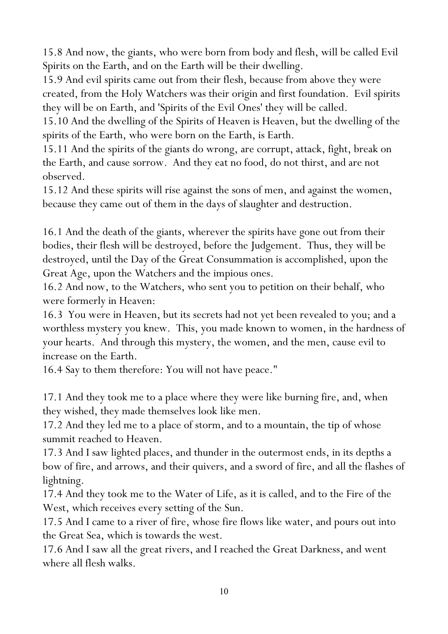15.8 And now, the giants, who were born from body and flesh, will be called Evil Spirits on the Earth, and on the Earth will be their dwelling.

15.9 And evil spirits came out from their flesh, because from above they were created, from the Holy Watchers was their origin and first foundation. Evil spirits they will be on Earth, and 'Spirits of the Evil Ones' they will be called.

15.10 And the dwelling of the Spirits of Heaven is Heaven, but the dwelling of the spirits of the Earth, who were born on the Earth, is Earth.

15.11 And the spirits of the giants do wrong, are corrupt, attack, fight, break on the Earth, and cause sorrow. And they eat no food, do not thirst, and are not observed.

15.12 And these spirits will rise against the sons of men, and against the women, because they came out of them in the days of slaughter and destruction.

16.1 And the death of the giants, wherever the spirits have gone out from their bodies, their flesh will be destroyed, before the Judgement. Thus, they will be destroyed, until the Day of the Great Consummation is accomplished, upon the Great Age, upon the Watchers and the impious ones.

16.2 And now, to the Watchers, who sent you to petition on their behalf, who were formerly in Heaven:

16.3 You were in Heaven, but its secrets had not yet been revealed to you; and a worthless mystery you knew. This, you made known to women, in the hardness of your hearts. And through this mystery, the women, and the men, cause evil to increase on the Earth.

16.4 Say to them therefore: You will not have peace."

17.1 And they took me to a place where they were like burning fire, and, when they wished, they made themselves look like men.

17.2 And they led me to a place of storm, and to a mountain, the tip of whose summit reached to Heaven.

17.3 And I saw lighted places, and thunder in the outermost ends, in its depths a bow of fire, and arrows, and their quivers, and a sword of fire, and all the flashes of lightning.

17.4 And they took me to the Water of Life, as it is called, and to the Fire of the West, which receives every setting of the Sun.

17.5 And I came to a river of fire, whose fire flows like water, and pours out into the Great Sea, which is towards the west.

17.6 And I saw all the great rivers, and I reached the Great Darkness, and went where all flesh walks.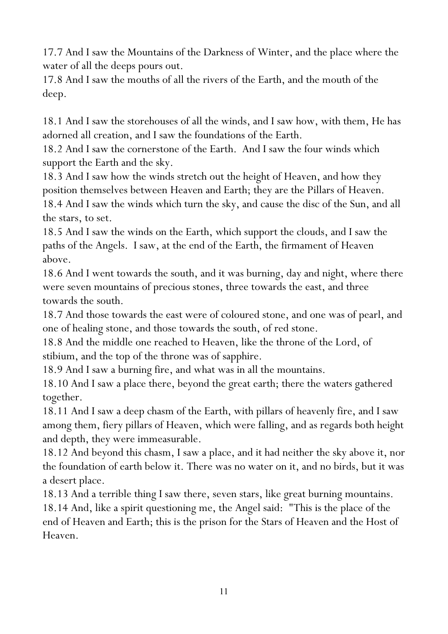17.7 And I saw the Mountains of the Darkness of Winter, and the place where the water of all the deeps pours out.

17.8 And I saw the mouths of all the rivers of the Earth, and the mouth of the deep.

18.1 And I saw the storehouses of all the winds, and I saw how, with them, He has adorned all creation, and I saw the foundations of the Earth.

18.2 And I saw the cornerstone of the Earth. And I saw the four winds which support the Earth and the sky.

18.3 And I saw how the winds stretch out the height of Heaven, and how they position themselves between Heaven and Earth; they are the Pillars of Heaven.

18.4 And I saw the winds which turn the sky, and cause the disc of the Sun, and all the stars, to set.

18.5 And I saw the winds on the Earth, which support the clouds, and I saw the paths of the Angels. I saw, at the end of the Earth, the firmament of Heaven above.

18.6 And I went towards the south, and it was burning, day and night, where there were seven mountains of precious stones, three towards the east, and three towards the south.

18.7 And those towards the east were of coloured stone, and one was of pearl, and one of healing stone, and those towards the south, of red stone.

18.8 And the middle one reached to Heaven, like the throne of the Lord, of stibium, and the top of the throne was of sapphire.

18.9 And I saw a burning fire, and what was in all the mountains.

18.10 And I saw a place there, beyond the great earth; there the waters gathered together.

18.11 And I saw a deep chasm of the Earth, with pillars of heavenly fire, and I saw among them, fiery pillars of Heaven, which were falling, and as regards both height and depth, they were immeasurable.

18.12 And beyond this chasm, I saw a place, and it had neither the sky above it, nor the foundation of earth below it. There was no water on it, and no birds, but it was a desert place.

18.13 And a terrible thing I saw there, seven stars, like great burning mountains. 18.14 And, like a spirit questioning me, the Angel said: "This is the place of the end of Heaven and Earth; this is the prison for the Stars of Heaven and the Host of Heaven.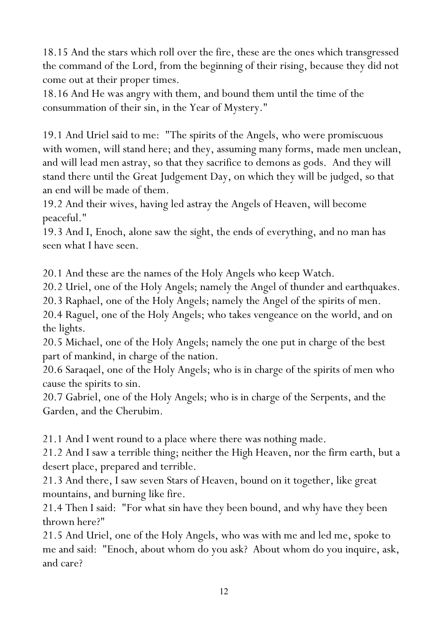18.15 And the stars which roll over the fire, these are the ones which transgressed the command of the Lord, from the beginning of their rising, because they did not come out at their proper times.

18.16 And He was angry with them, and bound them until the time of the consummation of their sin, in the Year of Mystery."

19.1 And Uriel said to me: "The spirits of the Angels, who were promiscuous with women, will stand here; and they, assuming many forms, made men unclean, and will lead men astray, so that they sacrifice to demons as gods. And they will stand there until the Great Judgement Day, on which they will be judged, so that an end will be made of them.

19.2 And their wives, having led astray the Angels of Heaven, will become peaceful."

19.3 And I, Enoch, alone saw the sight, the ends of everything, and no man has seen what I have seen.

20.1 And these are the names of the Holy Angels who keep Watch.

20.2 Uriel, one of the Holy Angels; namely the Angel of thunder and earthquakes.

20.3 Raphael, one of the Holy Angels; namely the Angel of the spirits of men.

20.4 Raguel, one of the Holy Angels; who takes vengeance on the world, and on the lights.

20.5 Michael, one of the Holy Angels; namely the one put in charge of the best part of mankind, in charge of the nation.

20.6 Saraqael, one of the Holy Angels; who is in charge of the spirits of men who cause the spirits to sin.

20.7 Gabriel, one of the Holy Angels; who is in charge of the Serpents, and the Garden, and the Cherubim.

21.1 And I went round to a place where there was nothing made.

21.2 And I saw a terrible thing; neither the High Heaven, nor the firm earth, but a desert place, prepared and terrible.

21.3 And there, I saw seven Stars of Heaven, bound on it together, like great mountains, and burning like fire.

21.4 Then I said: "For what sin have they been bound, and why have they been thrown here?"

21.5 And Uriel, one of the Holy Angels, who was with me and led me, spoke to me and said: "Enoch, about whom do you ask? About whom do you inquire, ask, and care?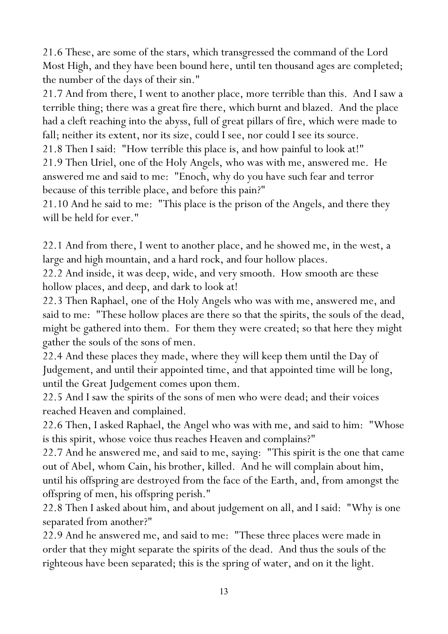21.6 These, are some of the stars, which transgressed the command of the Lord Most High, and they have been bound here, until ten thousand ages are completed; the number of the days of their sin."

21.7 And from there, I went to another place, more terrible than this. And I saw a terrible thing; there was a great fire there, which burnt and blazed. And the place had a cleft reaching into the abyss, full of great pillars of fire, which were made to fall; neither its extent, nor its size, could I see, nor could I see its source.

21.8 Then I said: "How terrible this place is, and how painful to look at!"

21.9 Then Uriel, one of the Holy Angels, who was with me, answered me. He answered me and said to me: "Enoch, why do you have such fear and terror because of this terrible place, and before this pain?"

21.10 And he said to me: "This place is the prison of the Angels, and there they will be held for ever."

22.1 And from there, I went to another place, and he showed me, in the west, a large and high mountain, and a hard rock, and four hollow places.

22.2 And inside, it was deep, wide, and very smooth. How smooth are these hollow places, and deep, and dark to look at!

22.3 Then Raphael, one of the Holy Angels who was with me, answered me, and said to me: "These hollow places are there so that the spirits, the souls of the dead, might be gathered into them. For them they were created; so that here they might gather the souls of the sons of men.

22.4 And these places they made, where they will keep them until the Day of Judgement, and until their appointed time, and that appointed time will be long, until the Great Judgement comes upon them.

22.5 And I saw the spirits of the sons of men who were dead; and their voices reached Heaven and complained.

22.6 Then, I asked Raphael, the Angel who was with me, and said to him: "Whose is this spirit, whose voice thus reaches Heaven and complains?"

22.7 And he answered me, and said to me, saying: "This spirit is the one that came out of Abel, whom Cain, his brother, killed. And he will complain about him, until his offspring are destroyed from the face of the Earth, and, from amongst the offspring of men, his offspring perish."

22.8 Then I asked about him, and about judgement on all, and I said: "Why is one separated from another?"

22.9 And he answered me, and said to me: "These three places were made in order that they might separate the spirits of the dead. And thus the souls of the righteous have been separated; this is the spring of water, and on it the light.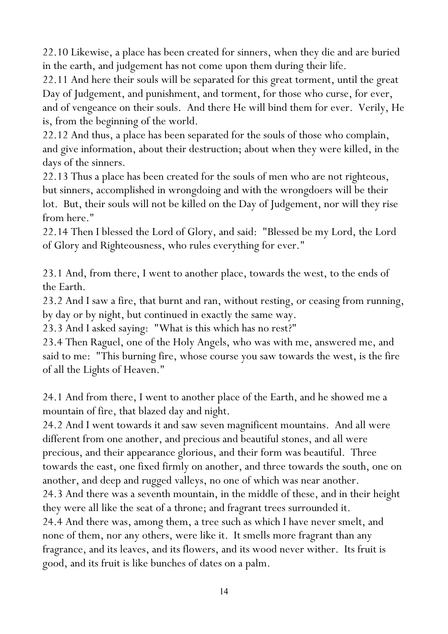22.10 Likewise, a place has been created for sinners, when they die and are buried in the earth, and judgement has not come upon them during their life.

22.11 And here their souls will be separated for this great torment, until the great Day of Judgement, and punishment, and torment, for those who curse, for ever, and of vengeance on their souls. And there He will bind them for ever. Verily, He is, from the beginning of the world.

22.12 And thus, a place has been separated for the souls of those who complain, and give information, about their destruction; about when they were killed, in the days of the sinners.

22.13 Thus a place has been created for the souls of men who are not righteous, but sinners, accomplished in wrongdoing and with the wrongdoers will be their lot. But, their souls will not be killed on the Day of Judgement, nor will they rise from here."

22.14 Then I blessed the Lord of Glory, and said: "Blessed be my Lord, the Lord of Glory and Righteousness, who rules everything for ever."

23.1 And, from there, I went to another place, towards the west, to the ends of the Earth.

23.2 And I saw a fire, that burnt and ran, without resting, or ceasing from running, by day or by night, but continued in exactly the same way.

23.3 And I asked saying: "What is this which has no rest?"

23.4 Then Raguel, one of the Holy Angels, who was with me, answered me, and said to me: "This burning fire, whose course you saw towards the west, is the fire of all the Lights of Heaven."

24.1 And from there, I went to another place of the Earth, and he showed me a mountain of fire, that blazed day and night.

24.2 And I went towards it and saw seven magnificent mountains. And all were different from one another, and precious and beautiful stones, and all were precious, and their appearance glorious, and their form was beautiful. Three towards the east, one fixed firmly on another, and three towards the south, one on another, and deep and rugged valleys, no one of which was near another. 24.3 And there was a seventh mountain, in the middle of these, and in their height they were all like the seat of a throne; and fragrant trees surrounded it. 24.4 And there was, among them, a tree such as which I have never smelt, and none of them, nor any others, were like it. It smells more fragrant than any fragrance, and its leaves, and its flowers, and its wood never wither. Its fruit is good, and its fruit is like bunches of dates on a palm.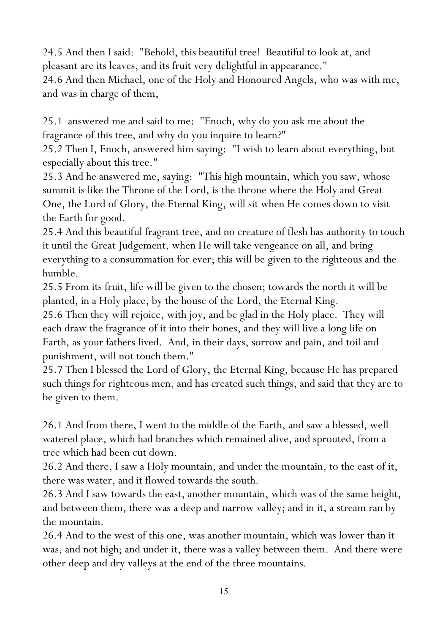24.5 And then I said: "Behold, this beautiful tree! Beautiful to look at, and pleasant are its leaves, and its fruit very delightful in appearance."

24.6 And then Michael, one of the Holy and Honoured Angels, who was with me, and was in charge of them,

25.1 answered me and said to me: "Enoch, why do you ask me about the fragrance of this tree, and why do you inquire to learn?"

25.2 Then I, Enoch, answered him saying: "I wish to learn about everything, but especially about this tree."

25.3 And he answered me, saying: "This high mountain, which you saw, whose summit is like the Throne of the Lord, is the throne where the Holy and Great One, the Lord of Glory, the Eternal King, will sit when He comes down to visit the Earth for good.

25.4 And this beautiful fragrant tree, and no creature of flesh has authority to touch it until the Great Judgement, when He will take vengeance on all, and bring everything to a consummation for ever; this will be given to the righteous and the humble.

25.5 From its fruit, life will be given to the chosen; towards the north it will be planted, in a Holy place, by the house of the Lord, the Eternal King.

25.6 Then they will rejoice, with joy, and be glad in the Holy place. They will each draw the fragrance of it into their bones, and they will live a long life on Earth, as your fathers lived. And, in their days, sorrow and pain, and toil and punishment, will not touch them."

25.7 Then I blessed the Lord of Glory, the Eternal King, because He has prepared such things for righteous men, and has created such things, and said that they are to be given to them.

26.1 And from there, I went to the middle of the Earth, and saw a blessed, well watered place, which had branches which remained alive, and sprouted, from a tree which had been cut down.

26.2 And there, I saw a Holy mountain, and under the mountain, to the east of it, there was water, and it flowed towards the south.

26.3 And I saw towards the east, another mountain, which was of the same height, and between them, there was a deep and narrow valley; and in it, a stream ran by the mountain.

26.4 And to the west of this one, was another mountain, which was lower than it was, and not high; and under it, there was a valley between them. And there were other deep and dry valleys at the end of the three mountains.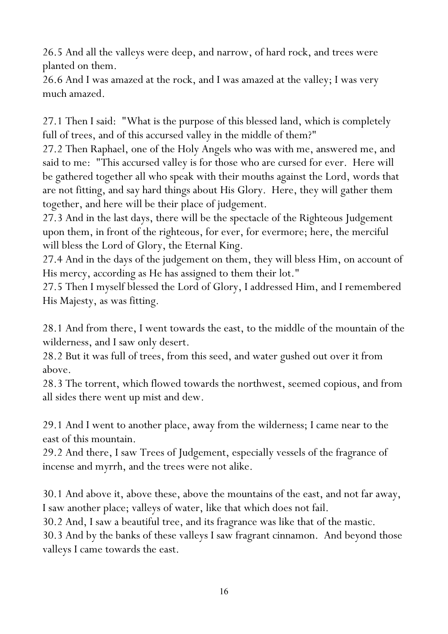26.5 And all the valleys were deep, and narrow, of hard rock, and trees were planted on them.

26.6 And I was amazed at the rock, and I was amazed at the valley; I was very much amazed.

27.1 Then I said: "What is the purpose of this blessed land, which is completely full of trees, and of this accursed valley in the middle of them?"

27.2 Then Raphael, one of the Holy Angels who was with me, answered me, and said to me: "This accursed valley is for those who are cursed for ever. Here will be gathered together all who speak with their mouths against the Lord, words that are not fitting, and say hard things about His Glory. Here, they will gather them together, and here will be their place of judgement.

27.3 And in the last days, there will be the spectacle of the Righteous Judgement upon them, in front of the righteous, for ever, for evermore; here, the merciful will bless the Lord of Glory, the Eternal King.

27.4 And in the days of the judgement on them, they will bless Him, on account of His mercy, according as He has assigned to them their lot."

27.5 Then I myself blessed the Lord of Glory, I addressed Him, and I remembered His Majesty, as was fitting.

28.1 And from there, I went towards the east, to the middle of the mountain of the wilderness, and I saw only desert.

28.2 But it was full of trees, from this seed, and water gushed out over it from above.

28.3 The torrent, which flowed towards the northwest, seemed copious, and from all sides there went up mist and dew.

29.1 And I went to another place, away from the wilderness; I came near to the east of this mountain.

29.2 And there, I saw Trees of Judgement, especially vessels of the fragrance of incense and myrrh, and the trees were not alike.

30.1 And above it, above these, above the mountains of the east, and not far away, I saw another place; valleys of water, like that which does not fail.

30.2 And, I saw a beautiful tree, and its fragrance was like that of the mastic.

30.3 And by the banks of these valleys I saw fragrant cinnamon. And beyond those valleys I came towards the east.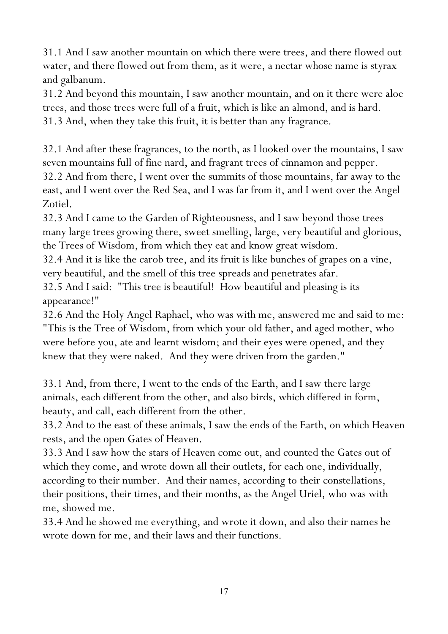31.1 And I saw another mountain on which there were trees, and there flowed out water, and there flowed out from them, as it were, a nectar whose name is styrax and galbanum.

31.2 And beyond this mountain, I saw another mountain, and on it there were aloe trees, and those trees were full of a fruit, which is like an almond, and is hard. 31.3 And, when they take this fruit, it is better than any fragrance.

32.1 And after these fragrances, to the north, as I looked over the mountains, I saw seven mountains full of fine nard, and fragrant trees of cinnamon and pepper. 32.2 And from there, I went over the summits of those mountains, far away to the

east, and I went over the Red Sea, and I was far from it, and I went over the Angel Zotiel.

32.3 And I came to the Garden of Righteousness, and I saw beyond those trees many large trees growing there, sweet smelling, large, very beautiful and glorious, the Trees of Wisdom, from which they eat and know great wisdom.

32.4 And it is like the carob tree, and its fruit is like bunches of grapes on a vine, very beautiful, and the smell of this tree spreads and penetrates afar.

32.5 And I said: "This tree is beautiful! How beautiful and pleasing is its appearance!"

32.6 And the Holy Angel Raphael, who was with me, answered me and said to me: "This is the Tree of Wisdom, from which your old father, and aged mother, who were before you, ate and learnt wisdom; and their eyes were opened, and they knew that they were naked. And they were driven from the garden."

33.1 And, from there, I went to the ends of the Earth, and I saw there large animals, each different from the other, and also birds, which differed in form, beauty, and call, each different from the other.

33.2 And to the east of these animals, I saw the ends of the Earth, on which Heaven rests, and the open Gates of Heaven.

33.3 And I saw how the stars of Heaven come out, and counted the Gates out of which they come, and wrote down all their outlets, for each one, individually, according to their number. And their names, according to their constellations, their positions, their times, and their months, as the Angel Uriel, who was with me, showed me.

33.4 And he showed me everything, and wrote it down, and also their names he wrote down for me, and their laws and their functions.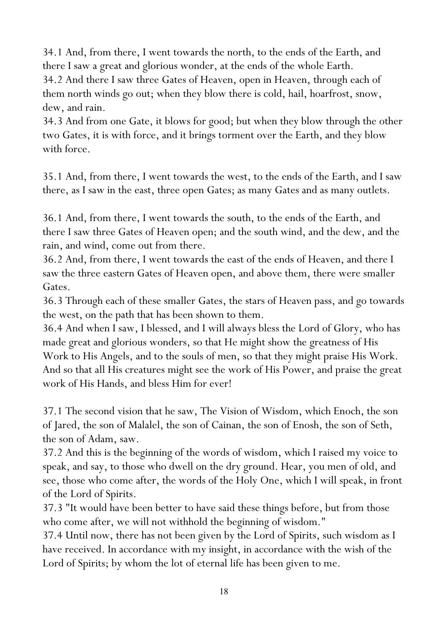34.1 And, from there, I went towards the north, to the ends of the Earth, and there I saw a great and glorious wonder, at the ends of the whole Earth. 34.2 And there I saw three Gates of Heaven, open in Heaven, through each of them north winds go out; when they blow there is cold, hail, hoarfrost, snow, dew, and rain.

34.3 And from one Gate, it blows for good; but when they blow through the other two Gates, it is with force, and it brings torment over the Earth, and they blow with force.

35.1 And, from there, I went towards the west, to the ends of the Earth, and I saw there, as I saw in the east, three open Gates; as many Gates and as many outlets.

36.1 And, from there, I went towards the south, to the ends of the Earth, and there I saw three Gates of Heaven open; and the south wind, and the dew, and the rain, and wind, come out from there.

36.2 And, from there, I went towards the east of the ends of Heaven, and there I saw the three eastern Gates of Heaven open, and above them, there were smaller Gates.

36.3 Through each of these smaller Gates, the stars of Heaven pass, and go towards the west, on the path that has been shown to them.

36.4 And when I saw, I blessed, and I will always bless the Lord of Glory, who has made great and glorious wonders, so that He might show the greatness of His Work to His Angels, and to the souls of men, so that they might praise His Work. And so that all His creatures might see the work of His Power, and praise the great work of His Hands, and bless Him for ever!

37.1 The second vision that he saw, The Vision of Wisdom, which Enoch, the son of Jared, the son of Malalel, the son of Cainan, the son of Enosh, the son of Seth, the son of Adam, saw.

37.2 And this is the beginning of the words of wisdom, which I raised my voice to speak, and say, to those who dwell on the dry ground. Hear, you men of old, and see, those who come after, the words of the Holy One, which I will speak, in front of the Lord of Spirits.

37.3 "It would have been better to have said these things before, but from those who come after, we will not withhold the beginning of wisdom."

37.4 Until now, there has not been given by the Lord of Spirits, such wisdom as I have received. In accordance with my insight, in accordance with the wish of the Lord of Spirits; by whom the lot of eternal life has been given to me.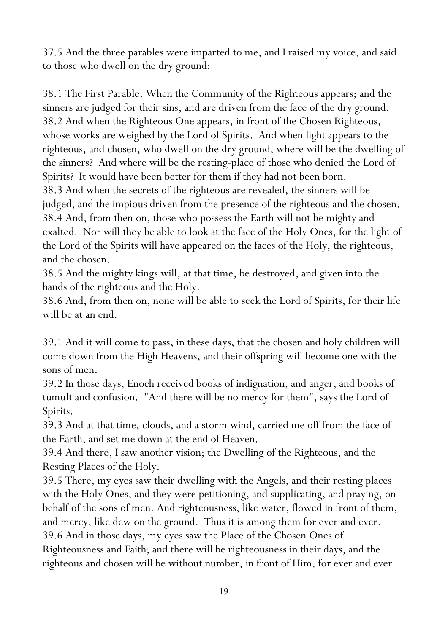37.5 And the three parables were imparted to me, and I raised my voice, and said to those who dwell on the dry ground:

38.1 The First Parable. When the Community of the Righteous appears; and the sinners are judged for their sins, and are driven from the face of the dry ground. 38.2 And when the Righteous One appears, in front of the Chosen Righteous, whose works are weighed by the Lord of Spirits. And when light appears to the righteous, and chosen, who dwell on the dry ground, where will be the dwelling of the sinners? And where will be the resting-place of those who denied the Lord of Spirits? It would have been better for them if they had not been born. 38.3 And when the secrets of the righteous are revealed, the sinners will be judged, and the impious driven from the presence of the righteous and the chosen. 38.4 And, from then on, those who possess the Earth will not be mighty and exalted. Nor will they be able to look at the face of the Holy Ones, for the light of the Lord of the Spirits will have appeared on the faces of the Holy, the righteous, and the chosen.

38.5 And the mighty kings will, at that time, be destroyed, and given into the hands of the righteous and the Holy.

38.6 And, from then on, none will be able to seek the Lord of Spirits, for their life will be at an end.

39.1 And it will come to pass, in these days, that the chosen and holy children will come down from the High Heavens, and their offspring will become one with the sons of men.

39.2 In those days, Enoch received books of indignation, and anger, and books of tumult and confusion. "And there will be no mercy for them", says the Lord of Spirits.

39.3 And at that time, clouds, and a storm wind, carried me off from the face of the Earth, and set me down at the end of Heaven.

39.4 And there, I saw another vision; the Dwelling of the Righteous, and the Resting Places of the Holy.

39.5 There, my eyes saw their dwelling with the Angels, and their resting places with the Holy Ones, and they were petitioning, and supplicating, and praying, on behalf of the sons of men. And righteousness, like water, flowed in front of them, and mercy, like dew on the ground. Thus it is among them for ever and ever. 39.6 And in those days, my eyes saw the Place of the Chosen Ones of Righteousness and Faith; and there will be righteousness in their days, and the righteous and chosen will be without number, in front of Him, for ever and ever.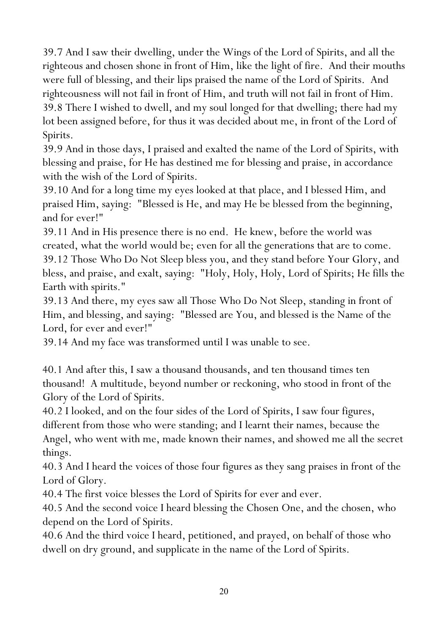39.7 And I saw their dwelling, under the Wings of the Lord of Spirits, and all the righteous and chosen shone in front of Him, like the light of fire. And their mouths were full of blessing, and their lips praised the name of the Lord of Spirits. And righteousness will not fail in front of Him, and truth will not fail in front of Him. 39.8 There I wished to dwell, and my soul longed for that dwelling; there had my lot been assigned before, for thus it was decided about me, in front of the Lord of Spirits.

39.9 And in those days, I praised and exalted the name of the Lord of Spirits, with blessing and praise, for He has destined me for blessing and praise, in accordance with the wish of the Lord of Spirits.

39.10 And for a long time my eyes looked at that place, and I blessed Him, and praised Him, saying: "Blessed is He, and may He be blessed from the beginning, and for ever!"

39.11 And in His presence there is no end. He knew, before the world was created, what the world would be; even for all the generations that are to come. 39.12 Those Who Do Not Sleep bless you, and they stand before Your Glory, and bless, and praise, and exalt, saying: "Holy, Holy, Holy, Lord of Spirits; He fills the Earth with spirits."

39.13 And there, my eyes saw all Those Who Do Not Sleep, standing in front of Him, and blessing, and saying: "Blessed are You, and blessed is the Name of the Lord, for ever and ever!"

39.14 And my face was transformed until I was unable to see.

40.1 And after this, I saw a thousand thousands, and ten thousand times ten thousand! A multitude, beyond number or reckoning, who stood in front of the Glory of the Lord of Spirits.

40.2 I looked, and on the four sides of the Lord of Spirits, I saw four figures, different from those who were standing; and I learnt their names, because the Angel, who went with me, made known their names, and showed me all the secret things.

40.3 And I heard the voices of those four figures as they sang praises in front of the Lord of Glory.

40.4 The first voice blesses the Lord of Spirits for ever and ever.

40.5 And the second voice I heard blessing the Chosen One, and the chosen, who depend on the Lord of Spirits.

40.6 And the third voice I heard, petitioned, and prayed, on behalf of those who dwell on dry ground, and supplicate in the name of the Lord of Spirits.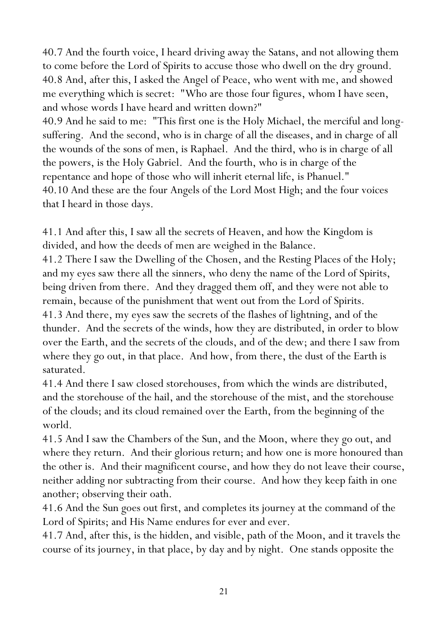40.7 And the fourth voice, I heard driving away the Satans, and not allowing them to come before the Lord of Spirits to accuse those who dwell on the dry ground. 40.8 And, after this, I asked the Angel of Peace, who went with me, and showed me everything which is secret: "Who are those four figures, whom I have seen, and whose words I have heard and written down?"

40.9 And he said to me: "This first one is the Holy Michael, the merciful and longsuffering. And the second, who is in charge of all the diseases, and in charge of all the wounds of the sons of men, is Raphael. And the third, who is in charge of all the powers, is the Holy Gabriel. And the fourth, who is in charge of the repentance and hope of those who will inherit eternal life, is Phanuel." 40.10 And these are the four Angels of the Lord Most High; and the four voices that I heard in those days.

41.1 And after this, I saw all the secrets of Heaven, and how the Kingdom is divided, and how the deeds of men are weighed in the Balance.

41.2 There I saw the Dwelling of the Chosen, and the Resting Places of the Holy; and my eyes saw there all the sinners, who deny the name of the Lord of Spirits, being driven from there. And they dragged them off, and they were not able to remain, because of the punishment that went out from the Lord of Spirits. 41.3 And there, my eyes saw the secrets of the flashes of lightning, and of the thunder. And the secrets of the winds, how they are distributed, in order to blow over the Earth, and the secrets of the clouds, and of the dew; and there I saw from where they go out, in that place. And how, from there, the dust of the Earth is saturated.

41.4 And there I saw closed storehouses, from which the winds are distributed, and the storehouse of the hail, and the storehouse of the mist, and the storehouse of the clouds; and its cloud remained over the Earth, from the beginning of the world.

41.5 And I saw the Chambers of the Sun, and the Moon, where they go out, and where they return. And their glorious return; and how one is more honoured than the other is. And their magnificent course, and how they do not leave their course, neither adding nor subtracting from their course. And how they keep faith in one another; observing their oath.

41.6 And the Sun goes out first, and completes its journey at the command of the Lord of Spirits; and His Name endures for ever and ever.

41.7 And, after this, is the hidden, and visible, path of the Moon, and it travels the course of its journey, in that place, by day and by night. One stands opposite the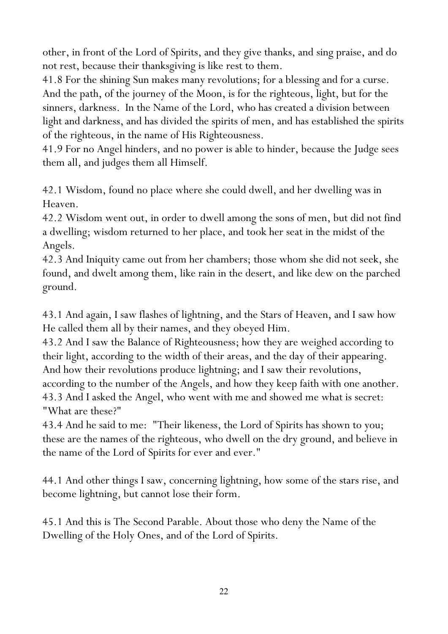other, in front of the Lord of Spirits, and they give thanks, and sing praise, and do not rest, because their thanksgiving is like rest to them.

41.8 For the shining Sun makes many revolutions; for a blessing and for a curse. And the path, of the journey of the Moon, is for the righteous, light, but for the sinners, darkness. In the Name of the Lord, who has created a division between light and darkness, and has divided the spirits of men, and has established the spirits of the righteous, in the name of His Righteousness.

41.9 For no Angel hinders, and no power is able to hinder, because the Judge sees them all, and judges them all Himself.

42.1 Wisdom, found no place where she could dwell, and her dwelling was in Heaven.

42.2 Wisdom went out, in order to dwell among the sons of men, but did not find a dwelling; wisdom returned to her place, and took her seat in the midst of the Angels.

42.3 And Iniquity came out from her chambers; those whom she did not seek, she found, and dwelt among them, like rain in the desert, and like dew on the parched ground.

43.1 And again, I saw flashes of lightning, and the Stars of Heaven, and I saw how He called them all by their names, and they obeyed Him.

43.2 And I saw the Balance of Righteousness; how they are weighed according to their light, according to the width of their areas, and the day of their appearing. And how their revolutions produce lightning; and I saw their revolutions, according to the number of the Angels, and how they keep faith with one another. 43.3 And I asked the Angel, who went with me and showed me what is secret: "What are these?"

43.4 And he said to me: "Their likeness, the Lord of Spirits has shown to you; these are the names of the righteous, who dwell on the dry ground, and believe in the name of the Lord of Spirits for ever and ever."

44.1 And other things I saw, concerning lightning, how some of the stars rise, and become lightning, but cannot lose their form.

45.1 And this is The Second Parable. About those who deny the Name of the Dwelling of the Holy Ones, and of the Lord of Spirits.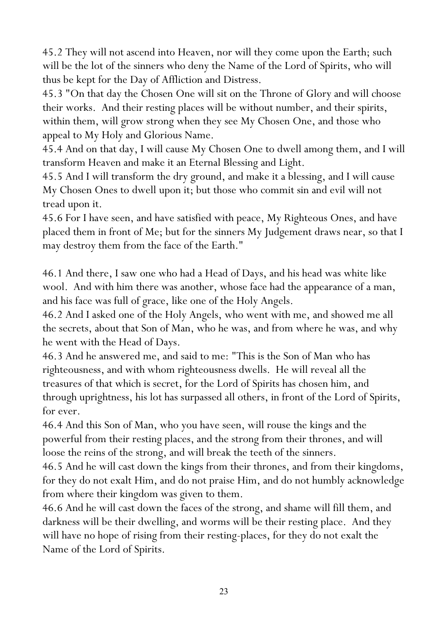45.2 They will not ascend into Heaven, nor will they come upon the Earth; such will be the lot of the sinners who deny the Name of the Lord of Spirits, who will thus be kept for the Day of Affliction and Distress.

45.3 "On that day the Chosen One will sit on the Throne of Glory and will choose their works. And their resting places will be without number, and their spirits, within them, will grow strong when they see My Chosen One, and those who appeal to My Holy and Glorious Name.

45.4 And on that day, I will cause My Chosen One to dwell among them, and I will transform Heaven and make it an Eternal Blessing and Light.

45.5 And I will transform the dry ground, and make it a blessing, and I will cause My Chosen Ones to dwell upon it; but those who commit sin and evil will not tread upon it.

45.6 For I have seen, and have satisfied with peace, My Righteous Ones, and have placed them in front of Me; but for the sinners My Judgement draws near, so that I may destroy them from the face of the Earth."

46.1 And there, I saw one who had a Head of Days, and his head was white like wool. And with him there was another, whose face had the appearance of a man, and his face was full of grace, like one of the Holy Angels.

46.2 And I asked one of the Holy Angels, who went with me, and showed me all the secrets, about that Son of Man, who he was, and from where he was, and why he went with the Head of Days.

46.3 And he answered me, and said to me: "This is the Son of Man who has righteousness, and with whom righteousness dwells. He will reveal all the treasures of that which is secret, for the Lord of Spirits has chosen him, and through uprightness, his lot has surpassed all others, in front of the Lord of Spirits, for ever.

46.4 And this Son of Man, who you have seen, will rouse the kings and the powerful from their resting places, and the strong from their thrones, and will loose the reins of the strong, and will break the teeth of the sinners.

46.5 And he will cast down the kings from their thrones, and from their kingdoms, for they do not exalt Him, and do not praise Him, and do not humbly acknowledge from where their kingdom was given to them.

46.6 And he will cast down the faces of the strong, and shame will fill them, and darkness will be their dwelling, and worms will be their resting place. And they will have no hope of rising from their resting-places, for they do not exalt the Name of the Lord of Spirits.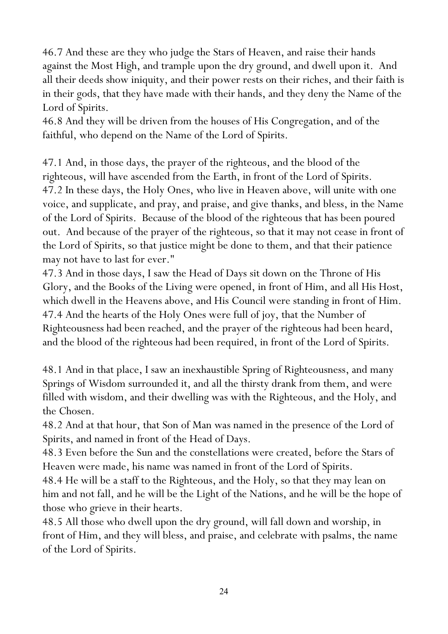46.7 And these are they who judge the Stars of Heaven, and raise their hands against the Most High, and trample upon the dry ground, and dwell upon it. And all their deeds show iniquity, and their power rests on their riches, and their faith is in their gods, that they have made with their hands, and they deny the Name of the Lord of Spirits.

46.8 And they will be driven from the houses of His Congregation, and of the faithful, who depend on the Name of the Lord of Spirits.

47.1 And, in those days, the prayer of the righteous, and the blood of the righteous, will have ascended from the Earth, in front of the Lord of Spirits. 47.2 In these days, the Holy Ones, who live in Heaven above, will unite with one voice, and supplicate, and pray, and praise, and give thanks, and bless, in the Name of the Lord of Spirits. Because of the blood of the righteous that has been poured out. And because of the prayer of the righteous, so that it may not cease in front of the Lord of Spirits, so that justice might be done to them, and that their patience may not have to last for ever."

47.3 And in those days, I saw the Head of Days sit down on the Throne of His Glory, and the Books of the Living were opened, in front of Him, and all His Host, which dwell in the Heavens above, and His Council were standing in front of Him. 47.4 And the hearts of the Holy Ones were full of joy, that the Number of Righteousness had been reached, and the prayer of the righteous had been heard, and the blood of the righteous had been required, in front of the Lord of Spirits.

48.1 And in that place, I saw an inexhaustible Spring of Righteousness, and many Springs of Wisdom surrounded it, and all the thirsty drank from them, and were filled with wisdom, and their dwelling was with the Righteous, and the Holy, and the Chosen.

48.2 And at that hour, that Son of Man was named in the presence of the Lord of Spirits, and named in front of the Head of Days.

48.3 Even before the Sun and the constellations were created, before the Stars of Heaven were made, his name was named in front of the Lord of Spirits.

48.4 He will be a staff to the Righteous, and the Holy, so that they may lean on him and not fall, and he will be the Light of the Nations, and he will be the hope of those who grieve in their hearts.

48.5 All those who dwell upon the dry ground, will fall down and worship, in front of Him, and they will bless, and praise, and celebrate with psalms, the name of the Lord of Spirits.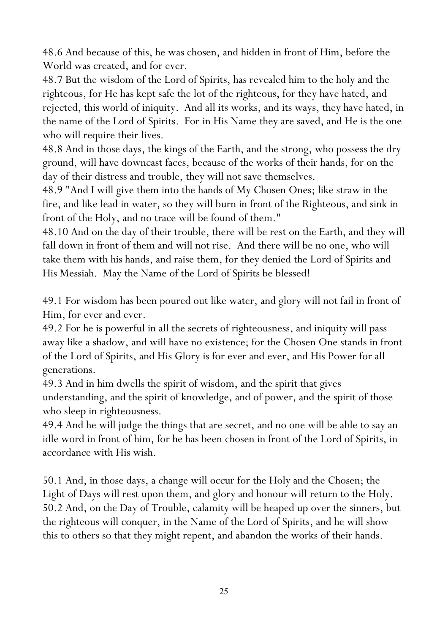48.6 And because of this, he was chosen, and hidden in front of Him, before the World was created, and for ever.

48.7 But the wisdom of the Lord of Spirits, has revealed him to the holy and the righteous, for He has kept safe the lot of the righteous, for they have hated, and rejected, this world of iniquity. And all its works, and its ways, they have hated, in the name of the Lord of Spirits. For in His Name they are saved, and He is the one who will require their lives.

48.8 And in those days, the kings of the Earth, and the strong, who possess the dry ground, will have downcast faces, because of the works of their hands, for on the day of their distress and trouble, they will not save themselves.

48.9 "And I will give them into the hands of My Chosen Ones; like straw in the fire, and like lead in water, so they will burn in front of the Righteous, and sink in front of the Holy, and no trace will be found of them."

48.10 And on the day of their trouble, there will be rest on the Earth, and they will fall down in front of them and will not rise. And there will be no one, who will take them with his hands, and raise them, for they denied the Lord of Spirits and His Messiah. May the Name of the Lord of Spirits be blessed!

49.1 For wisdom has been poured out like water, and glory will not fail in front of Him, for ever and ever.

49.2 For he is powerful in all the secrets of righteousness, and iniquity will pass away like a shadow, and will have no existence; for the Chosen One stands in front of the Lord of Spirits, and His Glory is for ever and ever, and His Power for all generations.

49.3 And in him dwells the spirit of wisdom, and the spirit that gives understanding, and the spirit of knowledge, and of power, and the spirit of those who sleep in righteousness.

49.4 And he will judge the things that are secret, and no one will be able to say an idle word in front of him, for he has been chosen in front of the Lord of Spirits, in accordance with His wish.

50.1 And, in those days, a change will occur for the Holy and the Chosen; the Light of Days will rest upon them, and glory and honour will return to the Holy. 50.2 And, on the Day of Trouble, calamity will be heaped up over the sinners, but the righteous will conquer, in the Name of the Lord of Spirits, and he will show this to others so that they might repent, and abandon the works of their hands.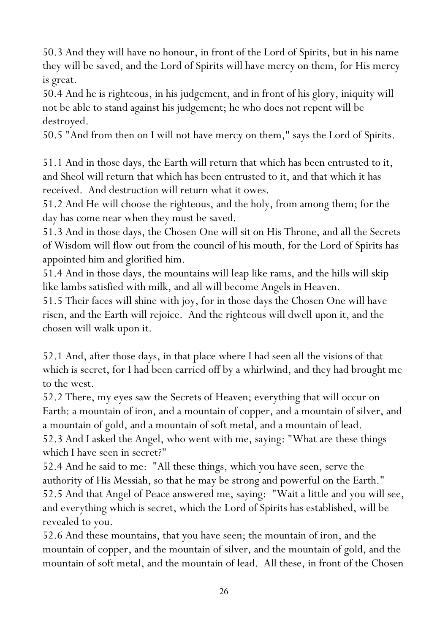50.3 And they will have no honour, in front of the Lord of Spirits, but in his name they will be saved, and the Lord of Spirits will have mercy on them, for His mercy is great.

50.4 And he is righteous, in his judgement, and in front of his glory, iniquity will not be able to stand against his judgement; he who does not repent will be destroyed.

50.5 "And from then on I will not have mercy on them," says the Lord of Spirits.

51.1 And in those days, the Earth will return that which has been entrusted to it, and Sheol will return that which has been entrusted to it, and that which it has received. And destruction will return what it owes.

51.2 And He will choose the righteous, and the holy, from among them; for the day has come near when they must be saved.

51.3 And in those days, the Chosen One will sit on His Throne, and all the Secrets of Wisdom will flow out from the council of his mouth, for the Lord of Spirits has appointed him and glorified him.

51.4 And in those days, the mountains will leap like rams, and the hills will skip like lambs satisfied with milk, and all will become Angels in Heaven.

51.5 Their faces will shine with joy, for in those days the Chosen One will have risen, and the Earth will rejoice. And the righteous will dwell upon it, and the chosen will walk upon it.

52.1 And, after those days, in that place where I had seen all the visions of that which is secret, for I had been carried off by a whirlwind, and they had brought me to the west.

52.2 There, my eyes saw the Secrets of Heaven; everything that will occur on Earth: a mountain of iron, and a mountain of copper, and a mountain of silver, and a mountain of gold, and a mountain of soft metal, and a mountain of lead. 52.3 And I asked the Angel, who went with me, saying: "What are these things which I have seen in secret?"

52.4 And he said to me: "All these things, which you have seen, serve the authority of His Messiah, so that he may be strong and powerful on the Earth." 52.5 And that Angel of Peace answered me, saying: "Wait a little and you will see, and everything which is secret, which the Lord of Spirits has established, will be revealed to you.

52.6 And these mountains, that you have seen; the mountain of iron, and the mountain of copper, and the mountain of silver, and the mountain of gold, and the mountain of soft metal, and the mountain of lead. All these, in front of the Chosen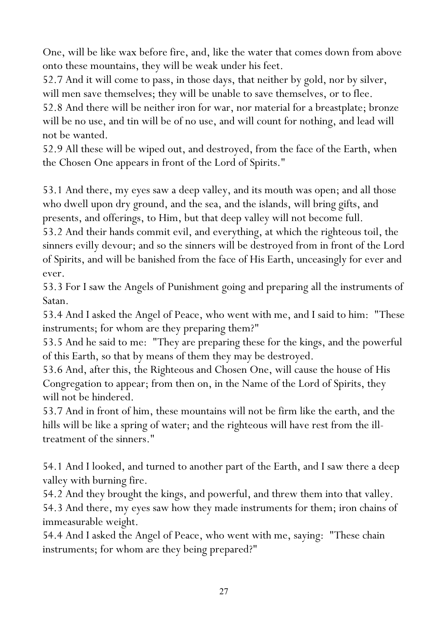One, will be like wax before fire, and, like the water that comes down from above onto these mountains, they will be weak under his feet.

52.7 And it will come to pass, in those days, that neither by gold, nor by silver, will men save themselves; they will be unable to save themselves, or to flee.

52.8 And there will be neither iron for war, nor material for a breastplate; bronze will be no use, and tin will be of no use, and will count for nothing, and lead will not be wanted.

52.9 All these will be wiped out, and destroyed, from the face of the Earth, when the Chosen One appears in front of the Lord of Spirits."

53.1 And there, my eyes saw a deep valley, and its mouth was open; and all those who dwell upon dry ground, and the sea, and the islands, will bring gifts, and presents, and offerings, to Him, but that deep valley will not become full.

53.2 And their hands commit evil, and everything, at which the righteous toil, the sinners evilly devour; and so the sinners will be destroyed from in front of the Lord of Spirits, and will be banished from the face of His Earth, unceasingly for ever and ever.

53.3 For I saw the Angels of Punishment going and preparing all the instruments of Satan.

53.4 And I asked the Angel of Peace, who went with me, and I said to him: "These instruments; for whom are they preparing them?"

53.5 And he said to me: "They are preparing these for the kings, and the powerful of this Earth, so that by means of them they may be destroyed.

53.6 And, after this, the Righteous and Chosen One, will cause the house of His Congregation to appear; from then on, in the Name of the Lord of Spirits, they will not be hindered.

53.7 And in front of him, these mountains will not be firm like the earth, and the hills will be like a spring of water; and the righteous will have rest from the illtreatment of the sinners."

54.1 And I looked, and turned to another part of the Earth, and I saw there a deep valley with burning fire.

54.2 And they brought the kings, and powerful, and threw them into that valley. 54.3 And there, my eyes saw how they made instruments for them; iron chains of immeasurable weight.

54.4 And I asked the Angel of Peace, who went with me, saying: "These chain instruments; for whom are they being prepared?"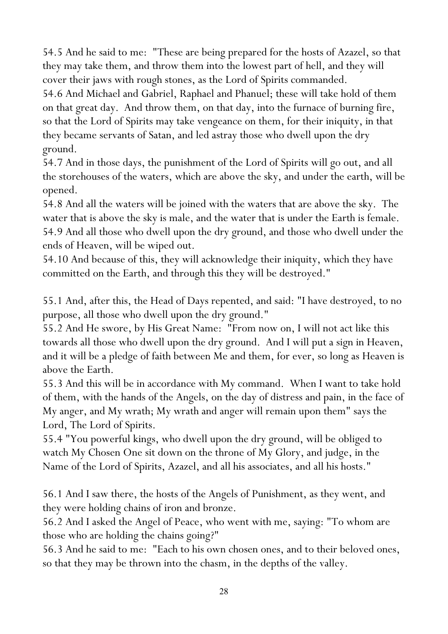54.5 And he said to me: "These are being prepared for the hosts of Azazel, so that they may take them, and throw them into the lowest part of hell, and they will cover their jaws with rough stones, as the Lord of Spirits commanded.

54.6 And Michael and Gabriel, Raphael and Phanuel; these will take hold of them on that great day. And throw them, on that day, into the furnace of burning fire, so that the Lord of Spirits may take vengeance on them, for their iniquity, in that they became servants of Satan, and led astray those who dwell upon the dry ground.

54.7 And in those days, the punishment of the Lord of Spirits will go out, and all the storehouses of the waters, which are above the sky, and under the earth, will be opened.

54.8 And all the waters will be joined with the waters that are above the sky. The water that is above the sky is male, and the water that is under the Earth is female. 54.9 And all those who dwell upon the dry ground, and those who dwell under the ends of Heaven, will be wiped out.

54.10 And because of this, they will acknowledge their iniquity, which they have committed on the Earth, and through this they will be destroyed."

55.1 And, after this, the Head of Days repented, and said: "I have destroyed, to no purpose, all those who dwell upon the dry ground."

55.2 And He swore, by His Great Name: "From now on, I will not act like this towards all those who dwell upon the dry ground. And I will put a sign in Heaven, and it will be a pledge of faith between Me and them, for ever, so long as Heaven is above the Earth.

55.3 And this will be in accordance with My command. When I want to take hold of them, with the hands of the Angels, on the day of distress and pain, in the face of My anger, and My wrath; My wrath and anger will remain upon them" says the Lord, The Lord of Spirits.

55.4 "You powerful kings, who dwell upon the dry ground, will be obliged to watch My Chosen One sit down on the throne of My Glory, and judge, in the Name of the Lord of Spirits, Azazel, and all his associates, and all his hosts."

56.1 And I saw there, the hosts of the Angels of Punishment, as they went, and they were holding chains of iron and bronze.

56.2 And I asked the Angel of Peace, who went with me, saying: "To whom are those who are holding the chains going?"

56.3 And he said to me: "Each to his own chosen ones, and to their beloved ones, so that they may be thrown into the chasm, in the depths of the valley.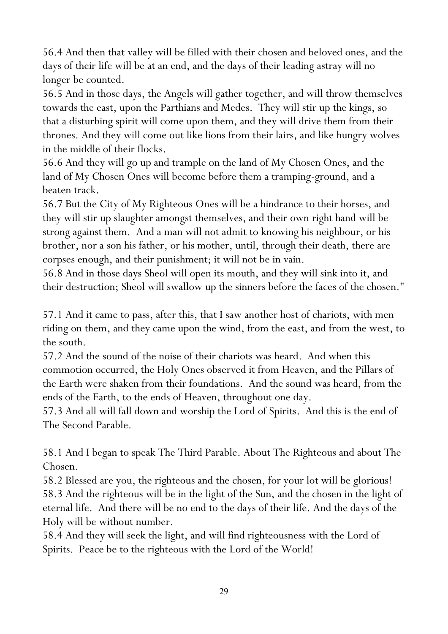56.4 And then that valley will be filled with their chosen and beloved ones, and the days of their life will be at an end, and the days of their leading astray will no longer be counted.

56.5 And in those days, the Angels will gather together, and will throw themselves towards the east, upon the Parthians and Medes. They will stir up the kings, so that a disturbing spirit will come upon them, and they will drive them from their thrones. And they will come out like lions from their lairs, and like hungry wolves in the middle of their flocks.

56.6 And they will go up and trample on the land of My Chosen Ones, and the land of My Chosen Ones will become before them a tramping-ground, and a beaten track.

56.7 But the City of My Righteous Ones will be a hindrance to their horses, and they will stir up slaughter amongst themselves, and their own right hand will be strong against them. And a man will not admit to knowing his neighbour, or his brother, nor a son his father, or his mother, until, through their death, there are corpses enough, and their punishment; it will not be in vain.

56.8 And in those days Sheol will open its mouth, and they will sink into it, and their destruction; Sheol will swallow up the sinners before the faces of the chosen."

57.1 And it came to pass, after this, that I saw another host of chariots, with men riding on them, and they came upon the wind, from the east, and from the west, to the south.

57.2 And the sound of the noise of their chariots was heard. And when this commotion occurred, the Holy Ones observed it from Heaven, and the Pillars of the Earth were shaken from their foundations. And the sound was heard, from the ends of the Earth, to the ends of Heaven, throughout one day.

57.3 And all will fall down and worship the Lord of Spirits. And this is the end of The Second Parable.

58.1 And I began to speak The Third Parable. About The Righteous and about The Chosen.

58.2 Blessed are you, the righteous and the chosen, for your lot will be glorious! 58.3 And the righteous will be in the light of the Sun, and the chosen in the light of eternal life. And there will be no end to the days of their life. And the days of the Holy will be without number.

58.4 And they will seek the light, and will find righteousness with the Lord of Spirits. Peace be to the righteous with the Lord of the World!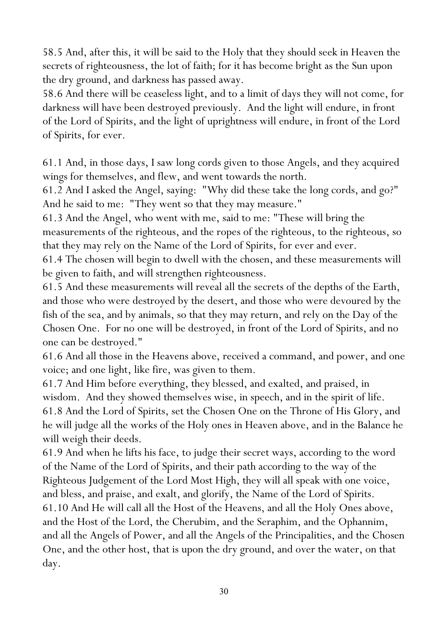58.5 And, after this, it will be said to the Holy that they should seek in Heaven the secrets of righteousness, the lot of faith; for it has become bright as the Sun upon the dry ground, and darkness has passed away.

58.6 And there will be ceaseless light, and to a limit of days they will not come, for darkness will have been destroyed previously. And the light will endure, in front of the Lord of Spirits, and the light of uprightness will endure, in front of the Lord of Spirits, for ever.

61.1 And, in those days, I saw long cords given to those Angels, and they acquired wings for themselves, and flew, and went towards the north.

61.2 And I asked the Angel, saying: "Why did these take the long cords, and go?" And he said to me: "They went so that they may measure."

61.3 And the Angel, who went with me, said to me: "These will bring the measurements of the righteous, and the ropes of the righteous, to the righteous, so that they may rely on the Name of the Lord of Spirits, for ever and ever.

61.4 The chosen will begin to dwell with the chosen, and these measurements will be given to faith, and will strengthen righteousness.

61.5 And these measurements will reveal all the secrets of the depths of the Earth, and those who were destroyed by the desert, and those who were devoured by the fish of the sea, and by animals, so that they may return, and rely on the Day of the Chosen One. For no one will be destroyed, in front of the Lord of Spirits, and no one can be destroyed."

61.6 And all those in the Heavens above, received a command, and power, and one voice; and one light, like fire, was given to them.

61.7 And Him before everything, they blessed, and exalted, and praised, in wisdom. And they showed themselves wise, in speech, and in the spirit of life. 61.8 And the Lord of Spirits, set the Chosen One on the Throne of His Glory, and he will judge all the works of the Holy ones in Heaven above, and in the Balance he will weigh their deeds.

61.9 And when he lifts his face, to judge their secret ways, according to the word of the Name of the Lord of Spirits, and their path according to the way of the Righteous Judgement of the Lord Most High, they will all speak with one voice, and bless, and praise, and exalt, and glorify, the Name of the Lord of Spirits. 61.10 And He will call all the Host of the Heavens, and all the Holy Ones above, and the Host of the Lord, the Cherubim, and the Seraphim, and the Ophannim, and all the Angels of Power, and all the Angels of the Principalities, and the Chosen One, and the other host, that is upon the dry ground, and over the water, on that day.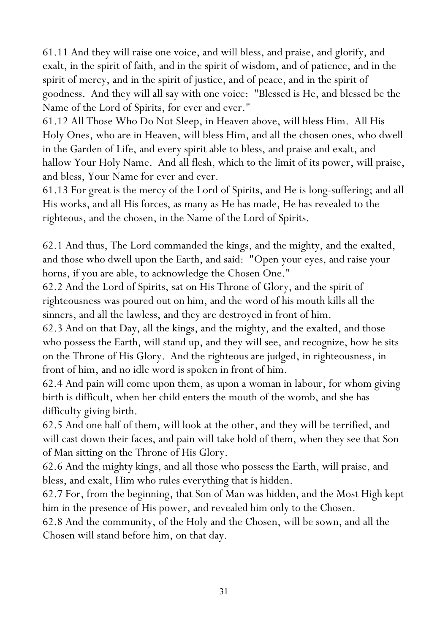61.11 And they will raise one voice, and will bless, and praise, and glorify, and exalt, in the spirit of faith, and in the spirit of wisdom, and of patience, and in the spirit of mercy, and in the spirit of justice, and of peace, and in the spirit of goodness. And they will all say with one voice: "Blessed is He, and blessed be the Name of the Lord of Spirits, for ever and ever."

61.12 All Those Who Do Not Sleep, in Heaven above, will bless Him. All His Holy Ones, who are in Heaven, will bless Him, and all the chosen ones, who dwell in the Garden of Life, and every spirit able to bless, and praise and exalt, and hallow Your Holy Name. And all flesh, which to the limit of its power, will praise, and bless, Your Name for ever and ever.

61.13 For great is the mercy of the Lord of Spirits, and He is long-suffering; and all His works, and all His forces, as many as He has made, He has revealed to the righteous, and the chosen, in the Name of the Lord of Spirits.

62.1 And thus, The Lord commanded the kings, and the mighty, and the exalted, and those who dwell upon the Earth, and said: "Open your eyes, and raise your horns, if you are able, to acknowledge the Chosen One."

62.2 And the Lord of Spirits, sat on His Throne of Glory, and the spirit of righteousness was poured out on him, and the word of his mouth kills all the sinners, and all the lawless, and they are destroyed in front of him.

62.3 And on that Day, all the kings, and the mighty, and the exalted, and those who possess the Earth, will stand up, and they will see, and recognize, how he sits on the Throne of His Glory. And the righteous are judged, in righteousness, in front of him, and no idle word is spoken in front of him.

62.4 And pain will come upon them, as upon a woman in labour, for whom giving birth is difficult, when her child enters the mouth of the womb, and she has difficulty giving birth.

62.5 And one half of them, will look at the other, and they will be terrified, and will cast down their faces, and pain will take hold of them, when they see that Son of Man sitting on the Throne of His Glory.

62.6 And the mighty kings, and all those who possess the Earth, will praise, and bless, and exalt, Him who rules everything that is hidden.

62.7 For, from the beginning, that Son of Man was hidden, and the Most High kept him in the presence of His power, and revealed him only to the Chosen.

62.8 And the community, of the Holy and the Chosen, will be sown, and all the Chosen will stand before him, on that day.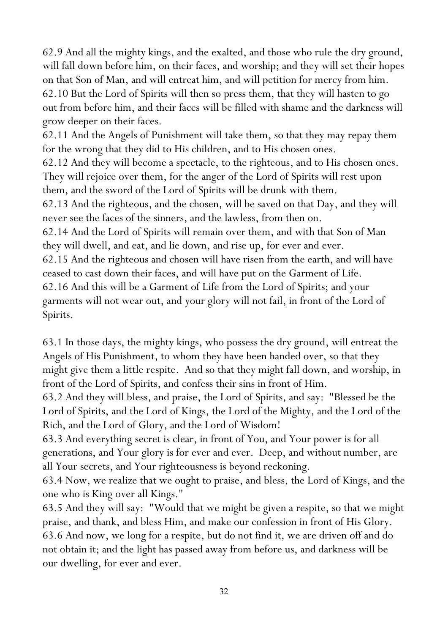62.9 And all the mighty kings, and the exalted, and those who rule the dry ground, will fall down before him, on their faces, and worship; and they will set their hopes on that Son of Man, and will entreat him, and will petition for mercy from him. 62.10 But the Lord of Spirits will then so press them, that they will hasten to go out from before him, and their faces will be filled with shame and the darkness will grow deeper on their faces.

62.11 And the Angels of Punishment will take them, so that they may repay them for the wrong that they did to His children, and to His chosen ones.

62.12 And they will become a spectacle, to the righteous, and to His chosen ones. They will rejoice over them, for the anger of the Lord of Spirits will rest upon them, and the sword of the Lord of Spirits will be drunk with them.

62.13 And the righteous, and the chosen, will be saved on that Day, and they will never see the faces of the sinners, and the lawless, from then on.

62.14 And the Lord of Spirits will remain over them, and with that Son of Man they will dwell, and eat, and lie down, and rise up, for ever and ever.

62.15 And the righteous and chosen will have risen from the earth, and will have ceased to cast down their faces, and will have put on the Garment of Life.

62.16 And this will be a Garment of Life from the Lord of Spirits; and your garments will not wear out, and your glory will not fail, in front of the Lord of Spirits.

63.1 In those days, the mighty kings, who possess the dry ground, will entreat the Angels of His Punishment, to whom they have been handed over, so that they might give them a little respite. And so that they might fall down, and worship, in front of the Lord of Spirits, and confess their sins in front of Him.

63.2 And they will bless, and praise, the Lord of Spirits, and say: "Blessed be the Lord of Spirits, and the Lord of Kings, the Lord of the Mighty, and the Lord of the Rich, and the Lord of Glory, and the Lord of Wisdom!

63.3 And everything secret is clear, in front of You, and Your power is for all generations, and Your glory is for ever and ever. Deep, and without number, are all Your secrets, and Your righteousness is beyond reckoning.

63.4 Now, we realize that we ought to praise, and bless, the Lord of Kings, and the one who is King over all Kings."

63.5 And they will say: "Would that we might be given a respite, so that we might praise, and thank, and bless Him, and make our confession in front of His Glory. 63.6 And now, we long for a respite, but do not find it, we are driven off and do not obtain it; and the light has passed away from before us, and darkness will be our dwelling, for ever and ever.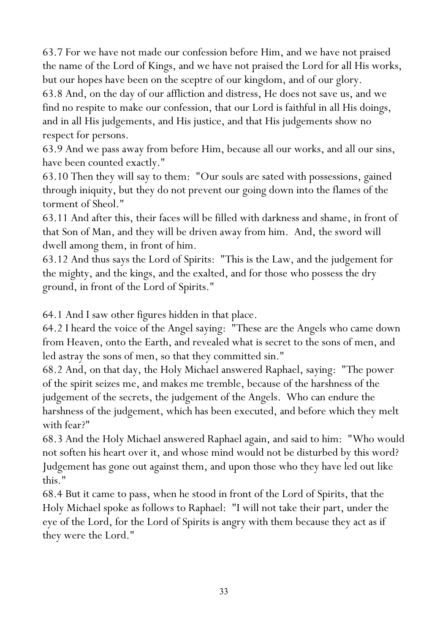63.7 For we have not made our confession before Him, and we have not praised the name of the Lord of Kings, and we have not praised the Lord for all His works, but our hopes have been on the sceptre of our kingdom, and of our glory. 63.8 And, on the day of our affliction and distress, He does not save us, and we find no respite to make our confession, that our Lord is faithful in all His doings, and in all His judgements, and His justice, and that His judgements show no respect for persons.

63.9 And we pass away from before Him, because all our works, and all our sins, have been counted exactly."

63.10 Then they will say to them: "Our souls are sated with possessions, gained through iniquity, but they do not prevent our going down into the flames of the torment of Sheol."

63.11 And after this, their faces will be filled with darkness and shame, in front of that Son of Man, and they will be driven away from him. And, the sword will dwell among them, in front of him.

63.12 And thus says the Lord of Spirits: "This is the Law, and the judgement for the mighty, and the kings, and the exalted, and for those who possess the dry ground, in front of the Lord of Spirits."

64.1 And I saw other figures hidden in that place.

64.2 I heard the voice of the Angel saying: "These are the Angels who came down from Heaven, onto the Earth, and revealed what is secret to the sons of men, and led astray the sons of men, so that they committed sin."

68.2 And, on that day, the Holy Michael answered Raphael, saying: "The power of the spirit seizes me, and makes me tremble, because of the harshness of the judgement of the secrets, the judgement of the Angels. Who can endure the harshness of the judgement, which has been executed, and before which they melt with fear?"

68.3 And the Holy Michael answered Raphael again, and said to him: "Who would not soften his heart over it, and whose mind would not be disturbed by this word? Judgement has gone out against them, and upon those who they have led out like this."

68.4 But it came to pass, when he stood in front of the Lord of Spirits, that the Holy Michael spoke as follows to Raphael: "I will not take their part, under the eye of the Lord, for the Lord of Spirits is angry with them because they act as if they were the Lord."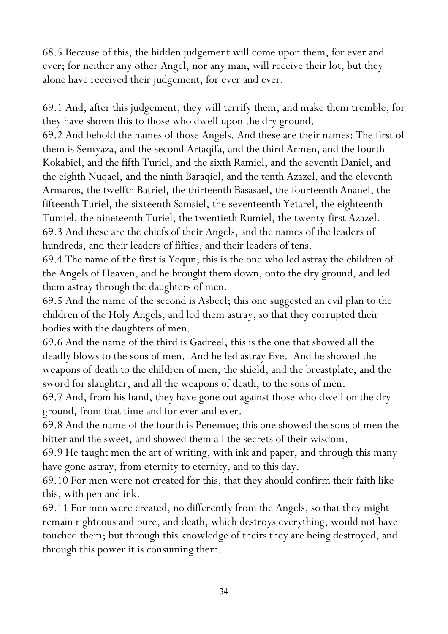68.5 Because of this, the hidden judgement will come upon them, for ever and ever; for neither any other Angel, nor any man, will receive their lot, but they alone have received their judgement, for ever and ever.

69.1 And, after this judgement, they will terrify them, and make them tremble, for they have shown this to those who dwell upon the dry ground.

69.2 And behold the names of those Angels. And these are their names: The first of them is Semyaza, and the second Artaqifa, and the third Armen, and the fourth Kokabiel, and the fifth Turiel, and the sixth Ramiel, and the seventh Daniel, and the eighth Nuqael, and the ninth Baraqiel, and the tenth Azazel, and the eleventh Armaros, the twelfth Batriel, the thirteenth Basasael, the fourteenth Ananel, the fifteenth Turiel, the sixteenth Samsiel, the seventeenth Yetarel, the eighteenth Tumiel, the nineteenth Turiel, the twentieth Rumiel, the twenty-first Azazel. 69.3 And these are the chiefs of their Angels, and the names of the leaders of hundreds, and their leaders of fifties, and their leaders of tens.

69.4 The name of the first is Yequn; this is the one who led astray the children of the Angels of Heaven, and he brought them down, onto the dry ground, and led them astray through the daughters of men.

69.5 And the name of the second is Asbeel; this one suggested an evil plan to the children of the Holy Angels, and led them astray, so that they corrupted their bodies with the daughters of men.

69.6 And the name of the third is Gadreel; this is the one that showed all the deadly blows to the sons of men. And he led astray Eve. And he showed the weapons of death to the children of men, the shield, and the breastplate, and the sword for slaughter, and all the weapons of death, to the sons of men.

69.7 And, from his hand, they have gone out against those who dwell on the dry ground, from that time and for ever and ever.

69.8 And the name of the fourth is Penemue; this one showed the sons of men the bitter and the sweet, and showed them all the secrets of their wisdom.

69.9 He taught men the art of writing, with ink and paper, and through this many have gone astray, from eternity to eternity, and to this day.

69.10 For men were not created for this, that they should confirm their faith like this, with pen and ink.

69.11 For men were created, no differently from the Angels, so that they might remain righteous and pure, and death, which destroys everything, would not have touched them; but through this knowledge of theirs they are being destroyed, and through this power it is consuming them.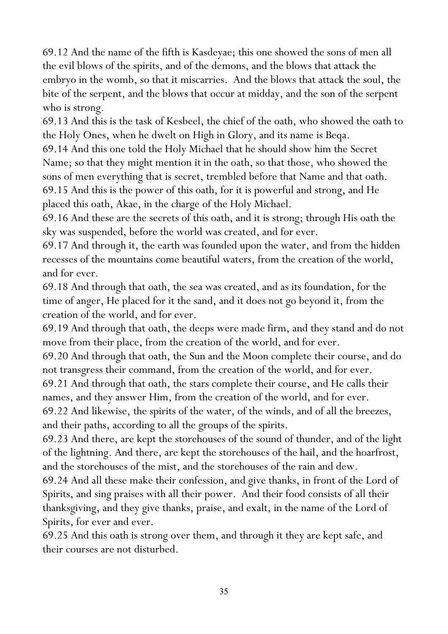69.12 And the name of the fifth is Kasdeyae; this one showed the sons of men all the evil blows of the spirits, and of the demons, and the blows that attack the embryo in the womb, so that it miscarries. And the blows that attack the soul, the bite of the serpent, and the blows that occur at midday, and the son of the serpent who is strong.

69.13 And this is the task of Kesbeel, the chief of the oath, who showed the oath to the Holy Ones, when he dwelt on High in Glory, and its name is Beqa.

69.14 And this one told the Holy Michael that he should show him the Secret Name; so that they might mention it in the oath, so that those, who showed the sons of men everything that is secret, trembled before that Name and that oath. 69.15 And this is the power of this oath, for it is powerful and strong, and He placed this oath, Akae, in the charge of the Holy Michael.

69.16 And these are the secrets of this oath, and it is strong; through His oath the sky was suspended, before the world was created, and for ever.

69.17 And through it, the earth was founded upon the water, and from the hidden recesses of the mountains come beautiful waters, from the creation of the world, and for ever.

69.18 And through that oath, the sea was created, and as its foundation, for the time of anger, He placed for it the sand, and it does not go beyond it, from the creation of the world, and for ever.

69.19 And through that oath, the deeps were made firm, and they stand and do not move from their place, from the creation of the world, and for ever.

69.20 And through that oath, the Sun and the Moon complete their course, and do not transgress their command, from the creation of the world, and for ever.

69.21 And through that oath, the stars complete their course, and He calls their names, and they answer Him, from the creation of the world, and for ever.

69.22 And likewise, the spirits of the water, of the winds, and of all the breezes, and their paths, according to all the groups of the spirits.

69.23 And there, are kept the storehouses of the sound of thunder, and of the light of the lightning. And there, are kept the storehouses of the hail, and the hoarfrost, and the storehouses of the mist, and the storehouses of the rain and dew.

69.24 And all these make their confession, and give thanks, in front of the Lord of Spirits, and sing praises with all their power. And their food consists of all their thanksgiving, and they give thanks, praise, and exalt, in the name of the Lord of Spirits, for ever and ever.

69.25 And this oath is strong over them, and through it they are kept safe, and their courses are not disturbed.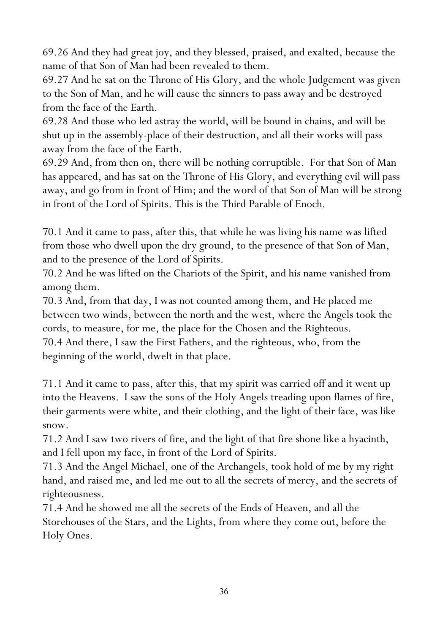69.26 And they had great joy, and they blessed, praised, and exalted, because the name of that Son of Man had been revealed to them.

69.27 And he sat on the Throne of His Glory, and the whole Judgement was given to the Son of Man, and he will cause the sinners to pass away and be destroyed from the face of the Earth.

69.28 And those who led astray the world, will be bound in chains, and will be shut up in the assembly-place of their destruction, and all their works will pass away from the face of the Earth.

69.29 And, from then on, there will be nothing corruptible. For that Son of Man has appeared, and has sat on the Throne of His Glory, and everything evil will pass away, and go from in front of Him; and the word of that Son of Man will be strong in front of the Lord of Spirits. This is the Third Parable of Enoch.

70.1 And it came to pass, after this, that while he was living his name was lifted from those who dwell upon the dry ground, to the presence of that Son of Man, and to the presence of the Lord of Spirits.

70.2 And he was lifted on the Chariots of the Spirit, and his name vanished from among them.

70.3 And, from that day, I was not counted among them, and He placed me between two winds, between the north and the west, where the Angels took the cords, to measure, for me, the place for the Chosen and the Righteous. 70.4 And there, I saw the First Fathers, and the righteous, who, from the

beginning of the world, dwelt in that place.

71.1 And it came to pass, after this, that my spirit was carried off and it went up into the Heavens. I saw the sons of the Holy Angels treading upon flames of fire, their garments were white, and their clothing, and the light of their face, was like snow.

71.2 And I saw two rivers of fire, and the light of that fire shone like a hyacinth, and I fell upon my face, in front of the Lord of Spirits.

71.3 And the Angel Michael, one of the Archangels, took hold of me by my right hand, and raised me, and led me out to all the secrets of mercy, and the secrets of righteousness.

71.4 And he showed me all the secrets of the Ends of Heaven, and all the Storehouses of the Stars, and the Lights, from where they come out, before the Holy Ones.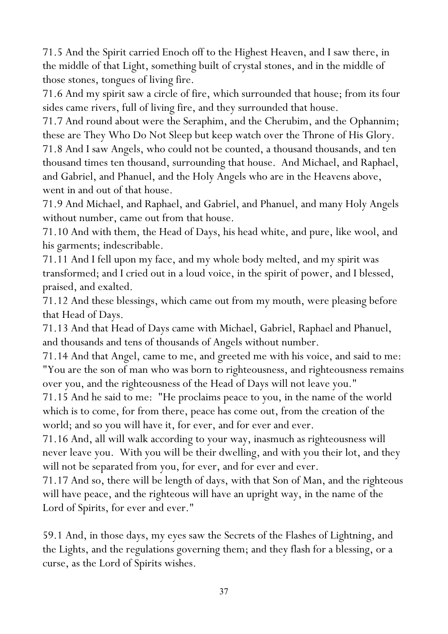71.5 And the Spirit carried Enoch off to the Highest Heaven, and I saw there, in the middle of that Light, something built of crystal stones, and in the middle of those stones, tongues of living fire.

71.6 And my spirit saw a circle of fire, which surrounded that house; from its four sides came rivers, full of living fire, and they surrounded that house.

71.7 And round about were the Seraphim, and the Cherubim, and the Ophannim; these are They Who Do Not Sleep but keep watch over the Throne of His Glory. 71.8 And I saw Angels, who could not be counted, a thousand thousands, and ten thousand times ten thousand, surrounding that house. And Michael, and Raphael, and Gabriel, and Phanuel, and the Holy Angels who are in the Heavens above, went in and out of that house.

71.9 And Michael, and Raphael, and Gabriel, and Phanuel, and many Holy Angels without number, came out from that house.

71.10 And with them, the Head of Days, his head white, and pure, like wool, and his garments; indescribable.

71.11 And I fell upon my face, and my whole body melted, and my spirit was transformed; and I cried out in a loud voice, in the spirit of power, and I blessed, praised, and exalted.

71.12 And these blessings, which came out from my mouth, were pleasing before that Head of Days.

71.13 And that Head of Days came with Michael, Gabriel, Raphael and Phanuel, and thousands and tens of thousands of Angels without number.

71.14 And that Angel, came to me, and greeted me with his voice, and said to me: "You are the son of man who was born to righteousness, and righteousness remains over you, and the righteousness of the Head of Days will not leave you."

71.15 And he said to me: "He proclaims peace to you, in the name of the world which is to come, for from there, peace has come out, from the creation of the world; and so you will have it, for ever, and for ever and ever.

71.16 And, all will walk according to your way, inasmuch as righteousness will never leave you. With you will be their dwelling, and with you their lot, and they will not be separated from you, for ever, and for ever and ever.

71.17 And so, there will be length of days, with that Son of Man, and the righteous will have peace, and the righteous will have an upright way, in the name of the Lord of Spirits, for ever and ever."

59.1 And, in those days, my eyes saw the Secrets of the Flashes of Lightning, and the Lights, and the regulations governing them; and they flash for a blessing, or a curse, as the Lord of Spirits wishes.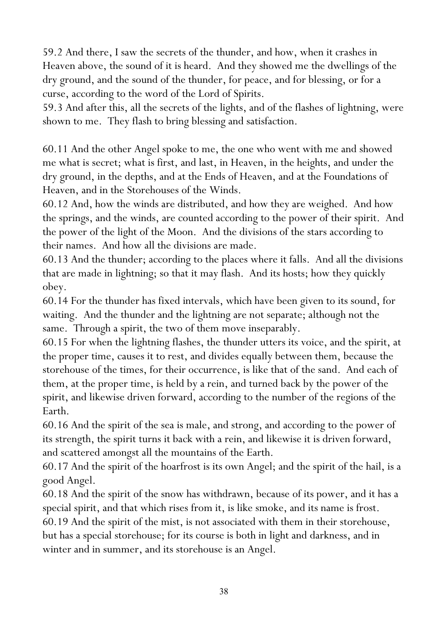59.2 And there, I saw the secrets of the thunder, and how, when it crashes in Heaven above, the sound of it is heard. And they showed me the dwellings of the dry ground, and the sound of the thunder, for peace, and for blessing, or for a curse, according to the word of the Lord of Spirits.

59.3 And after this, all the secrets of the lights, and of the flashes of lightning, were shown to me. They flash to bring blessing and satisfaction.

60.11 And the other Angel spoke to me, the one who went with me and showed me what is secret; what is first, and last, in Heaven, in the heights, and under the dry ground, in the depths, and at the Ends of Heaven, and at the Foundations of Heaven, and in the Storehouses of the Winds.

60.12 And, how the winds are distributed, and how they are weighed. And how the springs, and the winds, are counted according to the power of their spirit. And the power of the light of the Moon. And the divisions of the stars according to their names. And how all the divisions are made.

60.13 And the thunder; according to the places where it falls. And all the divisions that are made in lightning; so that it may flash. And its hosts; how they quickly obey.

60.14 For the thunder has fixed intervals, which have been given to its sound, for waiting. And the thunder and the lightning are not separate; although not the same. Through a spirit, the two of them move inseparably.

60.15 For when the lightning flashes, the thunder utters its voice, and the spirit, at the proper time, causes it to rest, and divides equally between them, because the storehouse of the times, for their occurrence, is like that of the sand. And each of them, at the proper time, is held by a rein, and turned back by the power of the spirit, and likewise driven forward, according to the number of the regions of the Earth.

60.16 And the spirit of the sea is male, and strong, and according to the power of its strength, the spirit turns it back with a rein, and likewise it is driven forward, and scattered amongst all the mountains of the Earth.

60.17 And the spirit of the hoarfrost is its own Angel; and the spirit of the hail, is a good Angel.

60.18 And the spirit of the snow has withdrawn, because of its power, and it has a special spirit, and that which rises from it, is like smoke, and its name is frost. 60.19 And the spirit of the mist, is not associated with them in their storehouse, but has a special storehouse; for its course is both in light and darkness, and in winter and in summer, and its storehouse is an Angel.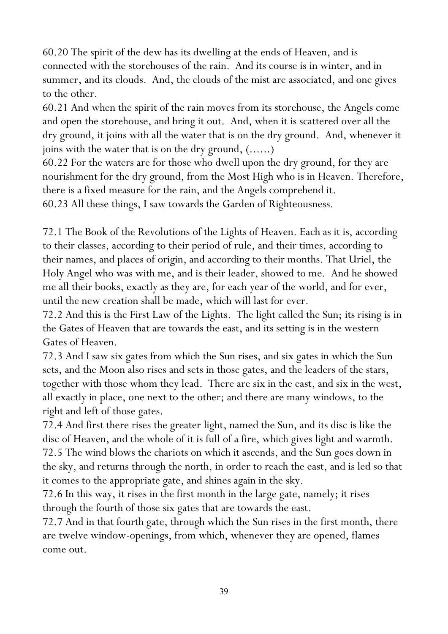60.20 The spirit of the dew has its dwelling at the ends of Heaven, and is connected with the storehouses of the rain. And its course is in winter, and in summer, and its clouds. And, the clouds of the mist are associated, and one gives to the other.

60.21 And when the spirit of the rain moves from its storehouse, the Angels come and open the storehouse, and bring it out. And, when it is scattered over all the dry ground, it joins with all the water that is on the dry ground. And, whenever it joins with the water that is on the dry ground, (......)

60.22 For the waters are for those who dwell upon the dry ground, for they are nourishment for the dry ground, from the Most High who is in Heaven. Therefore, there is a fixed measure for the rain, and the Angels comprehend it. 60.23 All these things, I saw towards the Garden of Righteousness.

72.1 The Book of the Revolutions of the Lights of Heaven. Each as it is, according to their classes, according to their period of rule, and their times, according to their names, and places of origin, and according to their months. That Uriel, the Holy Angel who was with me, and is their leader, showed to me. And he showed me all their books, exactly as they are, for each year of the world, and for ever, until the new creation shall be made, which will last for ever.

72.2 And this is the First Law of the Lights. The light called the Sun; its rising is in the Gates of Heaven that are towards the east, and its setting is in the western Gates of Heaven.

72.3 And I saw six gates from which the Sun rises, and six gates in which the Sun sets, and the Moon also rises and sets in those gates, and the leaders of the stars, together with those whom they lead. There are six in the east, and six in the west, all exactly in place, one next to the other; and there are many windows, to the right and left of those gates.

72.4 And first there rises the greater light, named the Sun, and its disc is like the disc of Heaven, and the whole of it is full of a fire, which gives light and warmth. 72.5 The wind blows the chariots on which it ascends, and the Sun goes down in the sky, and returns through the north, in order to reach the east, and is led so that it comes to the appropriate gate, and shines again in the sky.

72.6 In this way, it rises in the first month in the large gate, namely; it rises through the fourth of those six gates that are towards the east.

72.7 And in that fourth gate, through which the Sun rises in the first month, there are twelve window-openings, from which, whenever they are opened, flames come out.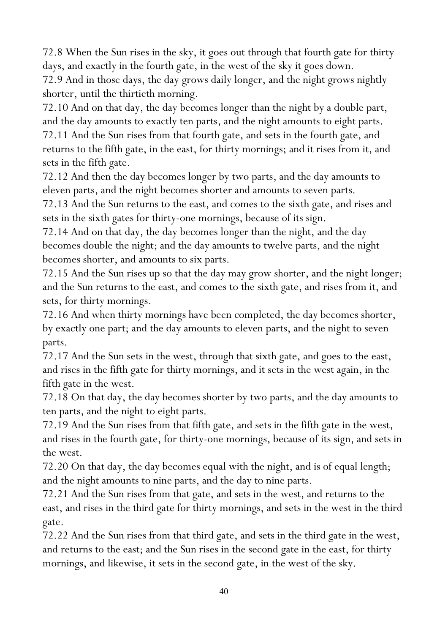72.8 When the Sun rises in the sky, it goes out through that fourth gate for thirty days, and exactly in the fourth gate, in the west of the sky it goes down.

72.9 And in those days, the day grows daily longer, and the night grows nightly shorter, until the thirtieth morning.

72.10 And on that day, the day becomes longer than the night by a double part, and the day amounts to exactly ten parts, and the night amounts to eight parts.

72.11 And the Sun rises from that fourth gate, and sets in the fourth gate, and returns to the fifth gate, in the east, for thirty mornings; and it rises from it, and sets in the fifth gate.

72.12 And then the day becomes longer by two parts, and the day amounts to eleven parts, and the night becomes shorter and amounts to seven parts.

72.13 And the Sun returns to the east, and comes to the sixth gate, and rises and sets in the sixth gates for thirty-one mornings, because of its sign.

72.14 And on that day, the day becomes longer than the night, and the day becomes double the night; and the day amounts to twelve parts, and the night becomes shorter, and amounts to six parts.

72.15 And the Sun rises up so that the day may grow shorter, and the night longer; and the Sun returns to the east, and comes to the sixth gate, and rises from it, and sets, for thirty mornings.

72.16 And when thirty mornings have been completed, the day becomes shorter, by exactly one part; and the day amounts to eleven parts, and the night to seven parts.

72.17 And the Sun sets in the west, through that sixth gate, and goes to the east, and rises in the fifth gate for thirty mornings, and it sets in the west again, in the fifth gate in the west.

72.18 On that day, the day becomes shorter by two parts, and the day amounts to ten parts, and the night to eight parts.

72.19 And the Sun rises from that fifth gate, and sets in the fifth gate in the west, and rises in the fourth gate, for thirty-one mornings, because of its sign, and sets in the west.

72.20 On that day, the day becomes equal with the night, and is of equal length; and the night amounts to nine parts, and the day to nine parts.

72.21 And the Sun rises from that gate, and sets in the west, and returns to the east, and rises in the third gate for thirty mornings, and sets in the west in the third gate.

72.22 And the Sun rises from that third gate, and sets in the third gate in the west, and returns to the east; and the Sun rises in the second gate in the east, for thirty mornings, and likewise, it sets in the second gate, in the west of the sky.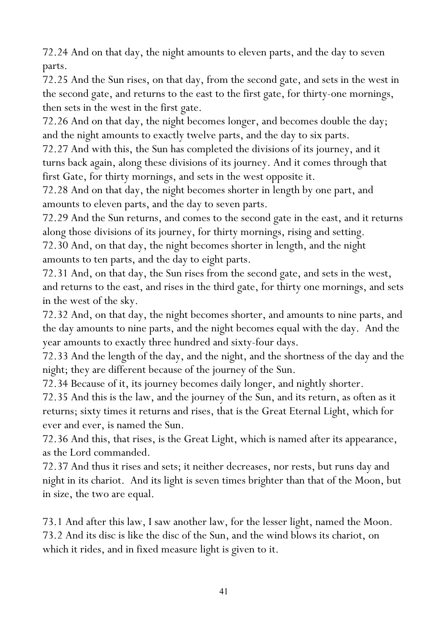72.24 And on that day, the night amounts to eleven parts, and the day to seven parts.

72.25 And the Sun rises, on that day, from the second gate, and sets in the west in the second gate, and returns to the east to the first gate, for thirty-one mornings, then sets in the west in the first gate.

72.26 And on that day, the night becomes longer, and becomes double the day; and the night amounts to exactly twelve parts, and the day to six parts.

72.27 And with this, the Sun has completed the divisions of its journey, and it turns back again, along these divisions of its journey. And it comes through that first Gate, for thirty mornings, and sets in the west opposite it.

72.28 And on that day, the night becomes shorter in length by one part, and amounts to eleven parts, and the day to seven parts.

72.29 And the Sun returns, and comes to the second gate in the east, and it returns along those divisions of its journey, for thirty mornings, rising and setting.

72.30 And, on that day, the night becomes shorter in length, and the night amounts to ten parts, and the day to eight parts.

72.31 And, on that day, the Sun rises from the second gate, and sets in the west, and returns to the east, and rises in the third gate, for thirty one mornings, and sets in the west of the sky.

72.32 And, on that day, the night becomes shorter, and amounts to nine parts, and the day amounts to nine parts, and the night becomes equal with the day. And the year amounts to exactly three hundred and sixty-four days.

72.33 And the length of the day, and the night, and the shortness of the day and the night; they are different because of the journey of the Sun.

72.34 Because of it, its journey becomes daily longer, and nightly shorter.

72.35 And this is the law, and the journey of the Sun, and its return, as often as it returns; sixty times it returns and rises, that is the Great Eternal Light, which for ever and ever, is named the Sun.

72.36 And this, that rises, is the Great Light, which is named after its appearance, as the Lord commanded.

72.37 And thus it rises and sets; it neither decreases, nor rests, but runs day and night in its chariot. And its light is seven times brighter than that of the Moon, but in size, the two are equal.

73.1 And after this law, I saw another law, for the lesser light, named the Moon. 73.2 And its disc is like the disc of the Sun, and the wind blows its chariot, on which it rides, and in fixed measure light is given to it.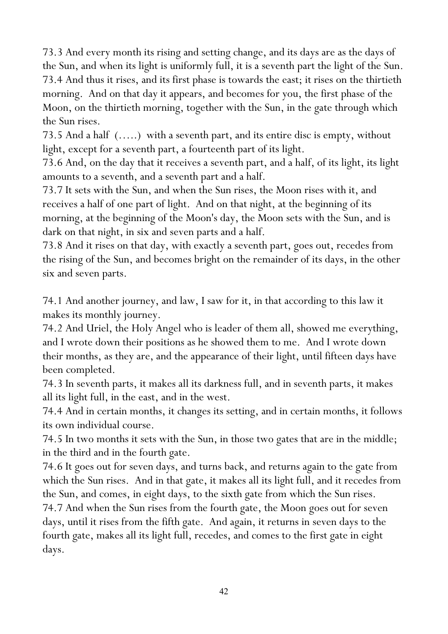73.3 And every month its rising and setting change, and its days are as the days of the Sun, and when its light is uniformly full, it is a seventh part the light of the Sun. 73.4 And thus it rises, and its first phase is towards the east; it rises on the thirtieth morning. And on that day it appears, and becomes for you, the first phase of the Moon, on the thirtieth morning, together with the Sun, in the gate through which the Sun rises.

73.5 And a half (…..) with a seventh part, and its entire disc is empty, without light, except for a seventh part, a fourteenth part of its light.

73.6 And, on the day that it receives a seventh part, and a half, of its light, its light amounts to a seventh, and a seventh part and a half.

73.7 It sets with the Sun, and when the Sun rises, the Moon rises with it, and receives a half of one part of light. And on that night, at the beginning of its morning, at the beginning of the Moon's day, the Moon sets with the Sun, and is dark on that night, in six and seven parts and a half.

73.8 And it rises on that day, with exactly a seventh part, goes out, recedes from the rising of the Sun, and becomes bright on the remainder of its days, in the other six and seven parts.

74.1 And another journey, and law, I saw for it, in that according to this law it makes its monthly journey.

74.2 And Uriel, the Holy Angel who is leader of them all, showed me everything, and I wrote down their positions as he showed them to me. And I wrote down their months, as they are, and the appearance of their light, until fifteen days have been completed.

74.3 In seventh parts, it makes all its darkness full, and in seventh parts, it makes all its light full, in the east, and in the west.

74.4 And in certain months, it changes its setting, and in certain months, it follows its own individual course.

74.5 In two months it sets with the Sun, in those two gates that are in the middle; in the third and in the fourth gate.

74.6 It goes out for seven days, and turns back, and returns again to the gate from which the Sun rises. And in that gate, it makes all its light full, and it recedes from the Sun, and comes, in eight days, to the sixth gate from which the Sun rises.

74.7 And when the Sun rises from the fourth gate, the Moon goes out for seven days, until it rises from the fifth gate. And again, it returns in seven days to the fourth gate, makes all its light full, recedes, and comes to the first gate in eight days.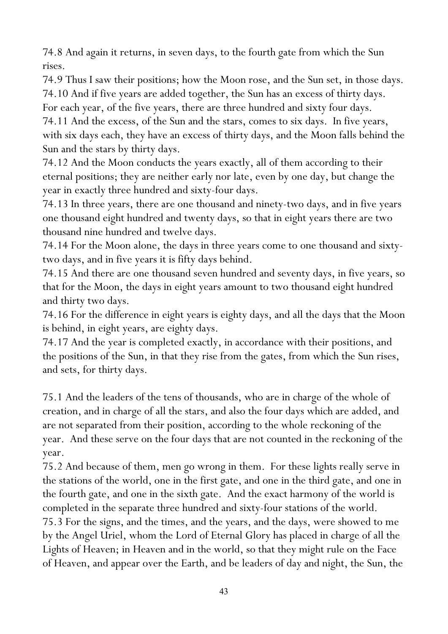74.8 And again it returns, in seven days, to the fourth gate from which the Sun rises.

74.9 Thus I saw their positions; how the Moon rose, and the Sun set, in those days. 74.10 And if five years are added together, the Sun has an excess of thirty days.

For each year, of the five years, there are three hundred and sixty four days.

74.11 And the excess, of the Sun and the stars, comes to six days. In five years, with six days each, they have an excess of thirty days, and the Moon falls behind the Sun and the stars by thirty days.

74.12 And the Moon conducts the years exactly, all of them according to their eternal positions; they are neither early nor late, even by one day, but change the year in exactly three hundred and sixty-four days.

74.13 In three years, there are one thousand and ninety-two days, and in five years one thousand eight hundred and twenty days, so that in eight years there are two thousand nine hundred and twelve days.

74.14 For the Moon alone, the days in three years come to one thousand and sixtytwo days, and in five years it is fifty days behind.

74.15 And there are one thousand seven hundred and seventy days, in five years, so that for the Moon, the days in eight years amount to two thousand eight hundred and thirty two days.

74.16 For the difference in eight years is eighty days, and all the days that the Moon is behind, in eight years, are eighty days.

74.17 And the year is completed exactly, in accordance with their positions, and the positions of the Sun, in that they rise from the gates, from which the Sun rises, and sets, for thirty days.

75.1 And the leaders of the tens of thousands, who are in charge of the whole of creation, and in charge of all the stars, and also the four days which are added, and are not separated from their position, according to the whole reckoning of the year. And these serve on the four days that are not counted in the reckoning of the year.

75.2 And because of them, men go wrong in them. For these lights really serve in the stations of the world, one in the first gate, and one in the third gate, and one in the fourth gate, and one in the sixth gate. And the exact harmony of the world is completed in the separate three hundred and sixty-four stations of the world. 75.3 For the signs, and the times, and the years, and the days, were showed to me by the Angel Uriel, whom the Lord of Eternal Glory has placed in charge of all the Lights of Heaven; in Heaven and in the world, so that they might rule on the Face of Heaven, and appear over the Earth, and be leaders of day and night, the Sun, the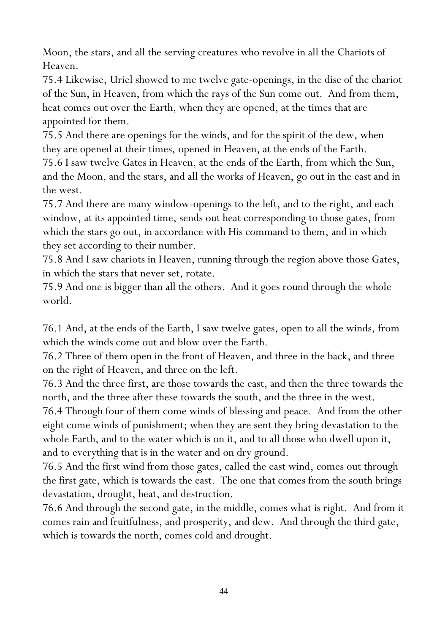Moon, the stars, and all the serving creatures who revolve in all the Chariots of Heaven.

75.4 Likewise, Uriel showed to me twelve gate-openings, in the disc of the chariot of the Sun, in Heaven, from which the rays of the Sun come out. And from them, heat comes out over the Earth, when they are opened, at the times that are appointed for them.

75.5 And there are openings for the winds, and for the spirit of the dew, when they are opened at their times, opened in Heaven, at the ends of the Earth.

75.6 I saw twelve Gates in Heaven, at the ends of the Earth, from which the Sun, and the Moon, and the stars, and all the works of Heaven, go out in the east and in the west.

75.7 And there are many window-openings to the left, and to the right, and each window, at its appointed time, sends out heat corresponding to those gates, from which the stars go out, in accordance with His command to them, and in which they set according to their number.

75.8 And I saw chariots in Heaven, running through the region above those Gates, in which the stars that never set, rotate.

75.9 And one is bigger than all the others. And it goes round through the whole world.

76.1 And, at the ends of the Earth, I saw twelve gates, open to all the winds, from which the winds come out and blow over the Earth.

76.2 Three of them open in the front of Heaven, and three in the back, and three on the right of Heaven, and three on the left.

76.3 And the three first, are those towards the east, and then the three towards the north, and the three after these towards the south, and the three in the west.

76.4 Through four of them come winds of blessing and peace. And from the other eight come winds of punishment; when they are sent they bring devastation to the whole Earth, and to the water which is on it, and to all those who dwell upon it, and to everything that is in the water and on dry ground.

76.5 And the first wind from those gates, called the east wind, comes out through the first gate, which is towards the east. The one that comes from the south brings devastation, drought, heat, and destruction.

76.6 And through the second gate, in the middle, comes what is right. And from it comes rain and fruitfulness, and prosperity, and dew. And through the third gate, which is towards the north, comes cold and drought.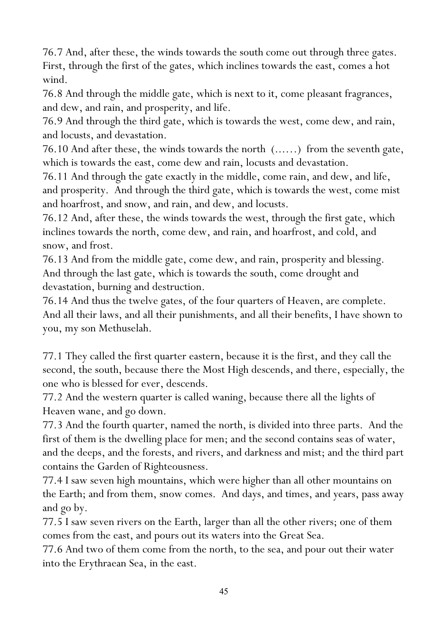76.7 And, after these, the winds towards the south come out through three gates. First, through the first of the gates, which inclines towards the east, comes a hot wind.

76.8 And through the middle gate, which is next to it, come pleasant fragrances, and dew, and rain, and prosperity, and life.

76.9 And through the third gate, which is towards the west, come dew, and rain, and locusts, and devastation.

76.10 And after these, the winds towards the north (...…) from the seventh gate, which is towards the east, come dew and rain, locusts and devastation.

76.11 And through the gate exactly in the middle, come rain, and dew, and life, and prosperity. And through the third gate, which is towards the west, come mist and hoarfrost, and snow, and rain, and dew, and locusts.

76.12 And, after these, the winds towards the west, through the first gate, which inclines towards the north, come dew, and rain, and hoarfrost, and cold, and snow, and frost.

76.13 And from the middle gate, come dew, and rain, prosperity and blessing. And through the last gate, which is towards the south, come drought and devastation, burning and destruction.

76.14 And thus the twelve gates, of the four quarters of Heaven, are complete. And all their laws, and all their punishments, and all their benefits, I have shown to you, my son Methuselah.

77.1 They called the first quarter eastern, because it is the first, and they call the second, the south, because there the Most High descends, and there, especially, the one who is blessed for ever, descends.

77.2 And the western quarter is called waning, because there all the lights of Heaven wane, and go down.

77.3 And the fourth quarter, named the north, is divided into three parts. And the first of them is the dwelling place for men; and the second contains seas of water, and the deeps, and the forests, and rivers, and darkness and mist; and the third part contains the Garden of Righteousness.

77.4 I saw seven high mountains, which were higher than all other mountains on the Earth; and from them, snow comes. And days, and times, and years, pass away and go by.

77.5 I saw seven rivers on the Earth, larger than all the other rivers; one of them comes from the east, and pours out its waters into the Great Sea.

77.6 And two of them come from the north, to the sea, and pour out their water into the Erythraean Sea, in the east.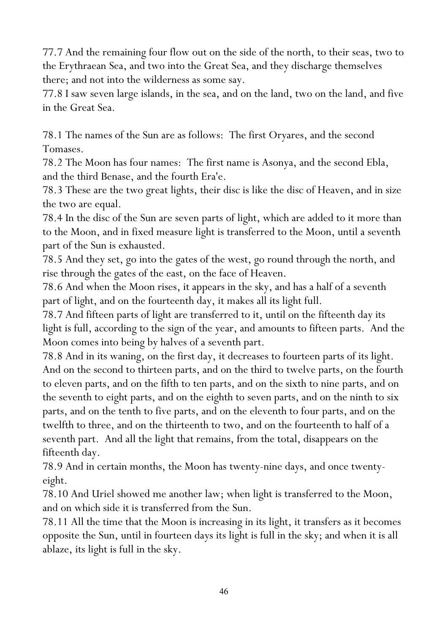77.7 And the remaining four flow out on the side of the north, to their seas, two to the Erythraean Sea, and two into the Great Sea, and they discharge themselves there; and not into the wilderness as some say.

77.8 I saw seven large islands, in the sea, and on the land, two on the land, and five in the Great Sea.

78.1 The names of the Sun are as follows: The first Oryares, and the second Tomases.

78.2 The Moon has four names: The first name is Asonya, and the second Ebla, and the third Benase, and the fourth Era'e.

78.3 These are the two great lights, their disc is like the disc of Heaven, and in size the two are equal.

78.4 In the disc of the Sun are seven parts of light, which are added to it more than to the Moon, and in fixed measure light is transferred to the Moon, until a seventh part of the Sun is exhausted.

78.5 And they set, go into the gates of the west, go round through the north, and rise through the gates of the east, on the face of Heaven.

78.6 And when the Moon rises, it appears in the sky, and has a half of a seventh part of light, and on the fourteenth day, it makes all its light full.

78.7 And fifteen parts of light are transferred to it, until on the fifteenth day its light is full, according to the sign of the year, and amounts to fifteen parts. And the Moon comes into being by halves of a seventh part.

78.8 And in its waning, on the first day, it decreases to fourteen parts of its light. And on the second to thirteen parts, and on the third to twelve parts, on the fourth to eleven parts, and on the fifth to ten parts, and on the sixth to nine parts, and on the seventh to eight parts, and on the eighth to seven parts, and on the ninth to six parts, and on the tenth to five parts, and on the eleventh to four parts, and on the twelfth to three, and on the thirteenth to two, and on the fourteenth to half of a seventh part. And all the light that remains, from the total, disappears on the fifteenth day.

78.9 And in certain months, the Moon has twenty-nine days, and once twentyeight.

78.10 And Uriel showed me another law; when light is transferred to the Moon, and on which side it is transferred from the Sun.

78.11 All the time that the Moon is increasing in its light, it transfers as it becomes opposite the Sun, until in fourteen days its light is full in the sky; and when it is all ablaze, its light is full in the sky.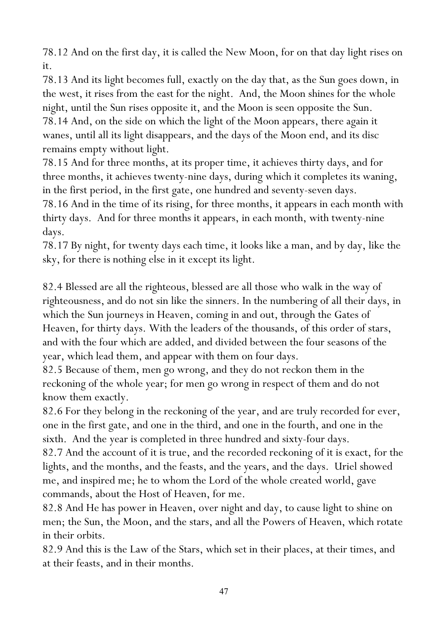78.12 And on the first day, it is called the New Moon, for on that day light rises on it.

78.13 And its light becomes full, exactly on the day that, as the Sun goes down, in the west, it rises from the east for the night. And, the Moon shines for the whole night, until the Sun rises opposite it, and the Moon is seen opposite the Sun. 78.14 And, on the side on which the light of the Moon appears, there again it wanes, until all its light disappears, and the days of the Moon end, and its disc remains empty without light.

78.15 And for three months, at its proper time, it achieves thirty days, and for three months, it achieves twenty-nine days, during which it completes its waning, in the first period, in the first gate, one hundred and seventy-seven days. 78.16 And in the time of its rising, for three months, it appears in each month with thirty days. And for three months it appears, in each month, with twenty-nine days.

78.17 By night, for twenty days each time, it looks like a man, and by day, like the sky, for there is nothing else in it except its light.

82.4 Blessed are all the righteous, blessed are all those who walk in the way of righteousness, and do not sin like the sinners. In the numbering of all their days, in which the Sun journeys in Heaven, coming in and out, through the Gates of Heaven, for thirty days. With the leaders of the thousands, of this order of stars, and with the four which are added, and divided between the four seasons of the year, which lead them, and appear with them on four days.

82.5 Because of them, men go wrong, and they do not reckon them in the reckoning of the whole year; for men go wrong in respect of them and do not know them exactly.

82.6 For they belong in the reckoning of the year, and are truly recorded for ever, one in the first gate, and one in the third, and one in the fourth, and one in the sixth. And the year is completed in three hundred and sixty-four days.

82.7 And the account of it is true, and the recorded reckoning of it is exact, for the lights, and the months, and the feasts, and the years, and the days. Uriel showed me, and inspired me; he to whom the Lord of the whole created world, gave commands, about the Host of Heaven, for me.

82.8 And He has power in Heaven, over night and day, to cause light to shine on men; the Sun, the Moon, and the stars, and all the Powers of Heaven, which rotate in their orbits.

82.9 And this is the Law of the Stars, which set in their places, at their times, and at their feasts, and in their months.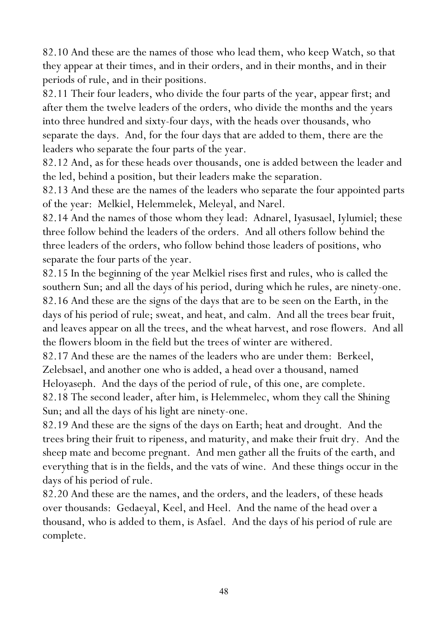82.10 And these are the names of those who lead them, who keep Watch, so that they appear at their times, and in their orders, and in their months, and in their periods of rule, and in their positions.

82.11 Their four leaders, who divide the four parts of the year, appear first; and after them the twelve leaders of the orders, who divide the months and the years into three hundred and sixty-four days, with the heads over thousands, who separate the days. And, for the four days that are added to them, there are the leaders who separate the four parts of the year.

82.12 And, as for these heads over thousands, one is added between the leader and the led, behind a position, but their leaders make the separation.

82.13 And these are the names of the leaders who separate the four appointed parts of the year: Melkiel, Helemmelek, Meleyal, and Narel.

82.14 And the names of those whom they lead: Adnarel, Iyasusael, Iylumiel; these three follow behind the leaders of the orders. And all others follow behind the three leaders of the orders, who follow behind those leaders of positions, who separate the four parts of the year.

82.15 In the beginning of the year Melkiel rises first and rules, who is called the southern Sun; and all the days of his period, during which he rules, are ninety-one. 82.16 And these are the signs of the days that are to be seen on the Earth, in the days of his period of rule; sweat, and heat, and calm. And all the trees bear fruit, and leaves appear on all the trees, and the wheat harvest, and rose flowers. And all the flowers bloom in the field but the trees of winter are withered.

82.17 And these are the names of the leaders who are under them: Berkeel, Zelebsael, and another one who is added, a head over a thousand, named Heloyaseph. And the days of the period of rule, of this one, are complete. 82.18 The second leader, after him, is Helemmelec, whom they call the Shining Sun; and all the days of his light are ninety-one.

82.19 And these are the signs of the days on Earth; heat and drought. And the trees bring their fruit to ripeness, and maturity, and make their fruit dry. And the sheep mate and become pregnant. And men gather all the fruits of the earth, and everything that is in the fields, and the vats of wine. And these things occur in the days of his period of rule.

82.20 And these are the names, and the orders, and the leaders, of these heads over thousands: Gedaeyal, Keel, and Heel. And the name of the head over a thousand, who is added to them, is Asfael. And the days of his period of rule are complete.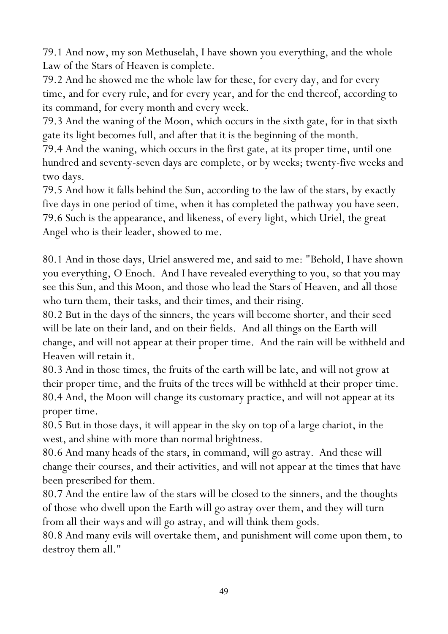79.1 And now, my son Methuselah, I have shown you everything, and the whole Law of the Stars of Heaven is complete.

79.2 And he showed me the whole law for these, for every day, and for every time, and for every rule, and for every year, and for the end thereof, according to its command, for every month and every week.

79.3 And the waning of the Moon, which occurs in the sixth gate, for in that sixth gate its light becomes full, and after that it is the beginning of the month.

79.4 And the waning, which occurs in the first gate, at its proper time, until one hundred and seventy-seven days are complete, or by weeks; twenty-five weeks and two days.

79.5 And how it falls behind the Sun, according to the law of the stars, by exactly five days in one period of time, when it has completed the pathway you have seen. 79.6 Such is the appearance, and likeness, of every light, which Uriel, the great Angel who is their leader, showed to me.

80.1 And in those days, Uriel answered me, and said to me: "Behold, I have shown you everything, O Enoch. And I have revealed everything to you, so that you may see this Sun, and this Moon, and those who lead the Stars of Heaven, and all those who turn them, their tasks, and their times, and their rising.

80.2 But in the days of the sinners, the years will become shorter, and their seed will be late on their land, and on their fields. And all things on the Earth will change, and will not appear at their proper time. And the rain will be withheld and Heaven will retain it.

80.3 And in those times, the fruits of the earth will be late, and will not grow at their proper time, and the fruits of the trees will be withheld at their proper time. 80.4 And, the Moon will change its customary practice, and will not appear at its proper time.

80.5 But in those days, it will appear in the sky on top of a large chariot, in the west, and shine with more than normal brightness.

80.6 And many heads of the stars, in command, will go astray. And these will change their courses, and their activities, and will not appear at the times that have been prescribed for them.

80.7 And the entire law of the stars will be closed to the sinners, and the thoughts of those who dwell upon the Earth will go astray over them, and they will turn from all their ways and will go astray, and will think them gods.

80.8 And many evils will overtake them, and punishment will come upon them, to destroy them all."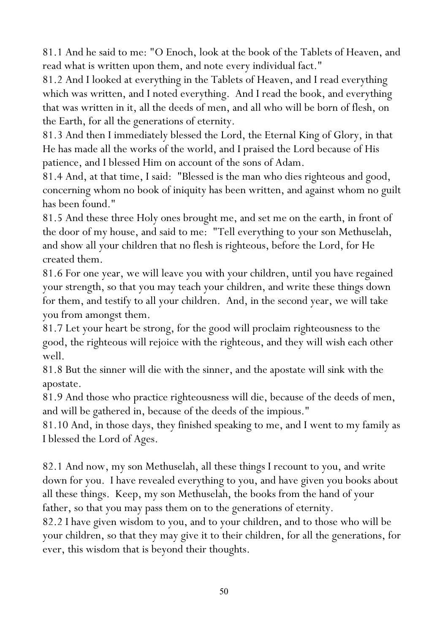81.1 And he said to me: "O Enoch, look at the book of the Tablets of Heaven, and read what is written upon them, and note every individual fact."

81.2 And I looked at everything in the Tablets of Heaven, and I read everything which was written, and I noted everything. And I read the book, and everything that was written in it, all the deeds of men, and all who will be born of flesh, on the Earth, for all the generations of eternity.

81.3 And then I immediately blessed the Lord, the Eternal King of Glory, in that He has made all the works of the world, and I praised the Lord because of His patience, and I blessed Him on account of the sons of Adam.

81.4 And, at that time, I said: "Blessed is the man who dies righteous and good, concerning whom no book of iniquity has been written, and against whom no guilt has been found."

81.5 And these three Holy ones brought me, and set me on the earth, in front of the door of my house, and said to me: "Tell everything to your son Methuselah, and show all your children that no flesh is righteous, before the Lord, for He created them.

81.6 For one year, we will leave you with your children, until you have regained your strength, so that you may teach your children, and write these things down for them, and testify to all your children. And, in the second year, we will take you from amongst them.

81.7 Let your heart be strong, for the good will proclaim righteousness to the good, the righteous will rejoice with the righteous, and they will wish each other well.

81.8 But the sinner will die with the sinner, and the apostate will sink with the apostate.

81.9 And those who practice righteousness will die, because of the deeds of men, and will be gathered in, because of the deeds of the impious."

81.10 And, in those days, they finished speaking to me, and I went to my family as I blessed the Lord of Ages.

82.1 And now, my son Methuselah, all these things I recount to you, and write down for you. I have revealed everything to you, and have given you books about all these things. Keep, my son Methuselah, the books from the hand of your father, so that you may pass them on to the generations of eternity.

82.2 I have given wisdom to you, and to your children, and to those who will be your children, so that they may give it to their children, for all the generations, for ever, this wisdom that is beyond their thoughts.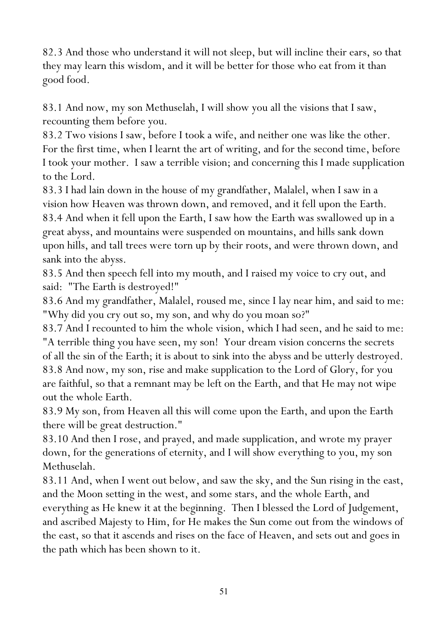82.3 And those who understand it will not sleep, but will incline their ears, so that they may learn this wisdom, and it will be better for those who eat from it than good food.

83.1 And now, my son Methuselah, I will show you all the visions that I saw, recounting them before you.

83.2 Two visions I saw, before I took a wife, and neither one was like the other. For the first time, when I learnt the art of writing, and for the second time, before I took your mother. I saw a terrible vision; and concerning this I made supplication to the Lord.

83.3 I had lain down in the house of my grandfather, Malalel, when I saw in a vision how Heaven was thrown down, and removed, and it fell upon the Earth. 83.4 And when it fell upon the Earth, I saw how the Earth was swallowed up in a great abyss, and mountains were suspended on mountains, and hills sank down upon hills, and tall trees were torn up by their roots, and were thrown down, and sank into the abyss.

83.5 And then speech fell into my mouth, and I raised my voice to cry out, and said: "The Earth is destroyed!"

83.6 And my grandfather, Malalel, roused me, since I lay near him, and said to me: "Why did you cry out so, my son, and why do you moan so?"

83.7 And I recounted to him the whole vision, which I had seen, and he said to me: "A terrible thing you have seen, my son! Your dream vision concerns the secrets of all the sin of the Earth; it is about to sink into the abyss and be utterly destroyed. 83.8 And now, my son, rise and make supplication to the Lord of Glory, for you are faithful, so that a remnant may be left on the Earth, and that He may not wipe out the whole Earth.

83.9 My son, from Heaven all this will come upon the Earth, and upon the Earth there will be great destruction."

83.10 And then I rose, and prayed, and made supplication, and wrote my prayer down, for the generations of eternity, and I will show everything to you, my son Methuselah.

83.11 And, when I went out below, and saw the sky, and the Sun rising in the east, and the Moon setting in the west, and some stars, and the whole Earth, and everything as He knew it at the beginning. Then I blessed the Lord of Judgement, and ascribed Majesty to Him, for He makes the Sun come out from the windows of the east, so that it ascends and rises on the face of Heaven, and sets out and goes in the path which has been shown to it.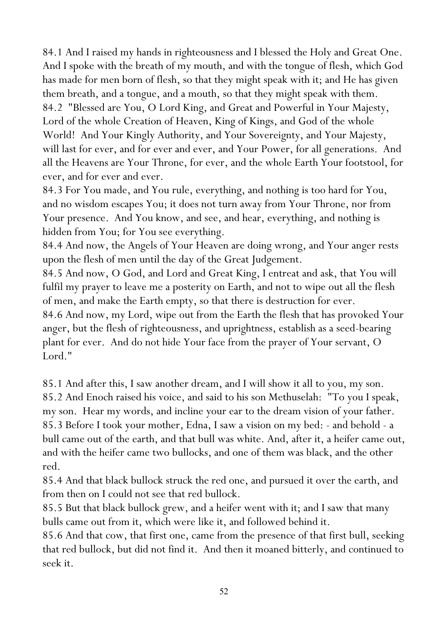84.1 And I raised my hands in righteousness and I blessed the Holy and Great One. And I spoke with the breath of my mouth, and with the tongue of flesh, which God has made for men born of flesh, so that they might speak with it; and He has given them breath, and a tongue, and a mouth, so that they might speak with them. 84.2 "Blessed are You, O Lord King, and Great and Powerful in Your Majesty, Lord of the whole Creation of Heaven, King of Kings, and God of the whole World! And Your Kingly Authority, and Your Sovereignty, and Your Majesty, will last for ever, and for ever and ever, and Your Power, for all generations. And all the Heavens are Your Throne, for ever, and the whole Earth Your footstool, for ever, and for ever and ever.

84.3 For You made, and You rule, everything, and nothing is too hard for You, and no wisdom escapes You; it does not turn away from Your Throne, nor from Your presence. And You know, and see, and hear, everything, and nothing is hidden from You; for You see everything.

84.4 And now, the Angels of Your Heaven are doing wrong, and Your anger rests upon the flesh of men until the day of the Great Judgement.

84.5 And now, O God, and Lord and Great King, I entreat and ask, that You will fulfil my prayer to leave me a posterity on Earth, and not to wipe out all the flesh of men, and make the Earth empty, so that there is destruction for ever.

84.6 And now, my Lord, wipe out from the Earth the flesh that has provoked Your anger, but the flesh of righteousness, and uprightness, establish as a seed-bearing plant for ever. And do not hide Your face from the prayer of Your servant, O Lord."

85.1 And after this, I saw another dream, and I will show it all to you, my son. 85.2 And Enoch raised his voice, and said to his son Methuselah: "To you I speak, my son. Hear my words, and incline your ear to the dream vision of your father. 85.3 Before I took your mother, Edna, I saw a vision on my bed: - and behold - a bull came out of the earth, and that bull was white. And, after it, a heifer came out, and with the heifer came two bullocks, and one of them was black, and the other red.

85.4 And that black bullock struck the red one, and pursued it over the earth, and from then on I could not see that red bullock.

85.5 But that black bullock grew, and a heifer went with it; and I saw that many bulls came out from it, which were like it, and followed behind it.

85.6 And that cow, that first one, came from the presence of that first bull, seeking that red bullock, but did not find it. And then it moaned bitterly, and continued to seek it.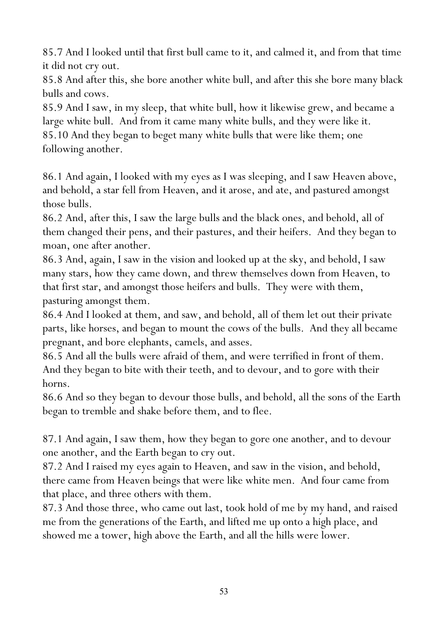85.7 And I looked until that first bull came to it, and calmed it, and from that time it did not cry out.

85.8 And after this, she bore another white bull, and after this she bore many black bulls and cows.

85.9 And I saw, in my sleep, that white bull, how it likewise grew, and became a large white bull. And from it came many white bulls, and they were like it. 85.10 And they began to beget many white bulls that were like them; one following another.

86.1 And again, I looked with my eyes as I was sleeping, and I saw Heaven above, and behold, a star fell from Heaven, and it arose, and ate, and pastured amongst those bulls.

86.2 And, after this, I saw the large bulls and the black ones, and behold, all of them changed their pens, and their pastures, and their heifers. And they began to moan, one after another.

86.3 And, again, I saw in the vision and looked up at the sky, and behold, I saw many stars, how they came down, and threw themselves down from Heaven, to that first star, and amongst those heifers and bulls. They were with them, pasturing amongst them.

86.4 And I looked at them, and saw, and behold, all of them let out their private parts, like horses, and began to mount the cows of the bulls. And they all became pregnant, and bore elephants, camels, and asses.

86.5 And all the bulls were afraid of them, and were terrified in front of them. And they began to bite with their teeth, and to devour, and to gore with their horns.

86.6 And so they began to devour those bulls, and behold, all the sons of the Earth began to tremble and shake before them, and to flee.

87.1 And again, I saw them, how they began to gore one another, and to devour one another, and the Earth began to cry out.

87.2 And I raised my eyes again to Heaven, and saw in the vision, and behold, there came from Heaven beings that were like white men. And four came from that place, and three others with them.

87.3 And those three, who came out last, took hold of me by my hand, and raised me from the generations of the Earth, and lifted me up onto a high place, and showed me a tower, high above the Earth, and all the hills were lower.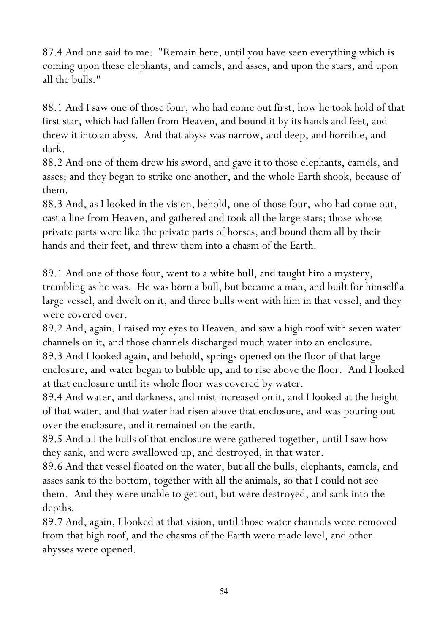87.4 And one said to me: "Remain here, until you have seen everything which is coming upon these elephants, and camels, and asses, and upon the stars, and upon all the bulls."

88.1 And I saw one of those four, who had come out first, how he took hold of that first star, which had fallen from Heaven, and bound it by its hands and feet, and threw it into an abyss. And that abyss was narrow, and deep, and horrible, and dark.

88.2 And one of them drew his sword, and gave it to those elephants, camels, and asses; and they began to strike one another, and the whole Earth shook, because of them.

88.3 And, as I looked in the vision, behold, one of those four, who had come out, cast a line from Heaven, and gathered and took all the large stars; those whose private parts were like the private parts of horses, and bound them all by their hands and their feet, and threw them into a chasm of the Earth.

89.1 And one of those four, went to a white bull, and taught him a mystery, trembling as he was. He was born a bull, but became a man, and built for himself a large vessel, and dwelt on it, and three bulls went with him in that vessel, and they were covered over.

89.2 And, again, I raised my eyes to Heaven, and saw a high roof with seven water channels on it, and those channels discharged much water into an enclosure.

89.3 And I looked again, and behold, springs opened on the floor of that large enclosure, and water began to bubble up, and to rise above the floor. And I looked at that enclosure until its whole floor was covered by water.

89.4 And water, and darkness, and mist increased on it, and I looked at the height of that water, and that water had risen above that enclosure, and was pouring out over the enclosure, and it remained on the earth.

89.5 And all the bulls of that enclosure were gathered together, until I saw how they sank, and were swallowed up, and destroyed, in that water.

89.6 And that vessel floated on the water, but all the bulls, elephants, camels, and asses sank to the bottom, together with all the animals, so that I could not see them. And they were unable to get out, but were destroyed, and sank into the depths.

89.7 And, again, I looked at that vision, until those water channels were removed from that high roof, and the chasms of the Earth were made level, and other abysses were opened.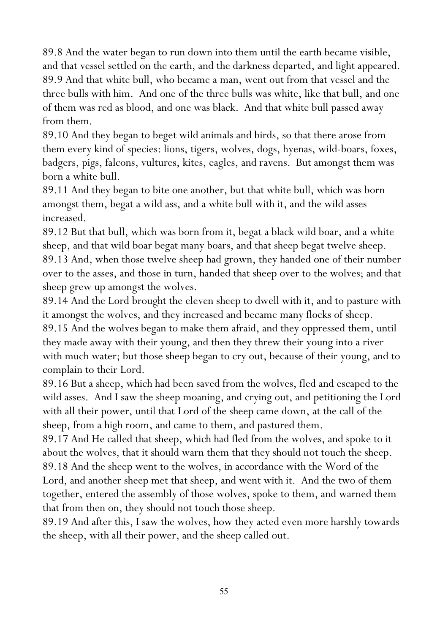89.8 And the water began to run down into them until the earth became visible, and that vessel settled on the earth, and the darkness departed, and light appeared. 89.9 And that white bull, who became a man, went out from that vessel and the three bulls with him. And one of the three bulls was white, like that bull, and one of them was red as blood, and one was black. And that white bull passed away from them.

89.10 And they began to beget wild animals and birds, so that there arose from them every kind of species: lions, tigers, wolves, dogs, hyenas, wild-boars, foxes, badgers, pigs, falcons, vultures, kites, eagles, and ravens. But amongst them was born a white bull.

89.11 And they began to bite one another, but that white bull, which was born amongst them, begat a wild ass, and a white bull with it, and the wild asses increased.

89.12 But that bull, which was born from it, begat a black wild boar, and a white sheep, and that wild boar begat many boars, and that sheep begat twelve sheep. 89.13 And, when those twelve sheep had grown, they handed one of their number over to the asses, and those in turn, handed that sheep over to the wolves; and that sheep grew up amongst the wolves.

89.14 And the Lord brought the eleven sheep to dwell with it, and to pasture with it amongst the wolves, and they increased and became many flocks of sheep.

89.15 And the wolves began to make them afraid, and they oppressed them, until they made away with their young, and then they threw their young into a river with much water; but those sheep began to cry out, because of their young, and to complain to their Lord.

89.16 But a sheep, which had been saved from the wolves, fled and escaped to the wild asses. And I saw the sheep moaning, and crying out, and petitioning the Lord with all their power, until that Lord of the sheep came down, at the call of the sheep, from a high room, and came to them, and pastured them.

89.17 And He called that sheep, which had fled from the wolves, and spoke to it about the wolves, that it should warn them that they should not touch the sheep. 89.18 And the sheep went to the wolves, in accordance with the Word of the Lord, and another sheep met that sheep, and went with it. And the two of them together, entered the assembly of those wolves, spoke to them, and warned them that from then on, they should not touch those sheep.

89.19 And after this, I saw the wolves, how they acted even more harshly towards the sheep, with all their power, and the sheep called out.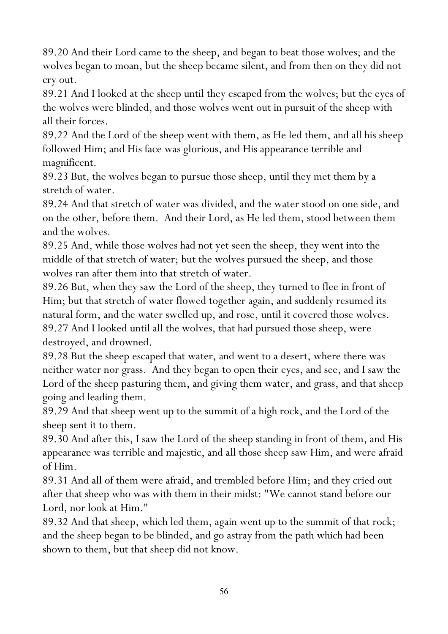89.20 And their Lord came to the sheep, and began to beat those wolves; and the wolves began to moan, but the sheep became silent, and from then on they did not cry out.

89.21 And I looked at the sheep until they escaped from the wolves; but the eyes of the wolves were blinded, and those wolves went out in pursuit of the sheep with all their forces.

89.22 And the Lord of the sheep went with them, as He led them, and all his sheep followed Him; and His face was glorious, and His appearance terrible and magnificent.

89.23 But, the wolves began to pursue those sheep, until they met them by a stretch of water.

89.24 And that stretch of water was divided, and the water stood on one side, and on the other, before them. And their Lord, as He led them, stood between them and the wolves.

89.25 And, while those wolves had not yet seen the sheep, they went into the middle of that stretch of water; but the wolves pursued the sheep, and those wolves ran after them into that stretch of water.

89.26 But, when they saw the Lord of the sheep, they turned to flee in front of Him; but that stretch of water flowed together again, and suddenly resumed its natural form, and the water swelled up, and rose, until it covered those wolves. 89.27 And I looked until all the wolves, that had pursued those sheep, were destroyed, and drowned.

89.28 But the sheep escaped that water, and went to a desert, where there was neither water nor grass. And they began to open their eyes, and see, and I saw the Lord of the sheep pasturing them, and giving them water, and grass, and that sheep going and leading them.

89.29 And that sheep went up to the summit of a high rock, and the Lord of the sheep sent it to them.

89.30 And after this, I saw the Lord of the sheep standing in front of them, and His appearance was terrible and majestic, and all those sheep saw Him, and were afraid of Him.

89.31 And all of them were afraid, and trembled before Him; and they cried out after that sheep who was with them in their midst: "We cannot stand before our Lord, nor look at Him."

89.32 And that sheep, which led them, again went up to the summit of that rock; and the sheep began to be blinded, and go astray from the path which had been shown to them, but that sheep did not know.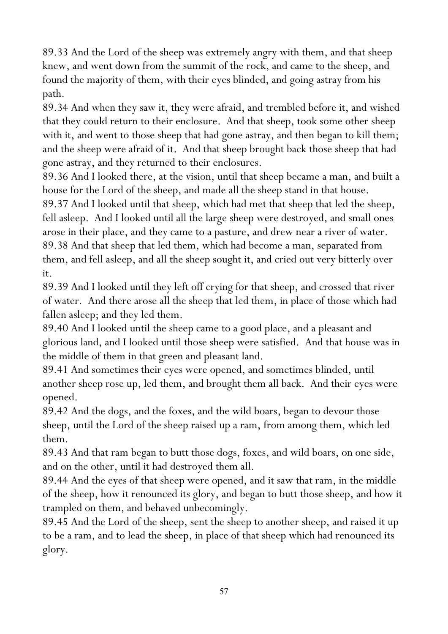89.33 And the Lord of the sheep was extremely angry with them, and that sheep knew, and went down from the summit of the rock, and came to the sheep, and found the majority of them, with their eyes blinded, and going astray from his path.

89.34 And when they saw it, they were afraid, and trembled before it, and wished that they could return to their enclosure. And that sheep, took some other sheep with it, and went to those sheep that had gone astray, and then began to kill them; and the sheep were afraid of it. And that sheep brought back those sheep that had gone astray, and they returned to their enclosures.

89.36 And I looked there, at the vision, until that sheep became a man, and built a house for the Lord of the sheep, and made all the sheep stand in that house.

89.37 And I looked until that sheep, which had met that sheep that led the sheep, fell asleep. And I looked until all the large sheep were destroyed, and small ones arose in their place, and they came to a pasture, and drew near a river of water. 89.38 And that sheep that led them, which had become a man, separated from them, and fell asleep, and all the sheep sought it, and cried out very bitterly over it.

89.39 And I looked until they left off crying for that sheep, and crossed that river of water. And there arose all the sheep that led them, in place of those which had fallen asleep; and they led them.

89.40 And I looked until the sheep came to a good place, and a pleasant and glorious land, and I looked until those sheep were satisfied. And that house was in the middle of them in that green and pleasant land.

89.41 And sometimes their eyes were opened, and sometimes blinded, until another sheep rose up, led them, and brought them all back. And their eyes were opened.

89.42 And the dogs, and the foxes, and the wild boars, began to devour those sheep, until the Lord of the sheep raised up a ram, from among them, which led them.

89.43 And that ram began to butt those dogs, foxes, and wild boars, on one side, and on the other, until it had destroyed them all.

89.44 And the eyes of that sheep were opened, and it saw that ram, in the middle of the sheep, how it renounced its glory, and began to butt those sheep, and how it trampled on them, and behaved unbecomingly.

89.45 And the Lord of the sheep, sent the sheep to another sheep, and raised it up to be a ram, and to lead the sheep, in place of that sheep which had renounced its glory.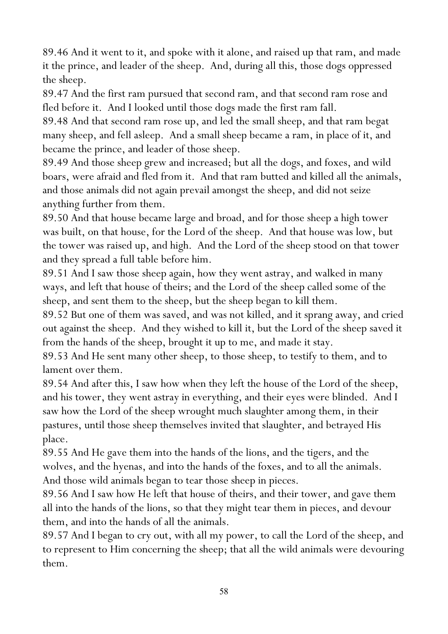89.46 And it went to it, and spoke with it alone, and raised up that ram, and made it the prince, and leader of the sheep. And, during all this, those dogs oppressed the sheep.

89.47 And the first ram pursued that second ram, and that second ram rose and fled before it. And I looked until those dogs made the first ram fall.

89.48 And that second ram rose up, and led the small sheep, and that ram begat many sheep, and fell asleep. And a small sheep became a ram, in place of it, and became the prince, and leader of those sheep.

89.49 And those sheep grew and increased; but all the dogs, and foxes, and wild boars, were afraid and fled from it. And that ram butted and killed all the animals, and those animals did not again prevail amongst the sheep, and did not seize anything further from them.

89.50 And that house became large and broad, and for those sheep a high tower was built, on that house, for the Lord of the sheep. And that house was low, but the tower was raised up, and high. And the Lord of the sheep stood on that tower and they spread a full table before him.

89.51 And I saw those sheep again, how they went astray, and walked in many ways, and left that house of theirs; and the Lord of the sheep called some of the sheep, and sent them to the sheep, but the sheep began to kill them.

89.52 But one of them was saved, and was not killed, and it sprang away, and cried out against the sheep. And they wished to kill it, but the Lord of the sheep saved it from the hands of the sheep, brought it up to me, and made it stay.

89.53 And He sent many other sheep, to those sheep, to testify to them, and to lament over them.

89.54 And after this, I saw how when they left the house of the Lord of the sheep, and his tower, they went astray in everything, and their eyes were blinded. And I saw how the Lord of the sheep wrought much slaughter among them, in their pastures, until those sheep themselves invited that slaughter, and betrayed His place.

89.55 And He gave them into the hands of the lions, and the tigers, and the wolves, and the hyenas, and into the hands of the foxes, and to all the animals. And those wild animals began to tear those sheep in pieces.

89.56 And I saw how He left that house of theirs, and their tower, and gave them all into the hands of the lions, so that they might tear them in pieces, and devour them, and into the hands of all the animals.

89.57 And I began to cry out, with all my power, to call the Lord of the sheep, and to represent to Him concerning the sheep; that all the wild animals were devouring them.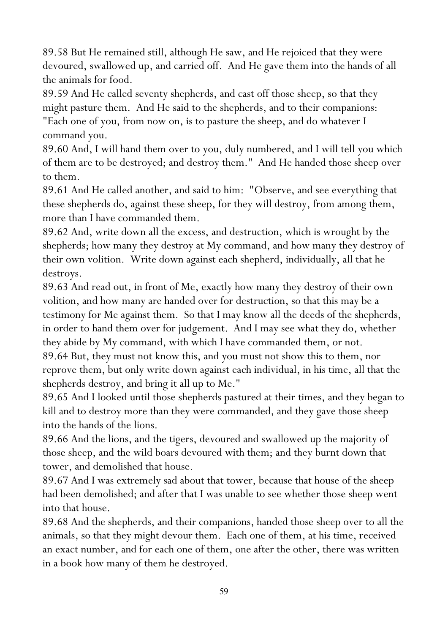89.58 But He remained still, although He saw, and He rejoiced that they were devoured, swallowed up, and carried off. And He gave them into the hands of all the animals for food.

89.59 And He called seventy shepherds, and cast off those sheep, so that they might pasture them. And He said to the shepherds, and to their companions: "Each one of you, from now on, is to pasture the sheep, and do whatever I command you.

89.60 And, I will hand them over to you, duly numbered, and I will tell you which of them are to be destroyed; and destroy them." And He handed those sheep over to them.

89.61 And He called another, and said to him: "Observe, and see everything that these shepherds do, against these sheep, for they will destroy, from among them, more than I have commanded them.

89.62 And, write down all the excess, and destruction, which is wrought by the shepherds; how many they destroy at My command, and how many they destroy of their own volition. Write down against each shepherd, individually, all that he destroys.

89.63 And read out, in front of Me, exactly how many they destroy of their own volition, and how many are handed over for destruction, so that this may be a testimony for Me against them. So that I may know all the deeds of the shepherds, in order to hand them over for judgement. And I may see what they do, whether they abide by My command, with which I have commanded them, or not.

89.64 But, they must not know this, and you must not show this to them, nor reprove them, but only write down against each individual, in his time, all that the shepherds destroy, and bring it all up to Me."

89.65 And I looked until those shepherds pastured at their times, and they began to kill and to destroy more than they were commanded, and they gave those sheep into the hands of the lions.

89.66 And the lions, and the tigers, devoured and swallowed up the majority of those sheep, and the wild boars devoured with them; and they burnt down that tower, and demolished that house.

89.67 And I was extremely sad about that tower, because that house of the sheep had been demolished; and after that I was unable to see whether those sheep went into that house.

89.68 And the shepherds, and their companions, handed those sheep over to all the animals, so that they might devour them. Each one of them, at his time, received an exact number, and for each one of them, one after the other, there was written in a book how many of them he destroyed.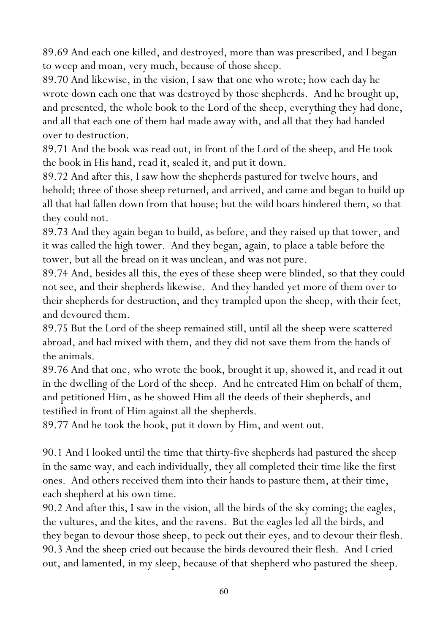89.69 And each one killed, and destroyed, more than was prescribed, and I began to weep and moan, very much, because of those sheep.

89.70 And likewise, in the vision, I saw that one who wrote; how each day he wrote down each one that was destroyed by those shepherds. And he brought up, and presented, the whole book to the Lord of the sheep, everything they had done, and all that each one of them had made away with, and all that they had handed over to destruction.

89.71 And the book was read out, in front of the Lord of the sheep, and He took the book in His hand, read it, sealed it, and put it down.

89.72 And after this, I saw how the shepherds pastured for twelve hours, and behold; three of those sheep returned, and arrived, and came and began to build up all that had fallen down from that house; but the wild boars hindered them, so that they could not.

89.73 And they again began to build, as before, and they raised up that tower, and it was called the high tower. And they began, again, to place a table before the tower, but all the bread on it was unclean, and was not pure.

89.74 And, besides all this, the eyes of these sheep were blinded, so that they could not see, and their shepherds likewise. And they handed yet more of them over to their shepherds for destruction, and they trampled upon the sheep, with their feet, and devoured them.

89.75 But the Lord of the sheep remained still, until all the sheep were scattered abroad, and had mixed with them, and they did not save them from the hands of the animals.

89.76 And that one, who wrote the book, brought it up, showed it, and read it out in the dwelling of the Lord of the sheep. And he entreated Him on behalf of them, and petitioned Him, as he showed Him all the deeds of their shepherds, and testified in front of Him against all the shepherds.

89.77 And he took the book, put it down by Him, and went out.

90.1 And I looked until the time that thirty-five shepherds had pastured the sheep in the same way, and each individually, they all completed their time like the first ones. And others received them into their hands to pasture them, at their time, each shepherd at his own time.

90.2 And after this, I saw in the vision, all the birds of the sky coming; the eagles, the vultures, and the kites, and the ravens. But the eagles led all the birds, and they began to devour those sheep, to peck out their eyes, and to devour their flesh. 90.3 And the sheep cried out because the birds devoured their flesh. And I cried out, and lamented, in my sleep, because of that shepherd who pastured the sheep.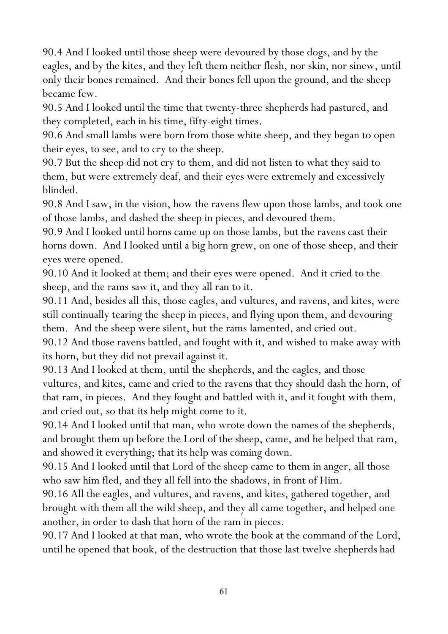90.4 And I looked until those sheep were devoured by those dogs, and by the eagles, and by the kites, and they left them neither flesh, nor skin, nor sinew, until only their bones remained. And their bones fell upon the ground, and the sheep became few.

90.5 And I looked until the time that twenty-three shepherds had pastured, and they completed, each in his time, fifty-eight times.

90.6 And small lambs were born from those white sheep, and they began to open their eyes, to see, and to cry to the sheep.

90.7 But the sheep did not cry to them, and did not listen to what they said to them, but were extremely deaf, and their eyes were extremely and excessively blinded.

90.8 And I saw, in the vision, how the ravens flew upon those lambs, and took one of those lambs, and dashed the sheep in pieces, and devoured them.

90.9 And I looked until horns came up on those lambs, but the ravens cast their horns down. And I looked until a big horn grew, on one of those sheep, and their eyes were opened.

90.10 And it looked at them; and their eyes were opened. And it cried to the sheep, and the rams saw it, and they all ran to it.

90.11 And, besides all this, those eagles, and vultures, and ravens, and kites, were still continually tearing the sheep in pieces, and flying upon them, and devouring them. And the sheep were silent, but the rams lamented, and cried out.

90.12 And those ravens battled, and fought with it, and wished to make away with its horn, but they did not prevail against it.

90.13 And I looked at them, until the shepherds, and the eagles, and those vultures, and kites, came and cried to the ravens that they should dash the horn, of that ram, in pieces. And they fought and battled with it, and it fought with them, and cried out, so that its help might come to it.

90.14 And I looked until that man, who wrote down the names of the shepherds, and brought them up before the Lord of the sheep, came, and he helped that ram, and showed it everything; that its help was coming down.

90.15 And I looked until that Lord of the sheep came to them in anger, all those who saw him fled, and they all fell into the shadows, in front of Him.

90.16 All the eagles, and vultures, and ravens, and kites, gathered together, and brought with them all the wild sheep, and they all came together, and helped one another, in order to dash that horn of the ram in pieces.

90.17 And I looked at that man, who wrote the book at the command of the Lord, until he opened that book, of the destruction that those last twelve shepherds had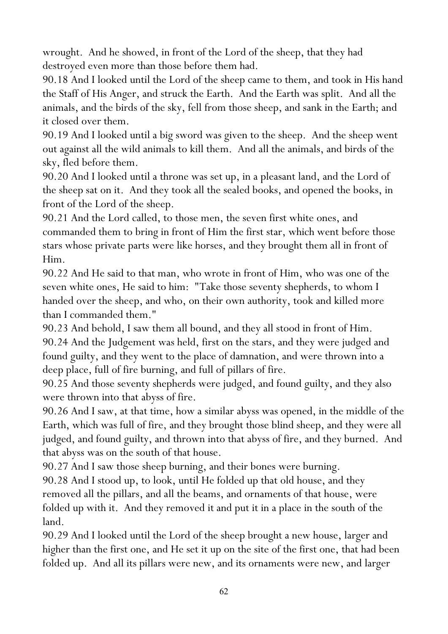wrought. And he showed, in front of the Lord of the sheep, that they had destroyed even more than those before them had.

90.18 And I looked until the Lord of the sheep came to them, and took in His hand the Staff of His Anger, and struck the Earth. And the Earth was split. And all the animals, and the birds of the sky, fell from those sheep, and sank in the Earth; and it closed over them.

90.19 And I looked until a big sword was given to the sheep. And the sheep went out against all the wild animals to kill them. And all the animals, and birds of the sky, fled before them.

90.20 And I looked until a throne was set up, in a pleasant land, and the Lord of the sheep sat on it. And they took all the sealed books, and opened the books, in front of the Lord of the sheep.

90.21 And the Lord called, to those men, the seven first white ones, and commanded them to bring in front of Him the first star, which went before those stars whose private parts were like horses, and they brought them all in front of Him.

90.22 And He said to that man, who wrote in front of Him, who was one of the seven white ones, He said to him: "Take those seventy shepherds, to whom I handed over the sheep, and who, on their own authority, took and killed more than I commanded them."

90.23 And behold, I saw them all bound, and they all stood in front of Him. 90.24 And the Judgement was held, first on the stars, and they were judged and found guilty, and they went to the place of damnation, and were thrown into a deep place, full of fire burning, and full of pillars of fire.

90.25 And those seventy shepherds were judged, and found guilty, and they also were thrown into that abyss of fire.

90.26 And I saw, at that time, how a similar abyss was opened, in the middle of the Earth, which was full of fire, and they brought those blind sheep, and they were all judged, and found guilty, and thrown into that abyss of fire, and they burned. And that abyss was on the south of that house.

90.27 And I saw those sheep burning, and their bones were burning.

90.28 And I stood up, to look, until He folded up that old house, and they removed all the pillars, and all the beams, and ornaments of that house, were folded up with it. And they removed it and put it in a place in the south of the land.

90.29 And I looked until the Lord of the sheep brought a new house, larger and higher than the first one, and He set it up on the site of the first one, that had been folded up. And all its pillars were new, and its ornaments were new, and larger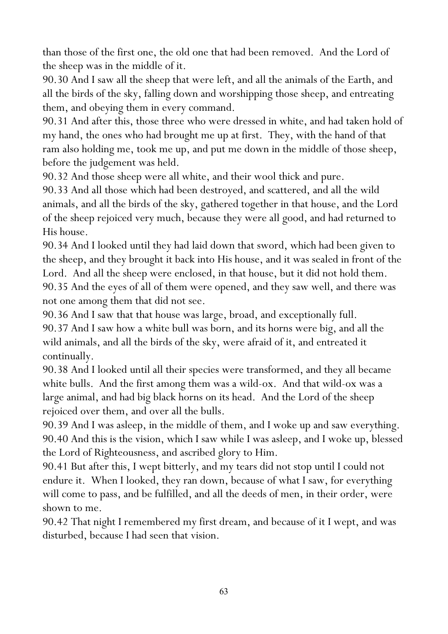than those of the first one, the old one that had been removed. And the Lord of the sheep was in the middle of it.

90.30 And I saw all the sheep that were left, and all the animals of the Earth, and all the birds of the sky, falling down and worshipping those sheep, and entreating them, and obeying them in every command.

90.31 And after this, those three who were dressed in white, and had taken hold of my hand, the ones who had brought me up at first. They, with the hand of that ram also holding me, took me up, and put me down in the middle of those sheep, before the judgement was held.

90.32 And those sheep were all white, and their wool thick and pure.

90.33 And all those which had been destroyed, and scattered, and all the wild animals, and all the birds of the sky, gathered together in that house, and the Lord of the sheep rejoiced very much, because they were all good, and had returned to His house.

90.34 And I looked until they had laid down that sword, which had been given to the sheep, and they brought it back into His house, and it was sealed in front of the Lord. And all the sheep were enclosed, in that house, but it did not hold them. 90.35 And the eyes of all of them were opened, and they saw well, and there was not one among them that did not see.

90.36 And I saw that that house was large, broad, and exceptionally full.

90.37 And I saw how a white bull was born, and its horns were big, and all the wild animals, and all the birds of the sky, were afraid of it, and entreated it continually.

90.38 And I looked until all their species were transformed, and they all became white bulls. And the first among them was a wild-ox. And that wild-ox was a large animal, and had big black horns on its head. And the Lord of the sheep rejoiced over them, and over all the bulls.

90.39 And I was asleep, in the middle of them, and I woke up and saw everything. 90.40 And this is the vision, which I saw while I was asleep, and I woke up, blessed the Lord of Righteousness, and ascribed glory to Him.

90.41 But after this, I wept bitterly, and my tears did not stop until I could not endure it. When I looked, they ran down, because of what I saw, for everything will come to pass, and be fulfilled, and all the deeds of men, in their order, were shown to me.

90.42 That night I remembered my first dream, and because of it I wept, and was disturbed, because I had seen that vision.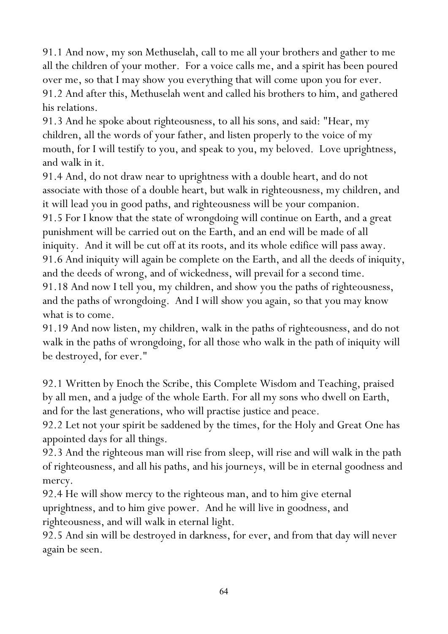91.1 And now, my son Methuselah, call to me all your brothers and gather to me all the children of your mother. For a voice calls me, and a spirit has been poured over me, so that I may show you everything that will come upon you for ever. 91.2 And after this, Methuselah went and called his brothers to him, and gathered his relations.

91.3 And he spoke about righteousness, to all his sons, and said: "Hear, my children, all the words of your father, and listen properly to the voice of my mouth, for I will testify to you, and speak to you, my beloved. Love uprightness, and walk in it.

91.4 And, do not draw near to uprightness with a double heart, and do not associate with those of a double heart, but walk in righteousness, my children, and it will lead you in good paths, and righteousness will be your companion. 91.5 For I know that the state of wrongdoing will continue on Earth, and a great punishment will be carried out on the Earth, and an end will be made of all iniquity. And it will be cut off at its roots, and its whole edifice will pass away. 91.6 And iniquity will again be complete on the Earth, and all the deeds of iniquity, and the deeds of wrong, and of wickedness, will prevail for a second time. 91.18 And now I tell you, my children, and show you the paths of righteousness, and the paths of wrongdoing. And I will show you again, so that you may know what is to come.

91.19 And now listen, my children, walk in the paths of righteousness, and do not walk in the paths of wrongdoing, for all those who walk in the path of iniquity will be destroyed, for ever."

92.1 Written by Enoch the Scribe, this Complete Wisdom and Teaching, praised by all men, and a judge of the whole Earth. For all my sons who dwell on Earth, and for the last generations, who will practise justice and peace.

92.2 Let not your spirit be saddened by the times, for the Holy and Great One has appointed days for all things.

92.3 And the righteous man will rise from sleep, will rise and will walk in the path of righteousness, and all his paths, and his journeys, will be in eternal goodness and mercy.

92.4 He will show mercy to the righteous man, and to him give eternal uprightness, and to him give power. And he will live in goodness, and righteousness, and will walk in eternal light.

92.5 And sin will be destroyed in darkness, for ever, and from that day will never again be seen.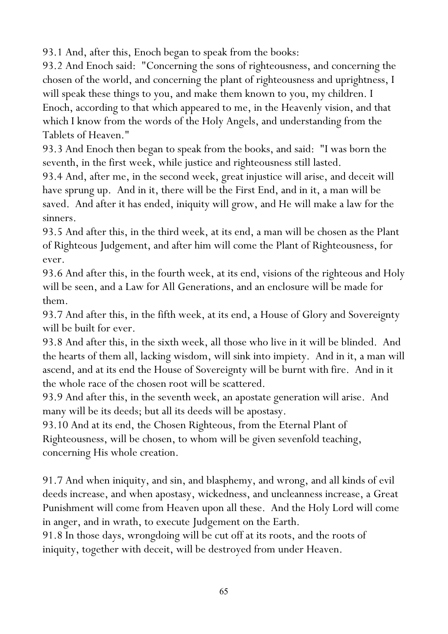93.1 And, after this, Enoch began to speak from the books:

93.2 And Enoch said: "Concerning the sons of righteousness, and concerning the chosen of the world, and concerning the plant of righteousness and uprightness, I will speak these things to you, and make them known to you, my children. I Enoch, according to that which appeared to me, in the Heavenly vision, and that which I know from the words of the Holy Angels, and understanding from the Tablets of Heaven."

93.3 And Enoch then began to speak from the books, and said: "I was born the seventh, in the first week, while justice and righteousness still lasted.

93.4 And, after me, in the second week, great injustice will arise, and deceit will have sprung up. And in it, there will be the First End, and in it, a man will be saved. And after it has ended, iniquity will grow, and He will make a law for the sinners.

93.5 And after this, in the third week, at its end, a man will be chosen as the Plant of Righteous Judgement, and after him will come the Plant of Righteousness, for ever.

93.6 And after this, in the fourth week, at its end, visions of the righteous and Holy will be seen, and a Law for All Generations, and an enclosure will be made for them.

93.7 And after this, in the fifth week, at its end, a House of Glory and Sovereignty will be built for ever.

93.8 And after this, in the sixth week, all those who live in it will be blinded. And the hearts of them all, lacking wisdom, will sink into impiety. And in it, a man will ascend, and at its end the House of Sovereignty will be burnt with fire. And in it the whole race of the chosen root will be scattered.

93.9 And after this, in the seventh week, an apostate generation will arise. And many will be its deeds; but all its deeds will be apostasy.

93.10 And at its end, the Chosen Righteous, from the Eternal Plant of Righteousness, will be chosen, to whom will be given sevenfold teaching, concerning His whole creation.

91.7 And when iniquity, and sin, and blasphemy, and wrong, and all kinds of evil deeds increase, and when apostasy, wickedness, and uncleanness increase, a Great Punishment will come from Heaven upon all these. And the Holy Lord will come in anger, and in wrath, to execute Judgement on the Earth.

91.8 In those days, wrongdoing will be cut off at its roots, and the roots of iniquity, together with deceit, will be destroyed from under Heaven.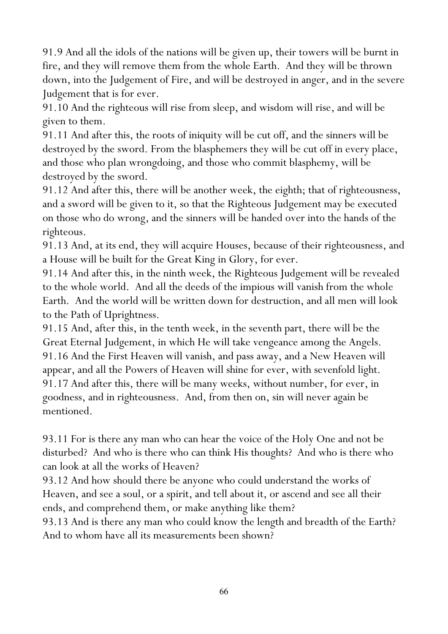91.9 And all the idols of the nations will be given up, their towers will be burnt in fire, and they will remove them from the whole Earth. And they will be thrown down, into the Judgement of Fire, and will be destroyed in anger, and in the severe Judgement that is for ever.

91.10 And the righteous will rise from sleep, and wisdom will rise, and will be given to them.

91.11 And after this, the roots of iniquity will be cut off, and the sinners will be destroyed by the sword. From the blasphemers they will be cut off in every place, and those who plan wrongdoing, and those who commit blasphemy, will be destroyed by the sword.

91.12 And after this, there will be another week, the eighth; that of righteousness, and a sword will be given to it, so that the Righteous Judgement may be executed on those who do wrong, and the sinners will be handed over into the hands of the righteous.

91.13 And, at its end, they will acquire Houses, because of their righteousness, and a House will be built for the Great King in Glory, for ever.

91.14 And after this, in the ninth week, the Righteous Judgement will be revealed to the whole world. And all the deeds of the impious will vanish from the whole Earth. And the world will be written down for destruction, and all men will look to the Path of Uprightness.

91.15 And, after this, in the tenth week, in the seventh part, there will be the Great Eternal Judgement, in which He will take vengeance among the Angels. 91.16 And the First Heaven will vanish, and pass away, and a New Heaven will appear, and all the Powers of Heaven will shine for ever, with sevenfold light. 91.17 And after this, there will be many weeks, without number, for ever, in goodness, and in righteousness. And, from then on, sin will never again be mentioned.

93.11 For is there any man who can hear the voice of the Holy One and not be disturbed? And who is there who can think His thoughts? And who is there who can look at all the works of Heaven?

93.12 And how should there be anyone who could understand the works of Heaven, and see a soul, or a spirit, and tell about it, or ascend and see all their ends, and comprehend them, or make anything like them?

93.13 And is there any man who could know the length and breadth of the Earth? And to whom have all its measurements been shown?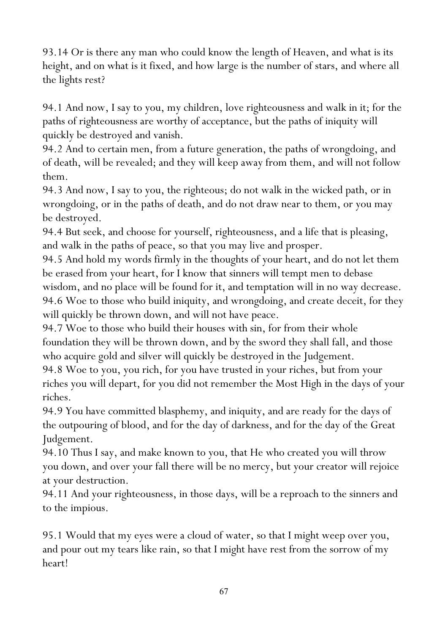93.14 Or is there any man who could know the length of Heaven, and what is its height, and on what is it fixed, and how large is the number of stars, and where all the lights rest?

94.1 And now, I say to you, my children, love righteousness and walk in it; for the paths of righteousness are worthy of acceptance, but the paths of iniquity will quickly be destroyed and vanish.

94.2 And to certain men, from a future generation, the paths of wrongdoing, and of death, will be revealed; and they will keep away from them, and will not follow them.

94.3 And now, I say to you, the righteous; do not walk in the wicked path, or in wrongdoing, or in the paths of death, and do not draw near to them, or you may be destroyed.

94.4 But seek, and choose for yourself, righteousness, and a life that is pleasing, and walk in the paths of peace, so that you may live and prosper.

94.5 And hold my words firmly in the thoughts of your heart, and do not let them be erased from your heart, for I know that sinners will tempt men to debase wisdom, and no place will be found for it, and temptation will in no way decrease. 94.6 Woe to those who build iniquity, and wrongdoing, and create deceit, for they will quickly be thrown down, and will not have peace.

94.7 Woe to those who build their houses with sin, for from their whole foundation they will be thrown down, and by the sword they shall fall, and those who acquire gold and silver will quickly be destroyed in the Judgement.

94.8 Woe to you, you rich, for you have trusted in your riches, but from your riches you will depart, for you did not remember the Most High in the days of your riches.

94.9 You have committed blasphemy, and iniquity, and are ready for the days of the outpouring of blood, and for the day of darkness, and for the day of the Great Judgement.

94.10 Thus I say, and make known to you, that He who created you will throw you down, and over your fall there will be no mercy, but your creator will rejoice at your destruction.

94.11 And your righteousness, in those days, will be a reproach to the sinners and to the impious.

95.1 Would that my eyes were a cloud of water, so that I might weep over you, and pour out my tears like rain, so that I might have rest from the sorrow of my heart!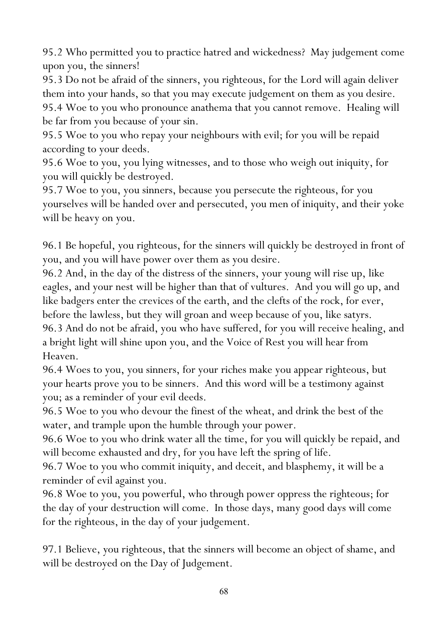95.2 Who permitted you to practice hatred and wickedness? May judgement come upon you, the sinners!

95.3 Do not be afraid of the sinners, you righteous, for the Lord will again deliver them into your hands, so that you may execute judgement on them as you desire.

95.4 Woe to you who pronounce anathema that you cannot remove. Healing will be far from you because of your sin.

95.5 Woe to you who repay your neighbours with evil; for you will be repaid according to your deeds.

95.6 Woe to you, you lying witnesses, and to those who weigh out iniquity, for you will quickly be destroyed.

95.7 Woe to you, you sinners, because you persecute the righteous, for you yourselves will be handed over and persecuted, you men of iniquity, and their yoke will be heavy on you.

96.1 Be hopeful, you righteous, for the sinners will quickly be destroyed in front of you, and you will have power over them as you desire.

96.2 And, in the day of the distress of the sinners, your young will rise up, like eagles, and your nest will be higher than that of vultures. And you will go up, and like badgers enter the crevices of the earth, and the clefts of the rock, for ever, before the lawless, but they will groan and weep because of you, like satyrs. 96.3 And do not be afraid, you who have suffered, for you will receive healing, and a bright light will shine upon you, and the Voice of Rest you will hear from Heaven.

96.4 Woes to you, you sinners, for your riches make you appear righteous, but your hearts prove you to be sinners. And this word will be a testimony against you; as a reminder of your evil deeds.

96.5 Woe to you who devour the finest of the wheat, and drink the best of the water, and trample upon the humble through your power.

96.6 Woe to you who drink water all the time, for you will quickly be repaid, and will become exhausted and dry, for you have left the spring of life.

96.7 Woe to you who commit iniquity, and deceit, and blasphemy, it will be a reminder of evil against you.

96.8 Woe to you, you powerful, who through power oppress the righteous; for the day of your destruction will come. In those days, many good days will come for the righteous, in the day of your judgement.

97.1 Believe, you righteous, that the sinners will become an object of shame, and will be destroyed on the Day of Judgement.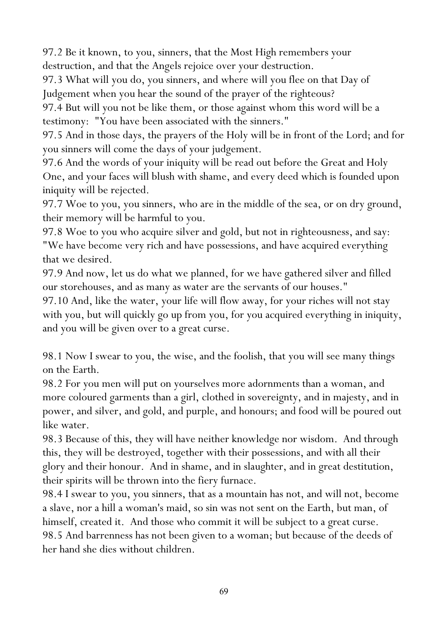97.2 Be it known, to you, sinners, that the Most High remembers your destruction, and that the Angels rejoice over your destruction.

97.3 What will you do, you sinners, and where will you flee on that Day of Judgement when you hear the sound of the prayer of the righteous?

97.4 But will you not be like them, or those against whom this word will be a testimony: "You have been associated with the sinners."

97.5 And in those days, the prayers of the Holy will be in front of the Lord; and for you sinners will come the days of your judgement.

97.6 And the words of your iniquity will be read out before the Great and Holy One, and your faces will blush with shame, and every deed which is founded upon iniquity will be rejected.

97.7 Woe to you, you sinners, who are in the middle of the sea, or on dry ground, their memory will be harmful to you.

97.8 Woe to you who acquire silver and gold, but not in righteousness, and say: "We have become very rich and have possessions, and have acquired everything that we desired.

97.9 And now, let us do what we planned, for we have gathered silver and filled our storehouses, and as many as water are the servants of our houses."

97.10 And, like the water, your life will flow away, for your riches will not stay with you, but will quickly go up from you, for you acquired everything in iniquity, and you will be given over to a great curse.

98.1 Now I swear to you, the wise, and the foolish, that you will see many things on the Earth.

98.2 For you men will put on yourselves more adornments than a woman, and more coloured garments than a girl, clothed in sovereignty, and in majesty, and in power, and silver, and gold, and purple, and honours; and food will be poured out like water.

98.3 Because of this, they will have neither knowledge nor wisdom. And through this, they will be destroyed, together with their possessions, and with all their glory and their honour. And in shame, and in slaughter, and in great destitution, their spirits will be thrown into the fiery furnace.

98.4 I swear to you, you sinners, that as a mountain has not, and will not, become a slave, nor a hill a woman's maid, so sin was not sent on the Earth, but man, of himself, created it. And those who commit it will be subject to a great curse. 98.5 And barrenness has not been given to a woman; but because of the deeds of her hand she dies without children.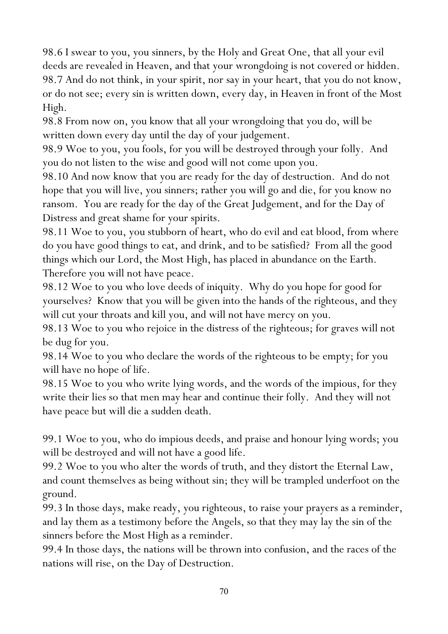98.6 I swear to you, you sinners, by the Holy and Great One, that all your evil deeds are revealed in Heaven, and that your wrongdoing is not covered or hidden. 98.7 And do not think, in your spirit, nor say in your heart, that you do not know, or do not see; every sin is written down, every day, in Heaven in front of the Most High.

98.8 From now on, you know that all your wrongdoing that you do, will be written down every day until the day of your judgement.

98.9 Woe to you, you fools, for you will be destroyed through your folly. And you do not listen to the wise and good will not come upon you.

98.10 And now know that you are ready for the day of destruction. And do not hope that you will live, you sinners; rather you will go and die, for you know no ransom. You are ready for the day of the Great Judgement, and for the Day of Distress and great shame for your spirits.

98.11 Woe to you, you stubborn of heart, who do evil and eat blood, from where do you have good things to eat, and drink, and to be satisfied? From all the good things which our Lord, the Most High, has placed in abundance on the Earth. Therefore you will not have peace.

98.12 Woe to you who love deeds of iniquity. Why do you hope for good for yourselves? Know that you will be given into the hands of the righteous, and they will cut your throats and kill you, and will not have mercy on you.

98.13 Woe to you who rejoice in the distress of the righteous; for graves will not be dug for you.

98.14 Woe to you who declare the words of the righteous to be empty; for you will have no hope of life.

98.15 Woe to you who write lying words, and the words of the impious, for they write their lies so that men may hear and continue their folly. And they will not have peace but will die a sudden death.

99.1 Woe to you, who do impious deeds, and praise and honour lying words; you will be destroyed and will not have a good life.

99.2 Woe to you who alter the words of truth, and they distort the Eternal Law, and count themselves as being without sin; they will be trampled underfoot on the ground.

99.3 In those days, make ready, you righteous, to raise your prayers as a reminder, and lay them as a testimony before the Angels, so that they may lay the sin of the sinners before the Most High as a reminder.

99.4 In those days, the nations will be thrown into confusion, and the races of the nations will rise, on the Day of Destruction.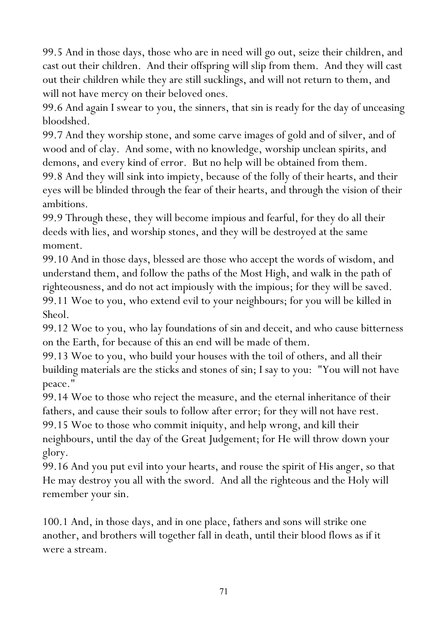99.5 And in those days, those who are in need will go out, seize their children, and cast out their children. And their offspring will slip from them. And they will cast out their children while they are still sucklings, and will not return to them, and will not have mercy on their beloved ones.

99.6 And again I swear to you, the sinners, that sin is ready for the day of unceasing bloodshed.

99.7 And they worship stone, and some carve images of gold and of silver, and of wood and of clay. And some, with no knowledge, worship unclean spirits, and demons, and every kind of error. But no help will be obtained from them.

99.8 And they will sink into impiety, because of the folly of their hearts, and their eyes will be blinded through the fear of their hearts, and through the vision of their ambitions.

99.9 Through these, they will become impious and fearful, for they do all their deeds with lies, and worship stones, and they will be destroyed at the same moment.

99.10 And in those days, blessed are those who accept the words of wisdom, and understand them, and follow the paths of the Most High, and walk in the path of righteousness, and do not act impiously with the impious; for they will be saved. 99.11 Woe to you, who extend evil to your neighbours; for you will be killed in Sheol.

99.12 Woe to you, who lay foundations of sin and deceit, and who cause bitterness on the Earth, for because of this an end will be made of them.

99.13 Woe to you, who build your houses with the toil of others, and all their building materials are the sticks and stones of sin; I say to you: "You will not have peace."

99.14 Woe to those who reject the measure, and the eternal inheritance of their fathers, and cause their souls to follow after error; for they will not have rest.

99.15 Woe to those who commit iniquity, and help wrong, and kill their neighbours, until the day of the Great Judgement; for He will throw down your glory.

99.16 And you put evil into your hearts, and rouse the spirit of His anger, so that He may destroy you all with the sword. And all the righteous and the Holy will remember your sin.

100.1 And, in those days, and in one place, fathers and sons will strike one another, and brothers will together fall in death, until their blood flows as if it were a stream.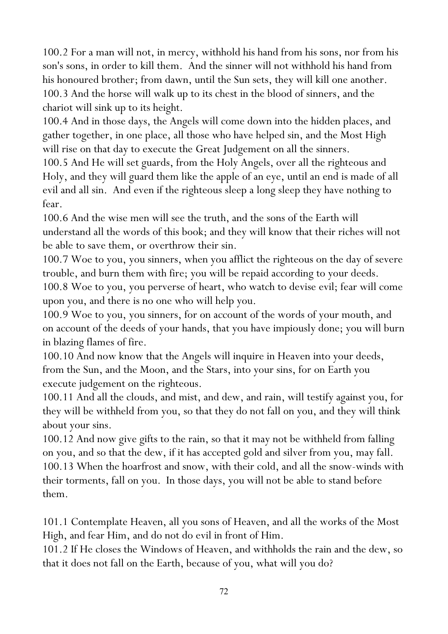100.2 For a man will not, in mercy, withhold his hand from his sons, nor from his son's sons, in order to kill them. And the sinner will not withhold his hand from his honoured brother; from dawn, until the Sun sets, they will kill one another. 100.3 And the horse will walk up to its chest in the blood of sinners, and the chariot will sink up to its height.

100.4 And in those days, the Angels will come down into the hidden places, and gather together, in one place, all those who have helped sin, and the Most High will rise on that day to execute the Great Judgement on all the sinners.

100.5 And He will set guards, from the Holy Angels, over all the righteous and Holy, and they will guard them like the apple of an eye, until an end is made of all evil and all sin. And even if the righteous sleep a long sleep they have nothing to fear.

100.6 And the wise men will see the truth, and the sons of the Earth will understand all the words of this book; and they will know that their riches will not be able to save them, or overthrow their sin.

100.7 Woe to you, you sinners, when you afflict the righteous on the day of severe trouble, and burn them with fire; you will be repaid according to your deeds.

100.8 Woe to you, you perverse of heart, who watch to devise evil; fear will come upon you, and there is no one who will help you.

100.9 Woe to you, you sinners, for on account of the words of your mouth, and on account of the deeds of your hands, that you have impiously done; you will burn in blazing flames of fire.

100.10 And now know that the Angels will inquire in Heaven into your deeds, from the Sun, and the Moon, and the Stars, into your sins, for on Earth you execute judgement on the righteous.

100.11 And all the clouds, and mist, and dew, and rain, will testify against you, for they will be withheld from you, so that they do not fall on you, and they will think about your sins.

100.12 And now give gifts to the rain, so that it may not be withheld from falling on you, and so that the dew, if it has accepted gold and silver from you, may fall. 100.13 When the hoarfrost and snow, with their cold, and all the snow-winds with their torments, fall on you. In those days, you will not be able to stand before them.

101.1 Contemplate Heaven, all you sons of Heaven, and all the works of the Most High, and fear Him, and do not do evil in front of Him.

101.2 If He closes the Windows of Heaven, and withholds the rain and the dew, so that it does not fall on the Earth, because of you, what will you do?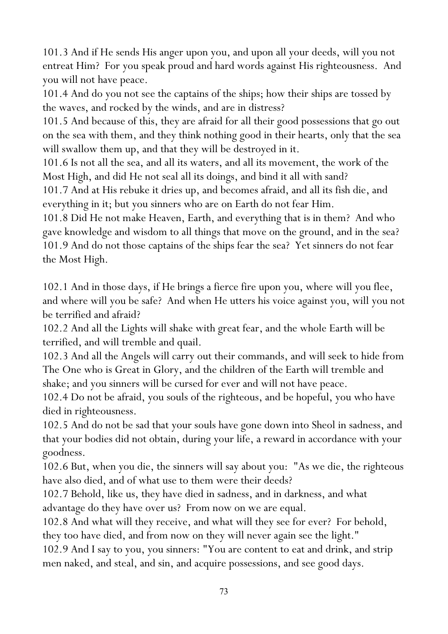101.3 And if He sends His anger upon you, and upon all your deeds, will you not entreat Him? For you speak proud and hard words against His righteousness. And you will not have peace.

101.4 And do you not see the captains of the ships; how their ships are tossed by the waves, and rocked by the winds, and are in distress?

101.5 And because of this, they are afraid for all their good possessions that go out on the sea with them, and they think nothing good in their hearts, only that the sea will swallow them up, and that they will be destroyed in it.

101.6 Is not all the sea, and all its waters, and all its movement, the work of the Most High, and did He not seal all its doings, and bind it all with sand?

101.7 And at His rebuke it dries up, and becomes afraid, and all its fish die, and everything in it; but you sinners who are on Earth do not fear Him.

101.8 Did He not make Heaven, Earth, and everything that is in them? And who gave knowledge and wisdom to all things that move on the ground, and in the sea? 101.9 And do not those captains of the ships fear the sea? Yet sinners do not fear the Most High.

102.1 And in those days, if He brings a fierce fire upon you, where will you flee, and where will you be safe? And when He utters his voice against you, will you not be terrified and afraid?

102.2 And all the Lights will shake with great fear, and the whole Earth will be terrified, and will tremble and quail.

102.3 And all the Angels will carry out their commands, and will seek to hide from The One who is Great in Glory, and the children of the Earth will tremble and shake; and you sinners will be cursed for ever and will not have peace.

102.4 Do not be afraid, you souls of the righteous, and be hopeful, you who have died in righteousness.

102.5 And do not be sad that your souls have gone down into Sheol in sadness, and that your bodies did not obtain, during your life, a reward in accordance with your goodness.

102.6 But, when you die, the sinners will say about you: "As we die, the righteous have also died, and of what use to them were their deeds?

102.7 Behold, like us, they have died in sadness, and in darkness, and what advantage do they have over us? From now on we are equal.

102.8 And what will they receive, and what will they see for ever? For behold, they too have died, and from now on they will never again see the light."

102.9 And I say to you, you sinners: "You are content to eat and drink, and strip men naked, and steal, and sin, and acquire possessions, and see good days.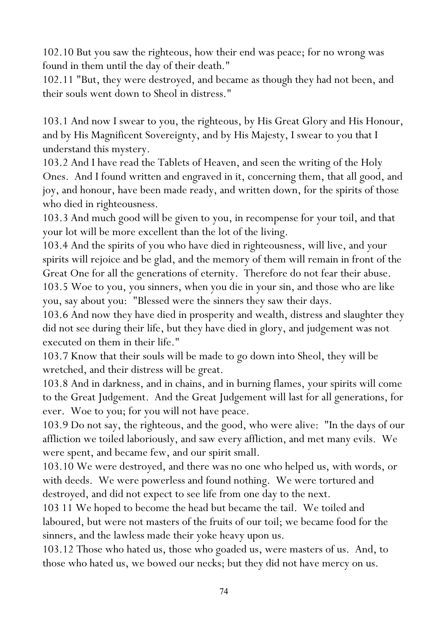102.10 But you saw the righteous, how their end was peace; for no wrong was found in them until the day of their death."

102.11 "But, they were destroyed, and became as though they had not been, and their souls went down to Sheol in distress."

103.1 And now I swear to you, the righteous, by His Great Glory and His Honour, and by His Magnificent Sovereignty, and by His Majesty, I swear to you that I understand this mystery.

103.2 And I have read the Tablets of Heaven, and seen the writing of the Holy Ones. And I found written and engraved in it, concerning them, that all good, and joy, and honour, have been made ready, and written down, for the spirits of those who died in righteousness.

103.3 And much good will be given to you, in recompense for your toil, and that your lot will be more excellent than the lot of the living.

103.4 And the spirits of you who have died in righteousness, will live, and your spirits will rejoice and be glad, and the memory of them will remain in front of the Great One for all the generations of eternity. Therefore do not fear their abuse. 103.5 Woe to you, you sinners, when you die in your sin, and those who are like you, say about you: "Blessed were the sinners they saw their days.

103.6 And now they have died in prosperity and wealth, distress and slaughter they did not see during their life, but they have died in glory, and judgement was not executed on them in their life."

103.7 Know that their souls will be made to go down into Sheol, they will be wretched, and their distress will be great.

103.8 And in darkness, and in chains, and in burning flames, your spirits will come to the Great Judgement. And the Great Judgement will last for all generations, for ever. Woe to you; for you will not have peace.

103.9 Do not say, the righteous, and the good, who were alive: "In the days of our affliction we toiled laboriously, and saw every affliction, and met many evils. We were spent, and became few, and our spirit small.

103.10 We were destroyed, and there was no one who helped us, with words, or with deeds. We were powerless and found nothing. We were tortured and destroyed, and did not expect to see life from one day to the next.

103 11 We hoped to become the head but became the tail. We toiled and laboured, but were not masters of the fruits of our toil; we became food for the sinners, and the lawless made their yoke heavy upon us.

103.12 Those who hated us, those who goaded us, were masters of us. And, to those who hated us, we bowed our necks; but they did not have mercy on us.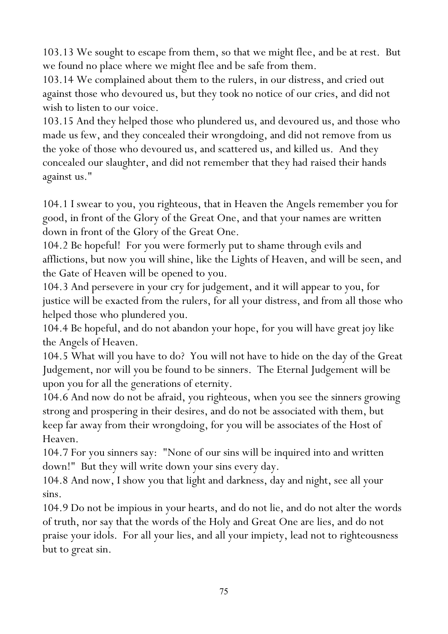103.13 We sought to escape from them, so that we might flee, and be at rest. But we found no place where we might flee and be safe from them.

103.14 We complained about them to the rulers, in our distress, and cried out against those who devoured us, but they took no notice of our cries, and did not wish to listen to our voice.

103.15 And they helped those who plundered us, and devoured us, and those who made us few, and they concealed their wrongdoing, and did not remove from us the yoke of those who devoured us, and scattered us, and killed us. And they concealed our slaughter, and did not remember that they had raised their hands against us."

104.1 I swear to you, you righteous, that in Heaven the Angels remember you for good, in front of the Glory of the Great One, and that your names are written down in front of the Glory of the Great One.

104.2 Be hopeful! For you were formerly put to shame through evils and afflictions, but now you will shine, like the Lights of Heaven, and will be seen, and the Gate of Heaven will be opened to you.

104.3 And persevere in your cry for judgement, and it will appear to you, for justice will be exacted from the rulers, for all your distress, and from all those who helped those who plundered you.

104.4 Be hopeful, and do not abandon your hope, for you will have great joy like the Angels of Heaven.

104.5 What will you have to do? You will not have to hide on the day of the Great Judgement, nor will you be found to be sinners. The Eternal Judgement will be upon you for all the generations of eternity.

104.6 And now do not be afraid, you righteous, when you see the sinners growing strong and prospering in their desires, and do not be associated with them, but keep far away from their wrongdoing, for you will be associates of the Host of Heaven.

104.7 For you sinners say: "None of our sins will be inquired into and written down!" But they will write down your sins every day.

104.8 And now, I show you that light and darkness, day and night, see all your sins.

104.9 Do not be impious in your hearts, and do not lie, and do not alter the words of truth, nor say that the words of the Holy and Great One are lies, and do not praise your idols. For all your lies, and all your impiety, lead not to righteousness but to great sin.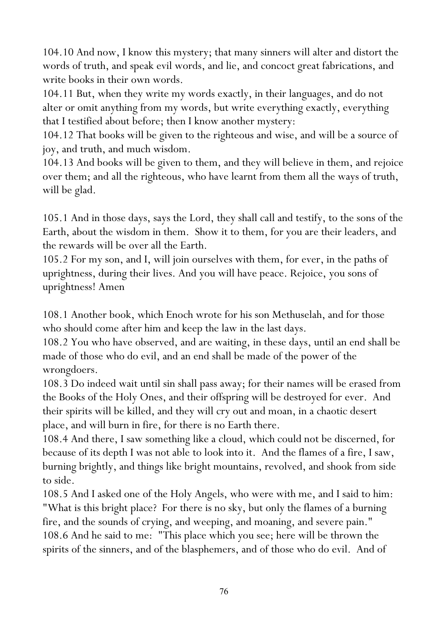104.10 And now, I know this mystery; that many sinners will alter and distort the words of truth, and speak evil words, and lie, and concoct great fabrications, and write books in their own words.

104.11 But, when they write my words exactly, in their languages, and do not alter or omit anything from my words, but write everything exactly, everything that I testified about before; then I know another mystery:

104.12 That books will be given to the righteous and wise, and will be a source of joy, and truth, and much wisdom.

104.13 And books will be given to them, and they will believe in them, and rejoice over them; and all the righteous, who have learnt from them all the ways of truth, will be glad.

105.1 And in those days, says the Lord, they shall call and testify, to the sons of the Earth, about the wisdom in them. Show it to them, for you are their leaders, and the rewards will be over all the Earth.

105.2 For my son, and I, will join ourselves with them, for ever, in the paths of uprightness, during their lives. And you will have peace. Rejoice, you sons of uprightness! Amen

108.1 Another book, which Enoch wrote for his son Methuselah, and for those who should come after him and keep the law in the last days.

108.2 You who have observed, and are waiting, in these days, until an end shall be made of those who do evil, and an end shall be made of the power of the wrongdoers.

108.3 Do indeed wait until sin shall pass away; for their names will be erased from the Books of the Holy Ones, and their offspring will be destroyed for ever. And their spirits will be killed, and they will cry out and moan, in a chaotic desert place, and will burn in fire, for there is no Earth there.

108.4 And there, I saw something like a cloud, which could not be discerned, for because of its depth I was not able to look into it. And the flames of a fire, I saw, burning brightly, and things like bright mountains, revolved, and shook from side to side.

108.5 And I asked one of the Holy Angels, who were with me, and I said to him: "What is this bright place? For there is no sky, but only the flames of a burning fire, and the sounds of crying, and weeping, and moaning, and severe pain." 108.6 And he said to me: "This place which you see; here will be thrown the spirits of the sinners, and of the blasphemers, and of those who do evil. And of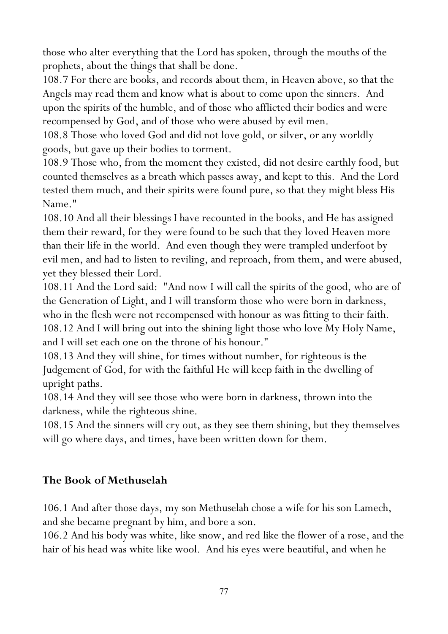those who alter everything that the Lord has spoken, through the mouths of the prophets, about the things that shall be done.

108.7 For there are books, and records about them, in Heaven above, so that the Angels may read them and know what is about to come upon the sinners. And upon the spirits of the humble, and of those who afflicted their bodies and were recompensed by God, and of those who were abused by evil men.

108.8 Those who loved God and did not love gold, or silver, or any worldly goods, but gave up their bodies to torment.

108.9 Those who, from the moment they existed, did not desire earthly food, but counted themselves as a breath which passes away, and kept to this. And the Lord tested them much, and their spirits were found pure, so that they might bless His Name."

108.10 And all their blessings I have recounted in the books, and He has assigned them their reward, for they were found to be such that they loved Heaven more than their life in the world. And even though they were trampled underfoot by evil men, and had to listen to reviling, and reproach, from them, and were abused, yet they blessed their Lord.

108.11 And the Lord said: "And now I will call the spirits of the good, who are of the Generation of Light, and I will transform those who were born in darkness, who in the flesh were not recompensed with honour as was fitting to their faith. 108.12 And I will bring out into the shining light those who love My Holy Name, and I will set each one on the throne of his honour."

108.13 And they will shine, for times without number, for righteous is the Judgement of God, for with the faithful He will keep faith in the dwelling of upright paths.

108.14 And they will see those who were born in darkness, thrown into the darkness, while the righteous shine.

108.15 And the sinners will cry out, as they see them shining, but they themselves will go where days, and times, have been written down for them.

## **The Book of Methuselah**

106.1 And after those days, my son Methuselah chose a wife for his son Lamech, and she became pregnant by him, and bore a son.

106.2 And his body was white, like snow, and red like the flower of a rose, and the hair of his head was white like wool. And his eyes were beautiful, and when he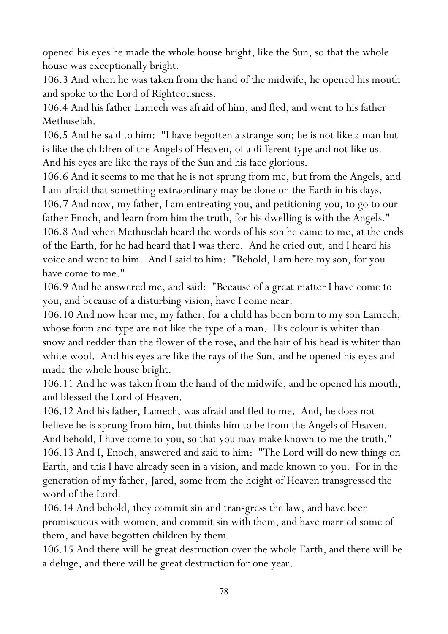opened his eyes he made the whole house bright, like the Sun, so that the whole house was exceptionally bright.

106.3 And when he was taken from the hand of the midwife, he opened his mouth and spoke to the Lord of Righteousness.

106.4 And his father Lamech was afraid of him, and fled, and went to his father Methuselah.

106.5 And he said to him: "I have begotten a strange son; he is not like a man but is like the children of the Angels of Heaven, of a different type and not like us. And his eyes are like the rays of the Sun and his face glorious.

106.6 And it seems to me that he is not sprung from me, but from the Angels, and I am afraid that something extraordinary may be done on the Earth in his days. 106.7 And now, my father, I am entreating you, and petitioning you, to go to our father Enoch, and learn from him the truth, for his dwelling is with the Angels." 106.8 And when Methuselah heard the words of his son he came to me, at the ends of the Earth, for he had heard that I was there. And he cried out, and I heard his voice and went to him. And I said to him: "Behold, I am here my son, for you

have come to me."

106.9 And he answered me, and said: "Because of a great matter I have come to you, and because of a disturbing vision, have I come near.

106.10 And now hear me, my father, for a child has been born to my son Lamech, whose form and type are not like the type of a man. His colour is whiter than snow and redder than the flower of the rose, and the hair of his head is whiter than white wool. And his eyes are like the rays of the Sun, and he opened his eyes and made the whole house bright.

106.11 And he was taken from the hand of the midwife, and he opened his mouth, and blessed the Lord of Heaven.

106.12 And his father, Lamech, was afraid and fled to me. And, he does not believe he is sprung from him, but thinks him to be from the Angels of Heaven. And behold, I have come to you, so that you may make known to me the truth." 106.13 And I, Enoch, answered and said to him: "The Lord will do new things on Earth, and this I have already seen in a vision, and made known to you. For in the generation of my father, Jared, some from the height of Heaven transgressed the word of the Lord.

106.14 And behold, they commit sin and transgress the law, and have been promiscuous with women, and commit sin with them, and have married some of them, and have begotten children by them.

106.15 And there will be great destruction over the whole Earth, and there will be a deluge, and there will be great destruction for one year.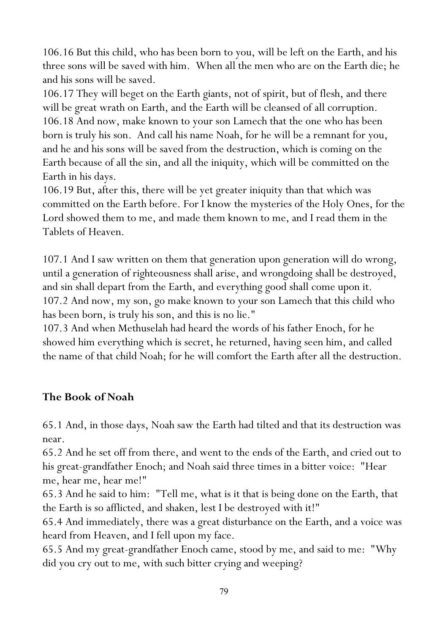106.16 But this child, who has been born to you, will be left on the Earth, and his three sons will be saved with him. When all the men who are on the Earth die; he and his sons will be saved.

106.17 They will beget on the Earth giants, not of spirit, but of flesh, and there will be great wrath on Earth, and the Earth will be cleansed of all corruption. 106.18 And now, make known to your son Lamech that the one who has been born is truly his son. And call his name Noah, for he will be a remnant for you, and he and his sons will be saved from the destruction, which is coming on the Earth because of all the sin, and all the iniquity, which will be committed on the Earth in his days.

106.19 But, after this, there will be yet greater iniquity than that which was committed on the Earth before. For I know the mysteries of the Holy Ones, for the Lord showed them to me, and made them known to me, and I read them in the Tablets of Heaven.

107.1 And I saw written on them that generation upon generation will do wrong, until a generation of righteousness shall arise, and wrongdoing shall be destroyed, and sin shall depart from the Earth, and everything good shall come upon it. 107.2 And now, my son, go make known to your son Lamech that this child who has been born, is truly his son, and this is no lie."

107.3 And when Methuselah had heard the words of his father Enoch, for he showed him everything which is secret, he returned, having seen him, and called the name of that child Noah; for he will comfort the Earth after all the destruction.

## **The Book of Noah**

65.1 And, in those days, Noah saw the Earth had tilted and that its destruction was near.

65.2 And he set off from there, and went to the ends of the Earth, and cried out to his great-grandfather Enoch; and Noah said three times in a bitter voice: "Hear me, hear me, hear me!"

65.3 And he said to him: "Tell me, what is it that is being done on the Earth, that the Earth is so afflicted, and shaken, lest I be destroyed with it!"

65.4 And immediately, there was a great disturbance on the Earth, and a voice was heard from Heaven, and I fell upon my face.

65.5 And my great-grandfather Enoch came, stood by me, and said to me: "Why did you cry out to me, with such bitter crying and weeping?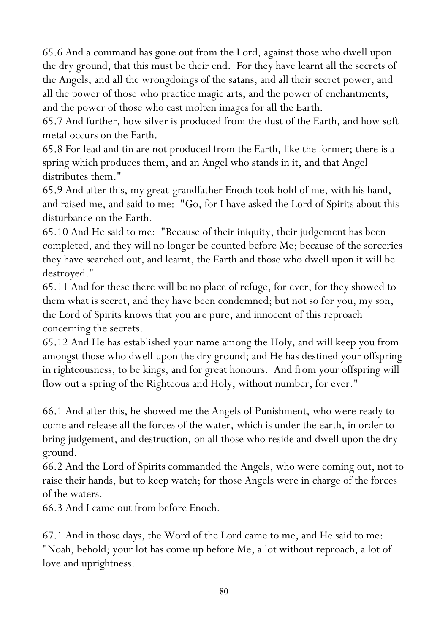65.6 And a command has gone out from the Lord, against those who dwell upon the dry ground, that this must be their end. For they have learnt all the secrets of the Angels, and all the wrongdoings of the satans, and all their secret power, and all the power of those who practice magic arts, and the power of enchantments, and the power of those who cast molten images for all the Earth.

65.7 And further, how silver is produced from the dust of the Earth, and how soft metal occurs on the Earth.

65.8 For lead and tin are not produced from the Earth, like the former; there is a spring which produces them, and an Angel who stands in it, and that Angel distributes them."

65.9 And after this, my great-grandfather Enoch took hold of me, with his hand, and raised me, and said to me: "Go, for I have asked the Lord of Spirits about this disturbance on the Earth.

65.10 And He said to me: "Because of their iniquity, their judgement has been completed, and they will no longer be counted before Me; because of the sorceries they have searched out, and learnt, the Earth and those who dwell upon it will be destroyed."

65.11 And for these there will be no place of refuge, for ever, for they showed to them what is secret, and they have been condemned; but not so for you, my son, the Lord of Spirits knows that you are pure, and innocent of this reproach concerning the secrets.

65.12 And He has established your name among the Holy, and will keep you from amongst those who dwell upon the dry ground; and He has destined your offspring in righteousness, to be kings, and for great honours. And from your offspring will flow out a spring of the Righteous and Holy, without number, for ever."

66.1 And after this, he showed me the Angels of Punishment, who were ready to come and release all the forces of the water, which is under the earth, in order to bring judgement, and destruction, on all those who reside and dwell upon the dry ground.

66.2 And the Lord of Spirits commanded the Angels, who were coming out, not to raise their hands, but to keep watch; for those Angels were in charge of the forces of the waters.

66.3 And I came out from before Enoch.

67.1 And in those days, the Word of the Lord came to me, and He said to me: "Noah, behold; your lot has come up before Me, a lot without reproach, a lot of love and uprightness.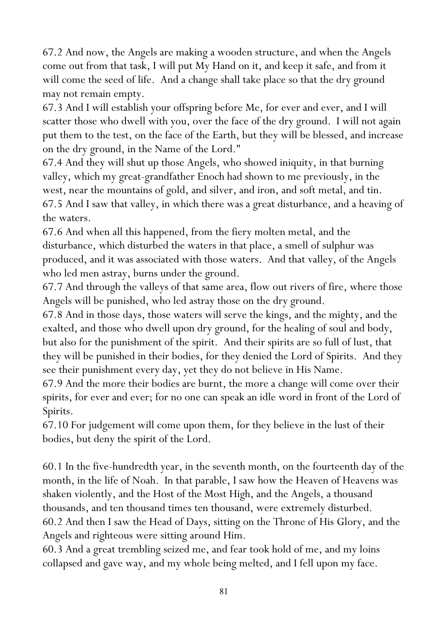67.2 And now, the Angels are making a wooden structure, and when the Angels come out from that task, I will put My Hand on it, and keep it safe, and from it will come the seed of life. And a change shall take place so that the dry ground may not remain empty.

67.3 And I will establish your offspring before Me, for ever and ever, and I will scatter those who dwell with you, over the face of the dry ground. I will not again put them to the test, on the face of the Earth, but they will be blessed, and increase on the dry ground, in the Name of the Lord."

67.4 And they will shut up those Angels, who showed iniquity, in that burning valley, which my great-grandfather Enoch had shown to me previously, in the west, near the mountains of gold, and silver, and iron, and soft metal, and tin. 67.5 And I saw that valley, in which there was a great disturbance, and a heaving of the waters.

67.6 And when all this happened, from the fiery molten metal, and the disturbance, which disturbed the waters in that place, a smell of sulphur was produced, and it was associated with those waters. And that valley, of the Angels who led men astray, burns under the ground.

67.7 And through the valleys of that same area, flow out rivers of fire, where those Angels will be punished, who led astray those on the dry ground.

67.8 And in those days, those waters will serve the kings, and the mighty, and the exalted, and those who dwell upon dry ground, for the healing of soul and body, but also for the punishment of the spirit. And their spirits are so full of lust, that they will be punished in their bodies, for they denied the Lord of Spirits. And they see their punishment every day, yet they do not believe in His Name.

67.9 And the more their bodies are burnt, the more a change will come over their spirits, for ever and ever; for no one can speak an idle word in front of the Lord of Spirits.

67.10 For judgement will come upon them, for they believe in the lust of their bodies, but deny the spirit of the Lord.

60.1 In the five-hundredth year, in the seventh month, on the fourteenth day of the month, in the life of Noah. In that parable, I saw how the Heaven of Heavens was shaken violently, and the Host of the Most High, and the Angels, a thousand thousands, and ten thousand times ten thousand, were extremely disturbed. 60.2 And then I saw the Head of Days, sitting on the Throne of His Glory, and the Angels and righteous were sitting around Him.

60.3 And a great trembling seized me, and fear took hold of me, and my loins collapsed and gave way, and my whole being melted, and I fell upon my face.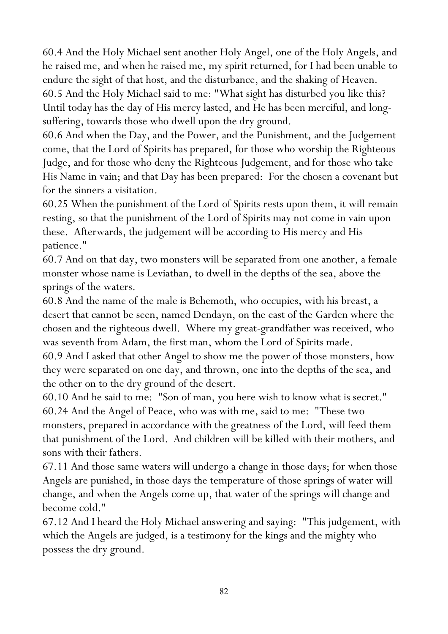60.4 And the Holy Michael sent another Holy Angel, one of the Holy Angels, and he raised me, and when he raised me, my spirit returned, for I had been unable to endure the sight of that host, and the disturbance, and the shaking of Heaven. 60.5 And the Holy Michael said to me: "What sight has disturbed you like this? Until today has the day of His mercy lasted, and He has been merciful, and longsuffering, towards those who dwell upon the dry ground.

60.6 And when the Day, and the Power, and the Punishment, and the Judgement come, that the Lord of Spirits has prepared, for those who worship the Righteous Judge, and for those who deny the Righteous Judgement, and for those who take His Name in vain; and that Day has been prepared: For the chosen a covenant but for the sinners a visitation.

60.25 When the punishment of the Lord of Spirits rests upon them, it will remain resting, so that the punishment of the Lord of Spirits may not come in vain upon these. Afterwards, the judgement will be according to His mercy and His patience."

60.7 And on that day, two monsters will be separated from one another, a female monster whose name is Leviathan, to dwell in the depths of the sea, above the springs of the waters.

60.8 And the name of the male is Behemoth, who occupies, with his breast, a desert that cannot be seen, named Dendayn, on the east of the Garden where the chosen and the righteous dwell. Where my great-grandfather was received, who was seventh from Adam, the first man, whom the Lord of Spirits made.

60.9 And I asked that other Angel to show me the power of those monsters, how they were separated on one day, and thrown, one into the depths of the sea, and the other on to the dry ground of the desert.

60.10 And he said to me: "Son of man, you here wish to know what is secret." 60.24 And the Angel of Peace, who was with me, said to me: "These two monsters, prepared in accordance with the greatness of the Lord, will feed them that punishment of the Lord. And children will be killed with their mothers, and sons with their fathers.

67.11 And those same waters will undergo a change in those days; for when those Angels are punished, in those days the temperature of those springs of water will change, and when the Angels come up, that water of the springs will change and become cold."

67.12 And I heard the Holy Michael answering and saying: "This judgement, with which the Angels are judged, is a testimony for the kings and the mighty who possess the dry ground.